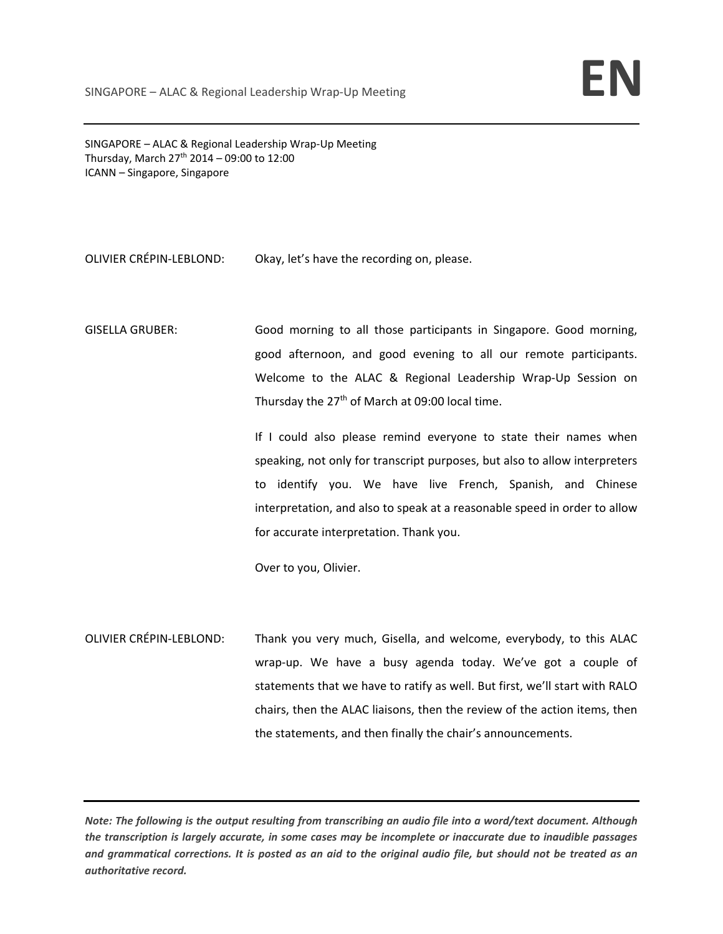SINGAPORE – ALAC & Regional Leadership Wrap‐Up Meeting Thursday, March  $27^{th}$  2014 – 09:00 to 12:00 ICANN – Singapore, Singapore

## OLIVIER CRÉPIN‐LEBLOND: Okay, let's have the recording on, please.

GISELLA GRUBER: Good morning to all those participants in Singapore. Good morning, good afternoon, and good evening to all our remote participants. Welcome to the ALAC & Regional Leadership Wrap‐Up Session on Thursday the  $27<sup>th</sup>$  of March at 09:00 local time.

> If I could also please remind everyone to state their names when speaking, not only for transcript purposes, but also to allow interpreters to identify you. We have live French, Spanish, and Chinese interpretation, and also to speak at a reasonable speed in order to allow for accurate interpretation. Thank you.

Over to you, Olivier.

OLIVIER CRÉPIN‐LEBLOND: Thank you very much, Gisella, and welcome, everybody, to this ALAC wrap‐up. We have a busy agenda today. We've got a couple of statements that we have to ratify as well. But first, we'll start with RALO chairs, then the ALAC liaisons, then the review of the action items, then the statements, and then finally the chair's announcements.

Note: The following is the output resulting from transcribing an audio file into a word/text document. Although the transcription is largely accurate, in some cases may be incomplete or inaccurate due to inaudible passages and grammatical corrections. It is posted as an aid to the original audio file, but should not be treated as an *authoritative record.*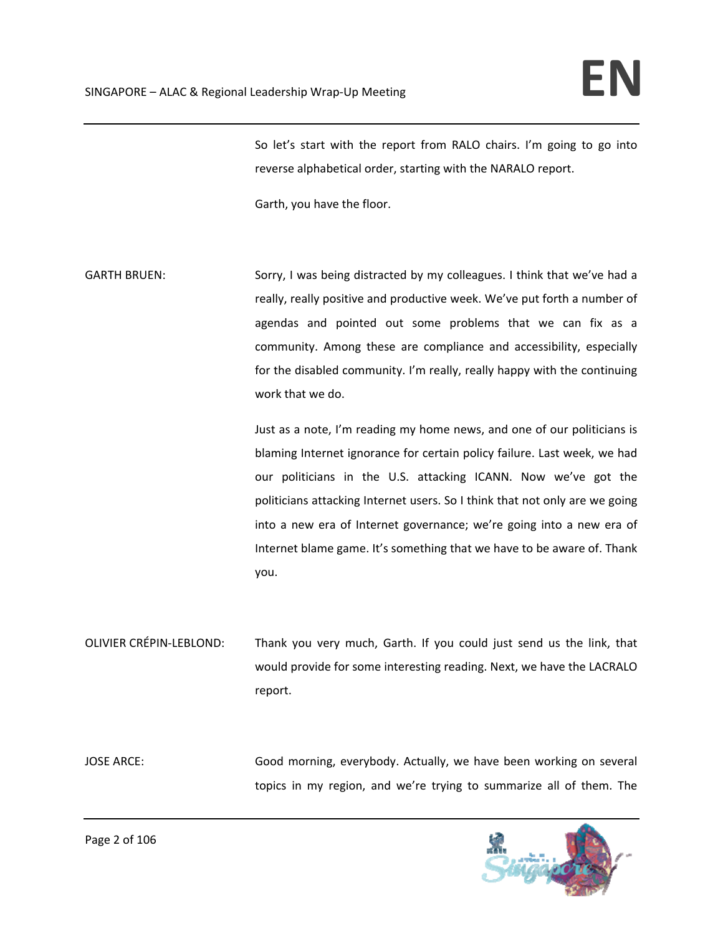So let's start with the report from RALO chairs. I'm going to go into reverse alphabetical order, starting with the NARALO report.

Garth, you have the floor.

GARTH BRUEN: Sorry, I was being distracted by my colleagues. I think that we've had a really, really positive and productive week. We've put forth a number of agendas and pointed out some problems that we can fix as a community. Among these are compliance and accessibility, especially for the disabled community. I'm really, really happy with the continuing work that we do.

> Just as a note, I'm reading my home news, and one of our politicians is blaming Internet ignorance for certain policy failure. Last week, we had our politicians in the U.S. attacking ICANN. Now we've got the politicians attacking Internet users. So I think that not only are we going into a new era of Internet governance; we're going into a new era of Internet blame game. It's something that we have to be aware of. Thank you.

OLIVIER CRÉPIN‐LEBLOND: Thank you very much, Garth. If you could just send us the link, that would provide for some interesting reading. Next, we have the LACRALO report.

JOSE ARCE: Good morning, everybody. Actually, we have been working on several topics in my region, and we're trying to summarize all of them. The

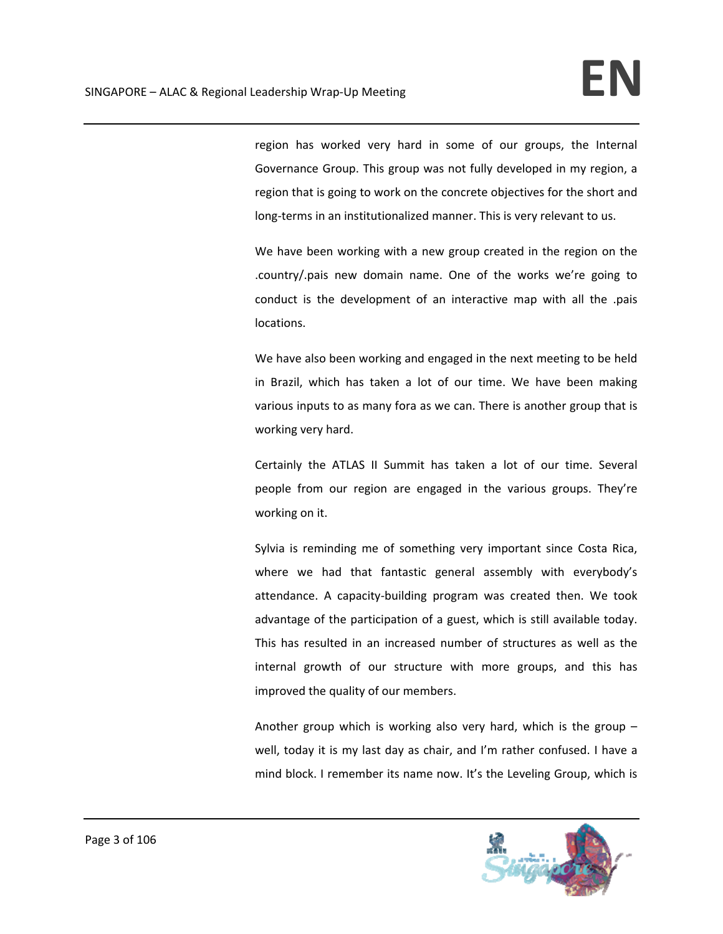region has worked very hard in some of our groups, the Internal Governance Group. This group was not fully developed in my region, a region that is going to work on the concrete objectives for the short and long-terms in an institutionalized manner. This is very relevant to us.

We have been working with a new group created in the region on the .country/.pais new domain name. One of the works we're going to conduct is the development of an interactive map with all the .pais locations.

We have also been working and engaged in the next meeting to be held in Brazil, which has taken a lot of our time. We have been making various inputs to as many fora as we can. There is another group that is working very hard.

Certainly the ATLAS II Summit has taken a lot of our time. Several people from our region are engaged in the various groups. They're working on it.

Sylvia is reminding me of something very important since Costa Rica, where we had that fantastic general assembly with everybody's attendance. A capacity‐building program was created then. We took advantage of the participation of a guest, which is still available today. This has resulted in an increased number of structures as well as the internal growth of our structure with more groups, and this has improved the quality of our members.

Another group which is working also very hard, which is the group – well, today it is my last day as chair, and I'm rather confused. I have a mind block. I remember its name now. It's the Leveling Group, which is

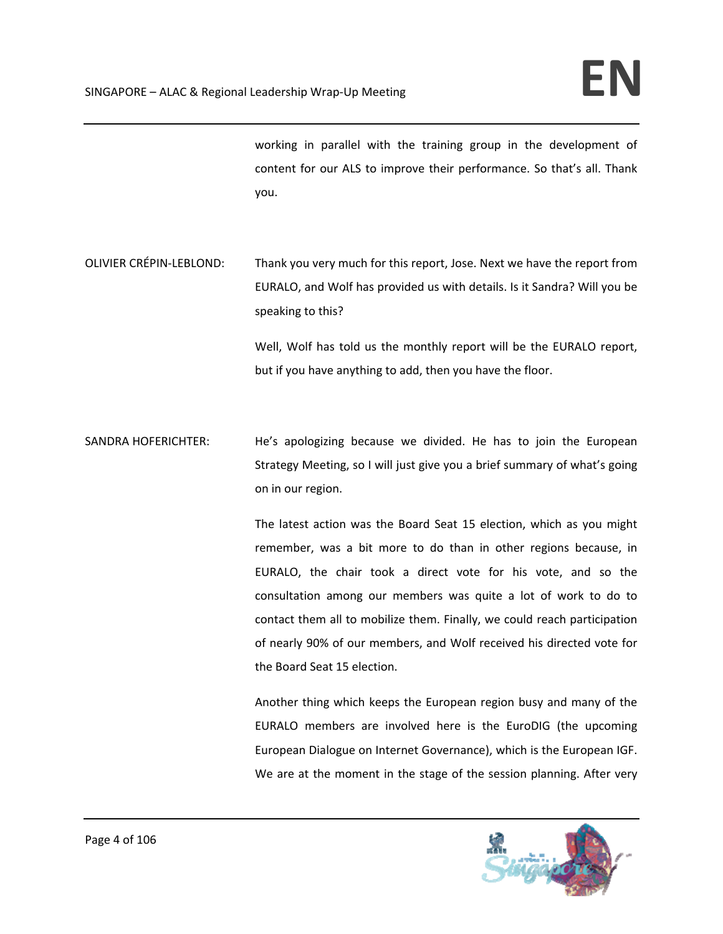working in parallel with the training group in the development of content for our ALS to improve their performance. So that's all. Thank you.

OLIVIER CRÉPIN‐LEBLOND: Thank you very much for this report, Jose. Next we have the report from EURALO, and Wolf has provided us with details. Is it Sandra? Will you be speaking to this?

> Well, Wolf has told us the monthly report will be the EURALO report, but if you have anything to add, then you have the floor.

SANDRA HOFERICHTER: He's apologizing because we divided. He has to join the European Strategy Meeting, so I will just give you a brief summary of what's going on in our region.

> The latest action was the Board Seat 15 election, which as you might remember, was a bit more to do than in other regions because, in EURALO, the chair took a direct vote for his vote, and so the consultation among our members was quite a lot of work to do to contact them all to mobilize them. Finally, we could reach participation of nearly 90% of our members, and Wolf received his directed vote for the Board Seat 15 election.

> Another thing which keeps the European region busy and many of the EURALO members are involved here is the EuroDIG (the upcoming European Dialogue on Internet Governance), which is the European IGF. We are at the moment in the stage of the session planning. After very

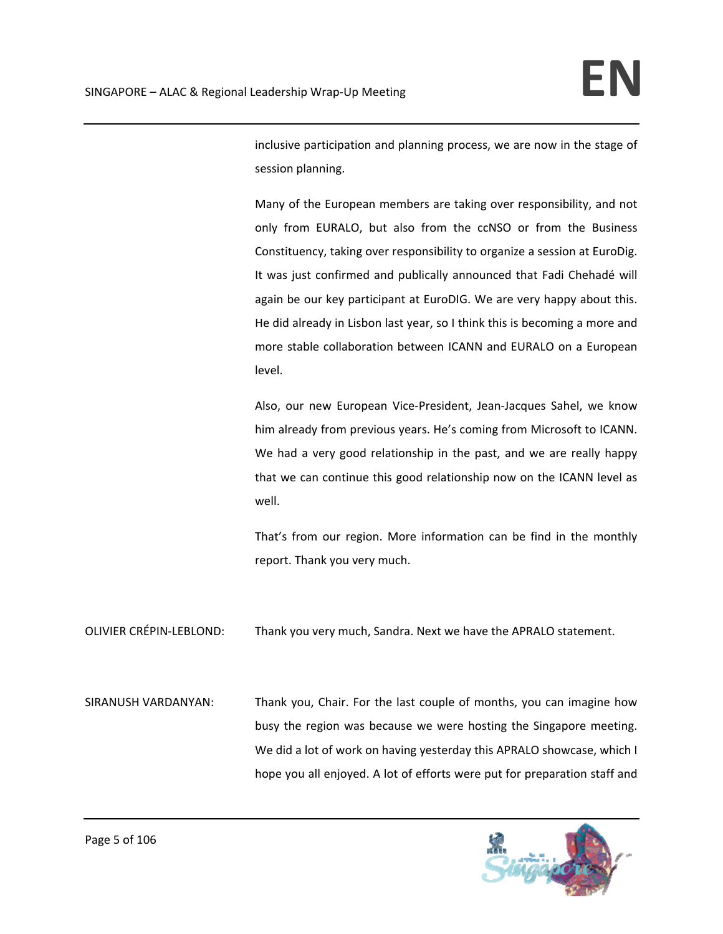inclusive participation and planning process, we are now in the stage of session planning.

Many of the European members are taking over responsibility, and not only from EURALO, but also from the ccNSO or from the Business Constituency, taking over responsibility to organize a session at EuroDig. It was just confirmed and publically announced that Fadi Chehadé will again be our key participant at EuroDIG. We are very happy about this. He did already in Lisbon last year, so I think this is becoming a more and more stable collaboration between ICANN and EURALO on a European level.

Also, our new European Vice‐President, Jean‐Jacques Sahel, we know him already from previous years. He's coming from Microsoft to ICANN. We had a very good relationship in the past, and we are really happy that we can continue this good relationship now on the ICANN level as well.

That's from our region. More information can be find in the monthly report. Thank you very much.

OLIVIER CRÉPIN‐LEBLOND: Thank you very much, Sandra. Next we have the APRALO statement.

SIRANUSH VARDANYAN: Thank you, Chair. For the last couple of months, you can imagine how busy the region was because we were hosting the Singapore meeting. We did a lot of work on having yesterday this APRALO showcase, which I hope you all enjoyed. A lot of efforts were put for preparation staff and

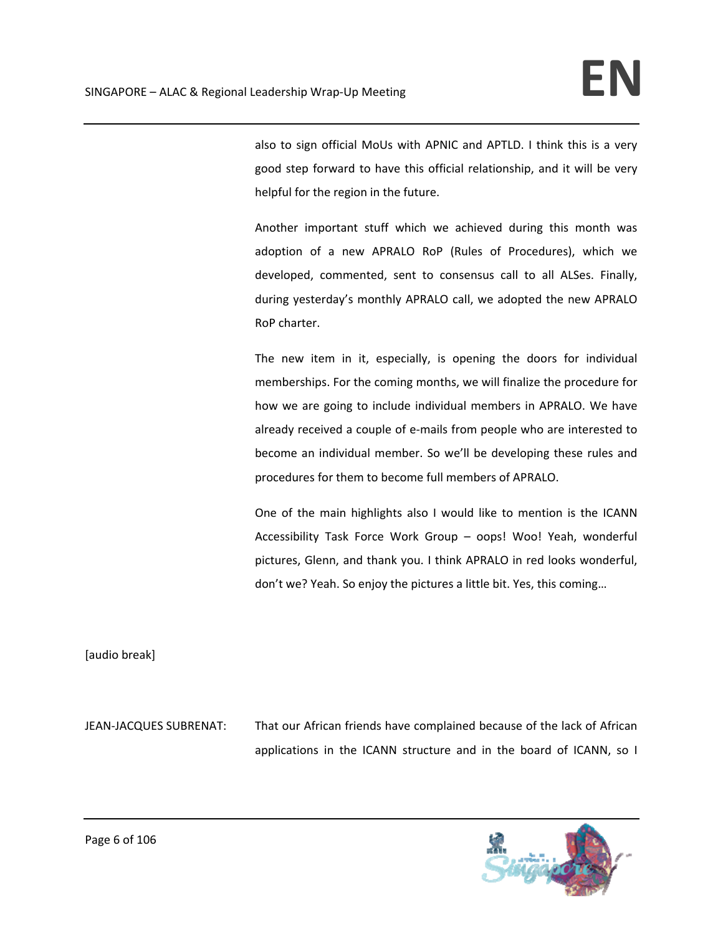also to sign official MoUs with APNIC and APTLD. I think this is a very good step forward to have this official relationship, and it will be very helpful for the region in the future.

Another important stuff which we achieved during this month was adoption of a new APRALO RoP (Rules of Procedures), which we developed, commented, sent to consensus call to all ALSes. Finally, during yesterday's monthly APRALO call, we adopted the new APRALO RoP charter.

The new item in it, especially, is opening the doors for individual memberships. For the coming months, we will finalize the procedure for how we are going to include individual members in APRALO. We have already received a couple of e‐mails from people who are interested to become an individual member. So we'll be developing these rules and procedures for them to become full members of APRALO.

One of the main highlights also I would like to mention is the ICANN Accessibility Task Force Work Group – oops! Woo! Yeah, wonderful pictures, Glenn, and thank you. I think APRALO in red looks wonderful, don't we? Yeah. So enjoy the pictures a little bit. Yes, this coming…

[audio break]

JEAN‐JACQUES SUBRENAT: That our African friends have complained because of the lack of African applications in the ICANN structure and in the board of ICANN, so I

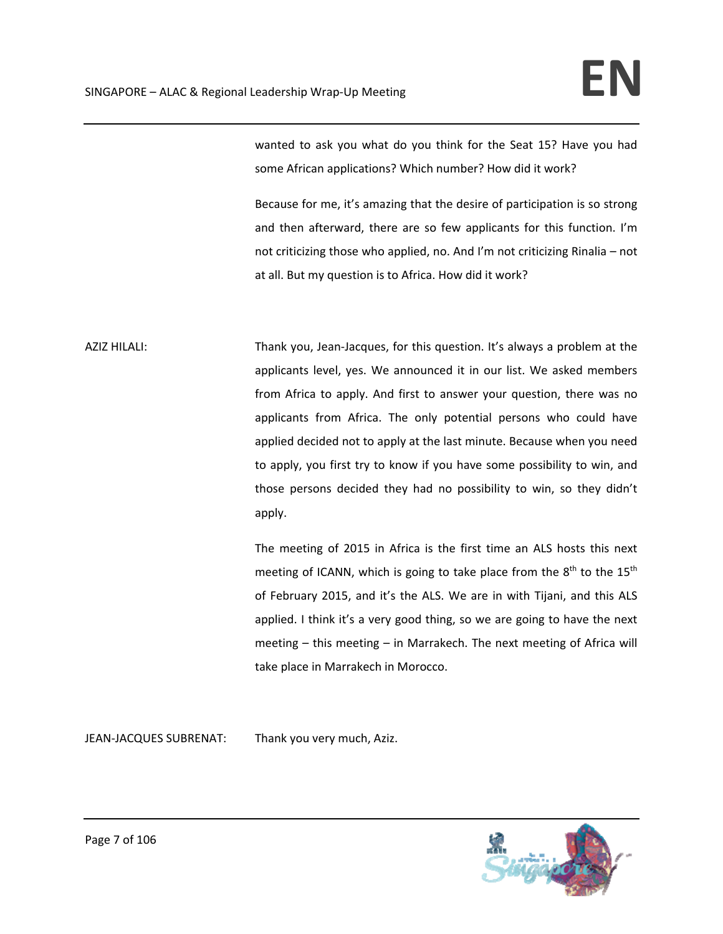wanted to ask you what do you think for the Seat 15? Have you had some African applications? Which number? How did it work?

Because for me, it's amazing that the desire of participation is so strong and then afterward, there are so few applicants for this function. I'm not criticizing those who applied, no. And I'm not criticizing Rinalia – not at all. But my question is to Africa. How did it work?

AZIZ HILALI: Thank you, Jean‐Jacques, for this question. It's always a problem at the applicants level, yes. We announced it in our list. We asked members from Africa to apply. And first to answer your question, there was no applicants from Africa. The only potential persons who could have applied decided not to apply at the last minute. Because when you need to apply, you first try to know if you have some possibility to win, and those persons decided they had no possibility to win, so they didn't apply.

> The meeting of 2015 in Africa is the first time an ALS hosts this next meeting of ICANN, which is going to take place from the  $8<sup>th</sup>$  to the 15<sup>th</sup> of February 2015, and it's the ALS. We are in with Tijani, and this ALS applied. I think it's a very good thing, so we are going to have the next meeting – this meeting – in Marrakech. The next meeting of Africa will take place in Marrakech in Morocco.

JEAN-JACQUES SUBRENAT: Thank you very much, Aziz.

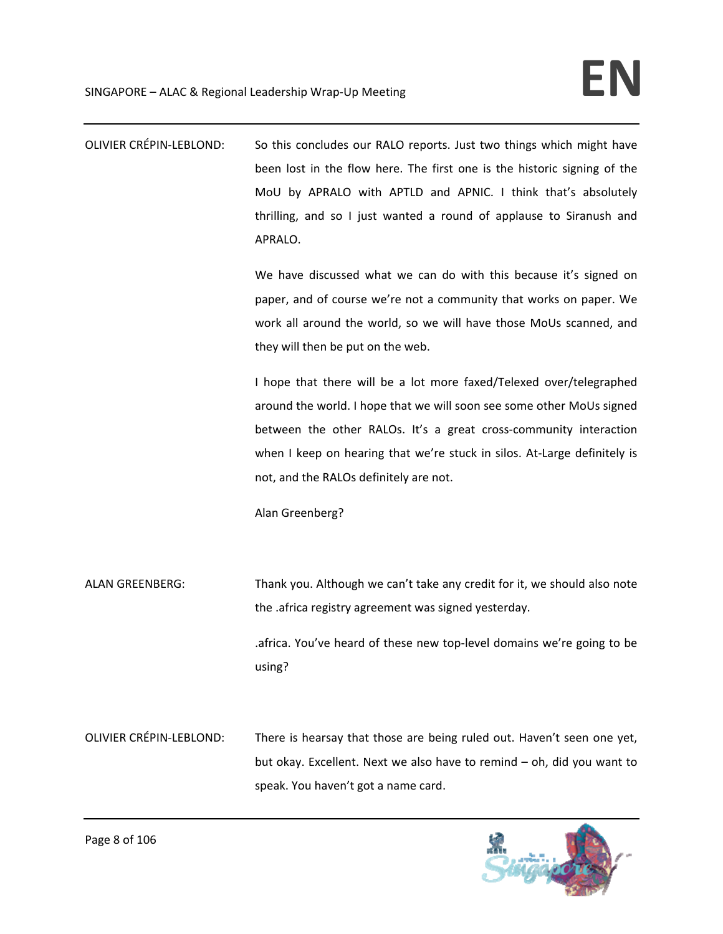OLIVIER CRÉPIN‐LEBLOND: So this concludes our RALO reports. Just two things which might have been lost in the flow here. The first one is the historic signing of the MoU by APRALO with APTLD and APNIC. I think that's absolutely thrilling, and so I just wanted a round of applause to Siranush and APRALO.

> We have discussed what we can do with this because it's signed on paper, and of course we're not a community that works on paper. We work all around the world, so we will have those MoUs scanned, and they will then be put on the web.

> I hope that there will be a lot more faxed/Telexed over/telegraphed around the world. I hope that we will soon see some other MoUs signed between the other RALOs. It's a great cross-community interaction when I keep on hearing that we're stuck in silos. At-Large definitely is not, and the RALOs definitely are not.

Alan Greenberg?

ALAN GREENBERG: Thank you. Although we can't take any credit for it, we should also note the .africa registry agreement was signed yesterday.

> .africa. You've heard of these new top‐level domains we're going to be using?

OLIVIER CRÉPIN‐LEBLOND: There is hearsay that those are being ruled out. Haven't seen one yet, but okay. Excellent. Next we also have to remind – oh, did you want to speak. You haven't got a name card.

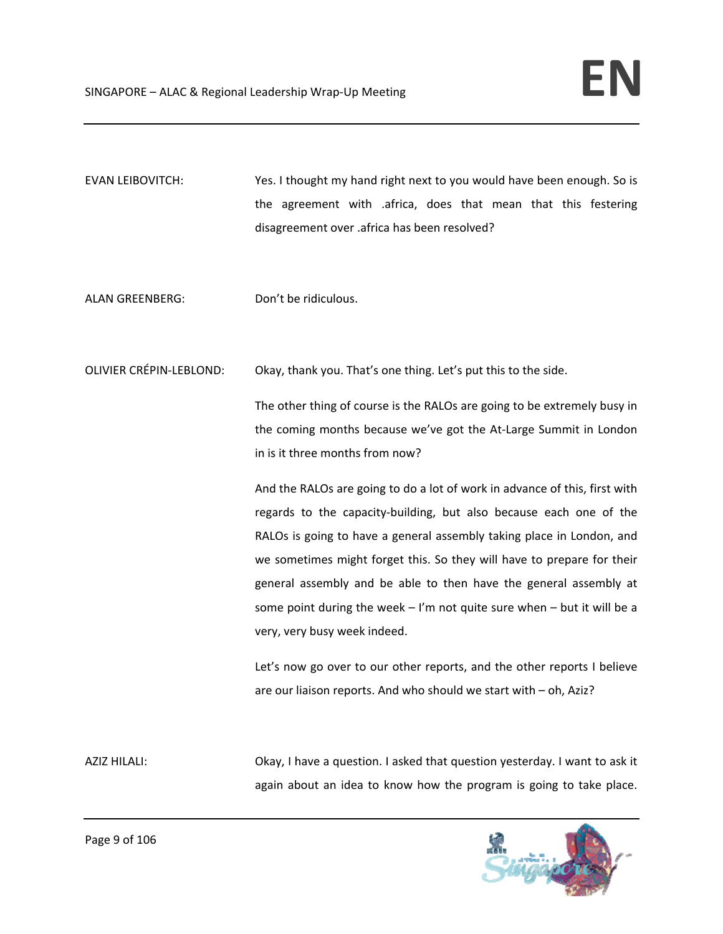- EVAN LEIBOVITCH: Yes. I thought my hand right next to you would have been enough. So is the agreement with .africa, does that mean that this festering disagreement over .africa has been resolved?
- ALAN GREENBERG: Don't be ridiculous.

OLIVIER CRÉPIN‐LEBLOND: Okay, thank you. That's one thing. Let's put this to the side.

The other thing of course is the RALOs are going to be extremely busy in the coming months because we've got the At‐Large Summit in London in is it three months from now?

And the RALOs are going to do a lot of work in advance of this, first with regards to the capacity‐building, but also because each one of the RALOs is going to have a general assembly taking place in London, and we sometimes might forget this. So they will have to prepare for their general assembly and be able to then have the general assembly at some point during the week  $-1$ 'm not quite sure when  $-$  but it will be a very, very busy week indeed.

Let's now go over to our other reports, and the other reports I believe are our liaison reports. And who should we start with – oh, Aziz?

AZIZ HILALI: Okay, I have a question. I asked that question yesterday. I want to ask it again about an idea to know how the program is going to take place.

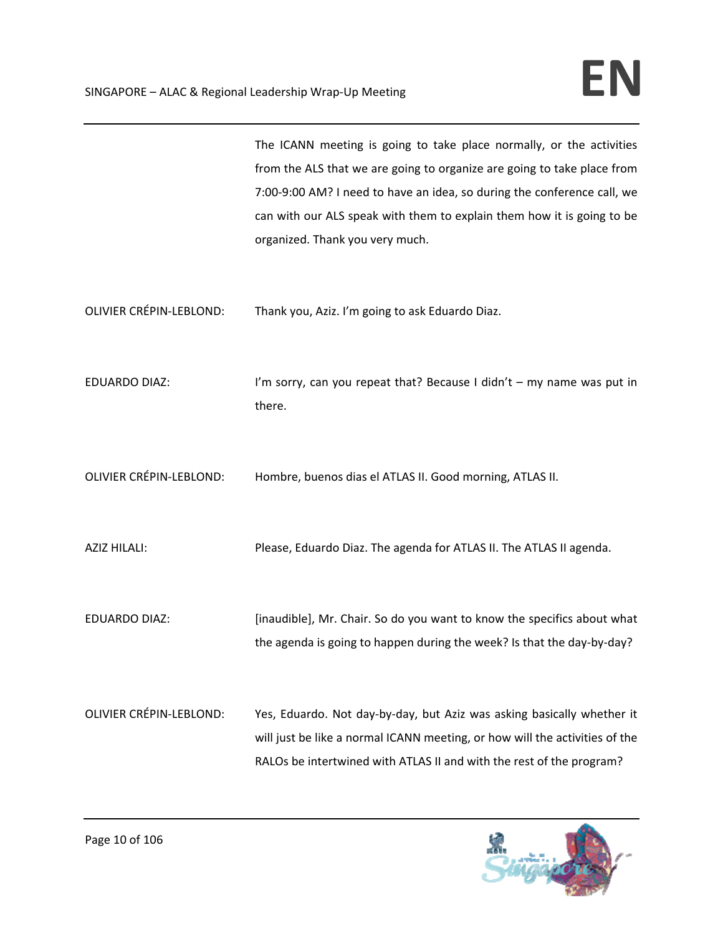|                                | The ICANN meeting is going to take place normally, or the activities<br>from the ALS that we are going to organize are going to take place from<br>7:00-9:00 AM? I need to have an idea, so during the conference call, we<br>can with our ALS speak with them to explain them how it is going to be<br>organized. Thank you very much. |
|--------------------------------|-----------------------------------------------------------------------------------------------------------------------------------------------------------------------------------------------------------------------------------------------------------------------------------------------------------------------------------------|
| <b>OLIVIER CRÉPIN-LEBLOND:</b> | Thank you, Aziz. I'm going to ask Eduardo Diaz.                                                                                                                                                                                                                                                                                         |
| <b>EDUARDO DIAZ:</b>           | I'm sorry, can you repeat that? Because I didn't - my name was put in<br>there.                                                                                                                                                                                                                                                         |
| <b>OLIVIER CRÉPIN-LEBLOND:</b> | Hombre, buenos dias el ATLAS II. Good morning, ATLAS II.                                                                                                                                                                                                                                                                                |
| AZIZ HILALI:                   | Please, Eduardo Diaz. The agenda for ATLAS II. The ATLAS II agenda.                                                                                                                                                                                                                                                                     |
| <b>EDUARDO DIAZ:</b>           | [inaudible], Mr. Chair. So do you want to know the specifics about what<br>the agenda is going to happen during the week? Is that the day-by-day?                                                                                                                                                                                       |
| <b>OLIVIER CRÉPIN-LEBLOND:</b> | Yes, Eduardo. Not day-by-day, but Aziz was asking basically whether it<br>will just be like a normal ICANN meeting, or how will the activities of the<br>RALOs be intertwined with ATLAS II and with the rest of the program?                                                                                                           |

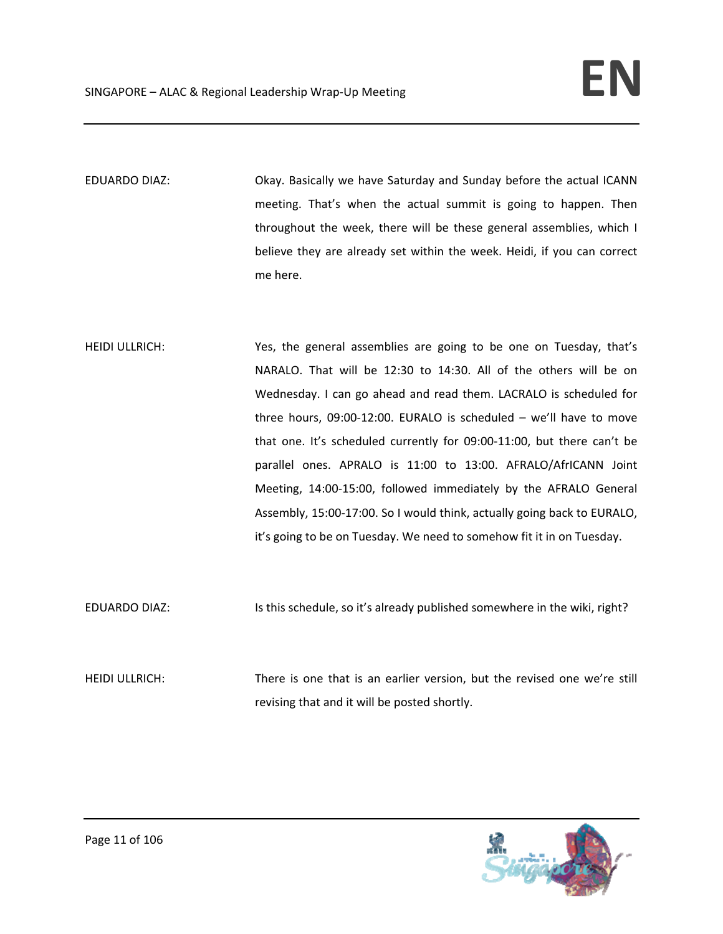EDUARDO DIAZ: Okay. Basically we have Saturday and Sunday before the actual ICANN meeting. That's when the actual summit is going to happen. Then throughout the week, there will be these general assemblies, which I believe they are already set within the week. Heidi, if you can correct me here.

HEIDI ULLRICH: Yes, the general assemblies are going to be one on Tuesday, that's NARALO. That will be 12:30 to 14:30. All of the others will be on Wednesday. I can go ahead and read them. LACRALO is scheduled for three hours, 09:00‐12:00. EURALO is scheduled – we'll have to move that one. It's scheduled currently for 09:00‐11:00, but there can't be parallel ones. APRALO is 11:00 to 13:00. AFRALO/AfrICANN Joint Meeting, 14:00‐15:00, followed immediately by the AFRALO General Assembly, 15:00‐17:00. So I would think, actually going back to EURALO, it's going to be on Tuesday. We need to somehow fit it in on Tuesday.

EDUARDO DIAZ: Is this schedule, so it's already published somewhere in the wiki, right?

HEIDI ULLRICH: There is one that is an earlier version, but the revised one we're still revising that and it will be posted shortly.

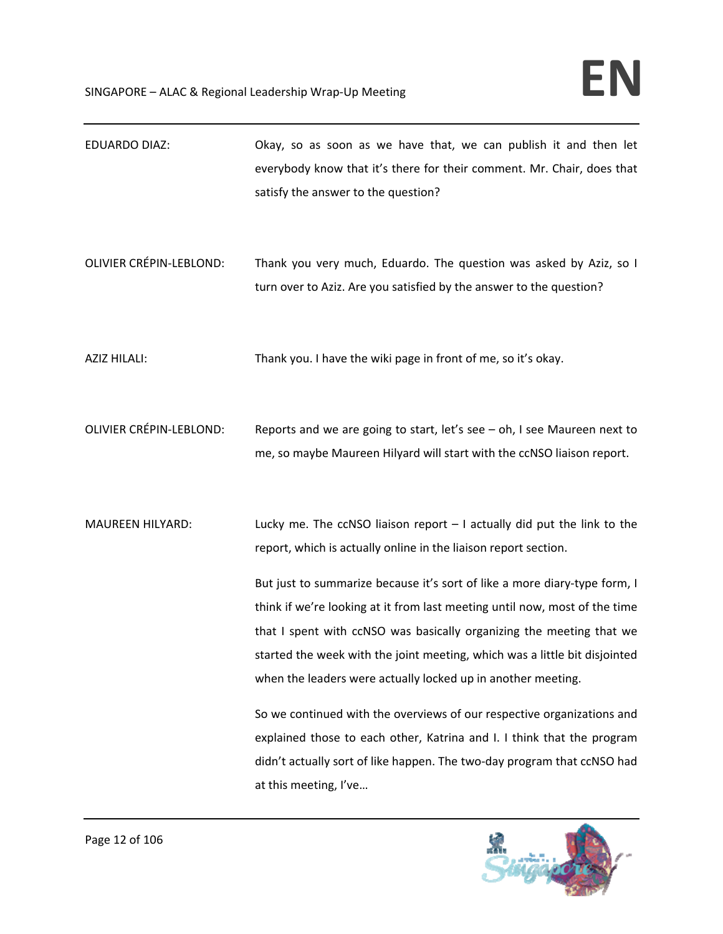| <b>EDUARDO DIAZ:</b>           | Okay, so as soon as we have that, we can publish it and then let<br>everybody know that it's there for their comment. Mr. Chair, does that<br>satisfy the answer to the question?                                                                                                                                                                                             |
|--------------------------------|-------------------------------------------------------------------------------------------------------------------------------------------------------------------------------------------------------------------------------------------------------------------------------------------------------------------------------------------------------------------------------|
| <b>OLIVIER CRÉPIN-LEBLOND:</b> | Thank you very much, Eduardo. The question was asked by Aziz, so I<br>turn over to Aziz. Are you satisfied by the answer to the question?                                                                                                                                                                                                                                     |
| <b>AZIZ HILALI:</b>            | Thank you. I have the wiki page in front of me, so it's okay.                                                                                                                                                                                                                                                                                                                 |
| <b>OLIVIER CRÉPIN-LEBLOND:</b> | Reports and we are going to start, let's see $-$ oh, I see Maureen next to<br>me, so maybe Maureen Hilyard will start with the ccNSO liaison report.                                                                                                                                                                                                                          |
| <b>MAUREEN HILYARD:</b>        | Lucky me. The ccNSO liaison report $-1$ actually did put the link to the<br>report, which is actually online in the liaison report section.                                                                                                                                                                                                                                   |
|                                | But just to summarize because it's sort of like a more diary-type form, I<br>think if we're looking at it from last meeting until now, most of the time<br>that I spent with ccNSO was basically organizing the meeting that we<br>started the week with the joint meeting, which was a little bit disjointed<br>when the leaders were actually locked up in another meeting. |
|                                | So we continued with the overviews of our respective organizations and<br>explained those to each other, Katrina and I. I think that the program<br>didn't actually sort of like happen. The two-day program that ccNSO had<br>at this meeting, I've                                                                                                                          |

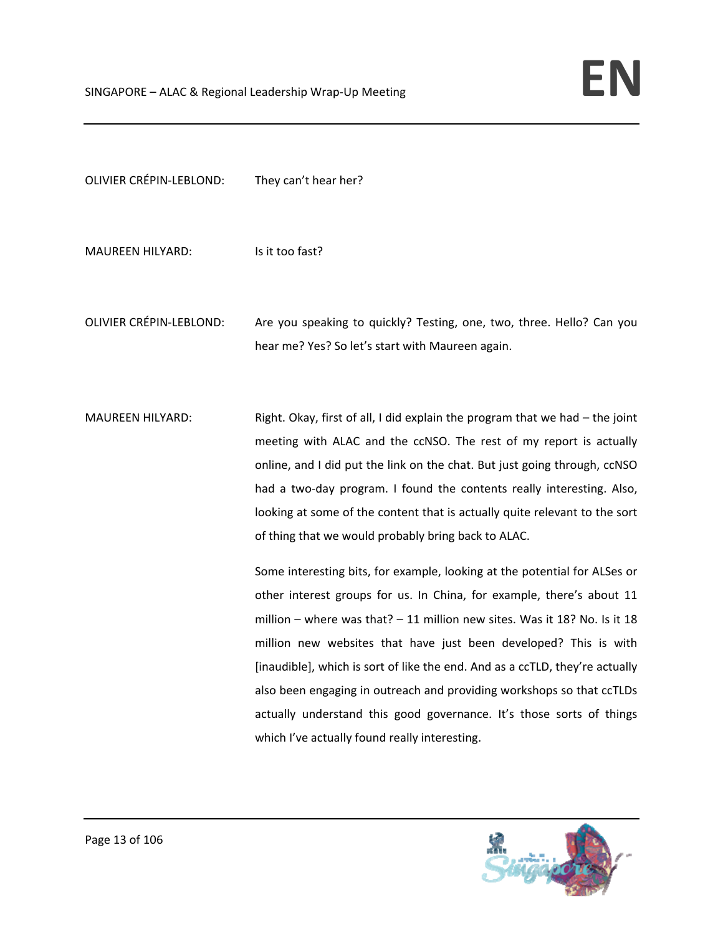| <b>OLIVIER CRÉPIN-LEBLOND:</b> | They can't hear her?                                                                                                      |
|--------------------------------|---------------------------------------------------------------------------------------------------------------------------|
| <b>MAUREEN HILYARD:</b>        | Is it too fast?                                                                                                           |
| <b>OLIVIER CRÉPIN-LEBLOND:</b> | Are you speaking to quickly? Testing, one, two, three. Hello? Can you<br>hear me? Yes? So let's start with Maureen again. |
| <b>MAUREEN HILYARD:</b>        | Right. Okay, first of all, I did explain the program that we had - the joint                                              |

meeting with ALAC and the ccNSO. The rest of my report is actually online, and I did put the link on the chat. But just going through, ccNSO had a two-day program. I found the contents really interesting. Also, looking at some of the content that is actually quite relevant to the sort of thing that we would probably bring back to ALAC.

> Some interesting bits, for example, looking at the potential for ALSes or other interest groups for us. In China, for example, there's about 11 million – where was that? – 11 million new sites. Was it 18? No. Is it 18 million new websites that have just been developed? This is with [inaudible], which is sort of like the end. And as a ccTLD, they're actually also been engaging in outreach and providing workshops so that ccTLDs actually understand this good governance. It's those sorts of things which I've actually found really interesting.

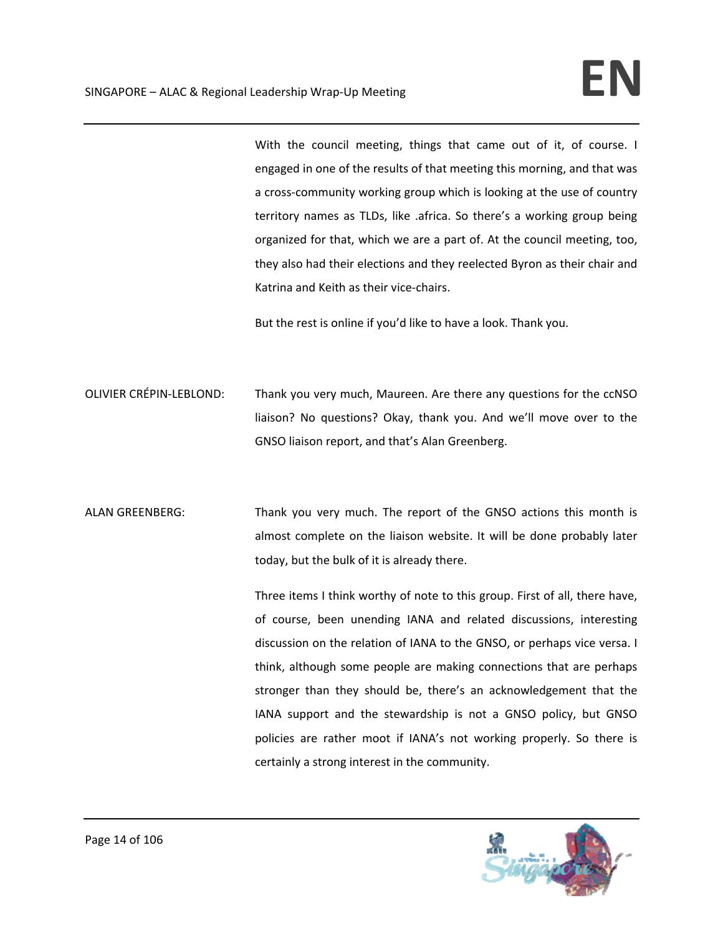With the council meeting, things that came out of it, of course. I engaged in one of the results of that meeting this morning, and that was a cross‐community working group which is looking at the use of country territory names as TLDs, like .africa. So there's a working group being organized for that, which we are a part of. At the council meeting, too, they also had their elections and they reelected Byron as their chair and Katrina and Keith as their vice‐chairs.

But the rest is online if you'd like to have a look. Thank you.

- OLIVIER CRÉPIN‐LEBLOND: Thank you very much, Maureen. Are there any questions for the ccNSO liaison? No questions? Okay, thank you. And we'll move over to the GNSO liaison report, and that's Alan Greenberg.
- ALAN GREENBERG: Thank you very much. The report of the GNSO actions this month is almost complete on the liaison website. It will be done probably later today, but the bulk of it is already there.

Three items I think worthy of note to this group. First of all, there have, of course, been unending IANA and related discussions, interesting discussion on the relation of IANA to the GNSO, or perhaps vice versa. I think, although some people are making connections that are perhaps stronger than they should be, there's an acknowledgement that the IANA support and the stewardship is not a GNSO policy, but GNSO policies are rather moot if IANA's not working properly. So there is certainly a strong interest in the community.

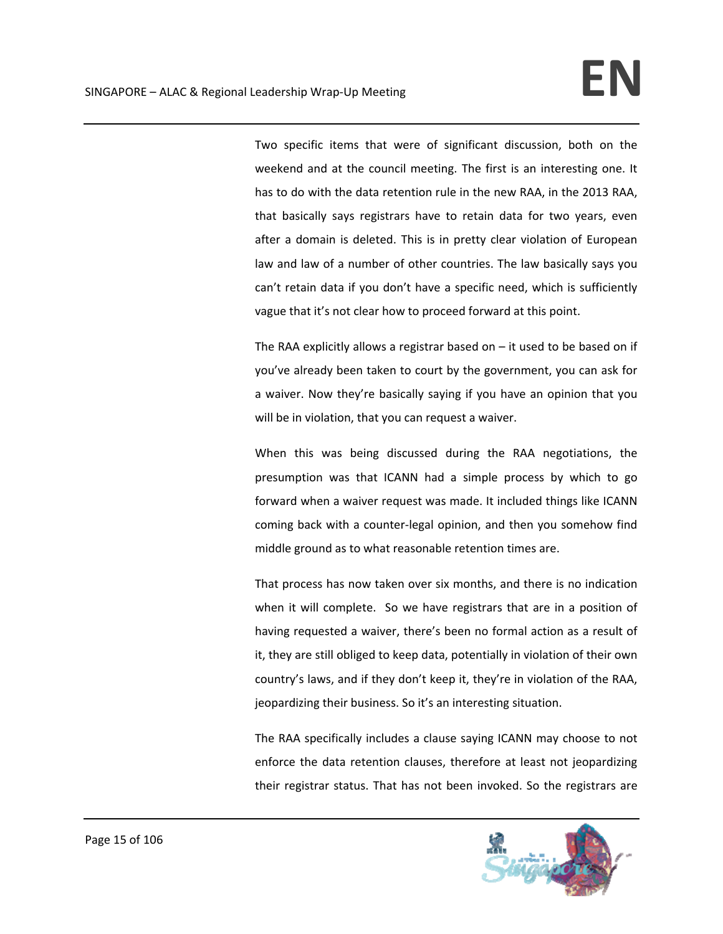Two specific items that were of significant discussion, both on the weekend and at the council meeting. The first is an interesting one. It has to do with the data retention rule in the new RAA, in the 2013 RAA, that basically says registrars have to retain data for two years, even after a domain is deleted. This is in pretty clear violation of European law and law of a number of other countries. The law basically says you can't retain data if you don't have a specific need, which is sufficiently vague that it's not clear how to proceed forward at this point.

The RAA explicitly allows a registrar based on  $-$  it used to be based on if you've already been taken to court by the government, you can ask for a waiver. Now they're basically saying if you have an opinion that you will be in violation, that you can request a waiver.

When this was being discussed during the RAA negotiations, the presumption was that ICANN had a simple process by which to go forward when a waiver request was made. It included things like ICANN coming back with a counter‐legal opinion, and then you somehow find middle ground as to what reasonable retention times are.

That process has now taken over six months, and there is no indication when it will complete. So we have registrars that are in a position of having requested a waiver, there's been no formal action as a result of it, they are still obliged to keep data, potentially in violation of their own country's laws, and if they don't keep it, they're in violation of the RAA, jeopardizing their business. So it's an interesting situation.

The RAA specifically includes a clause saying ICANN may choose to not enforce the data retention clauses, therefore at least not jeopardizing their registrar status. That has not been invoked. So the registrars are

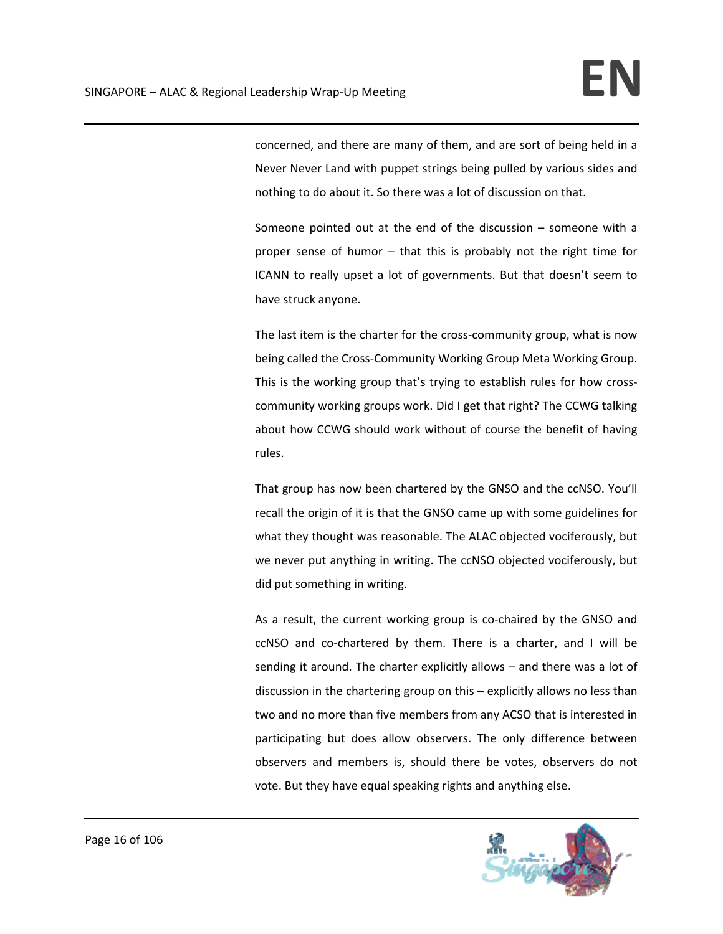concerned, and there are many of them, and are sort of being held in a Never Never Land with puppet strings being pulled by various sides and nothing to do about it. So there was a lot of discussion on that.

Someone pointed out at the end of the discussion – someone with a proper sense of humor – that this is probably not the right time for ICANN to really upset a lot of governments. But that doesn't seem to have struck anyone.

The last item is the charter for the cross-community group, what is now being called the Cross‐Community Working Group Meta Working Group. This is the working group that's trying to establish rules for how cross‐ community working groups work. Did I get that right? The CCWG talking about how CCWG should work without of course the benefit of having rules.

That group has now been chartered by the GNSO and the ccNSO. You'll recall the origin of it is that the GNSO came up with some guidelines for what they thought was reasonable. The ALAC objected vociferously, but we never put anything in writing. The ccNSO objected vociferously, but did put something in writing.

As a result, the current working group is co-chaired by the GNSO and ccNSO and co‐chartered by them. There is a charter, and I will be sending it around. The charter explicitly allows – and there was a lot of discussion in the chartering group on this – explicitly allows no less than two and no more than five members from any ACSO that is interested in participating but does allow observers. The only difference between observers and members is, should there be votes, observers do not vote. But they have equal speaking rights and anything else.

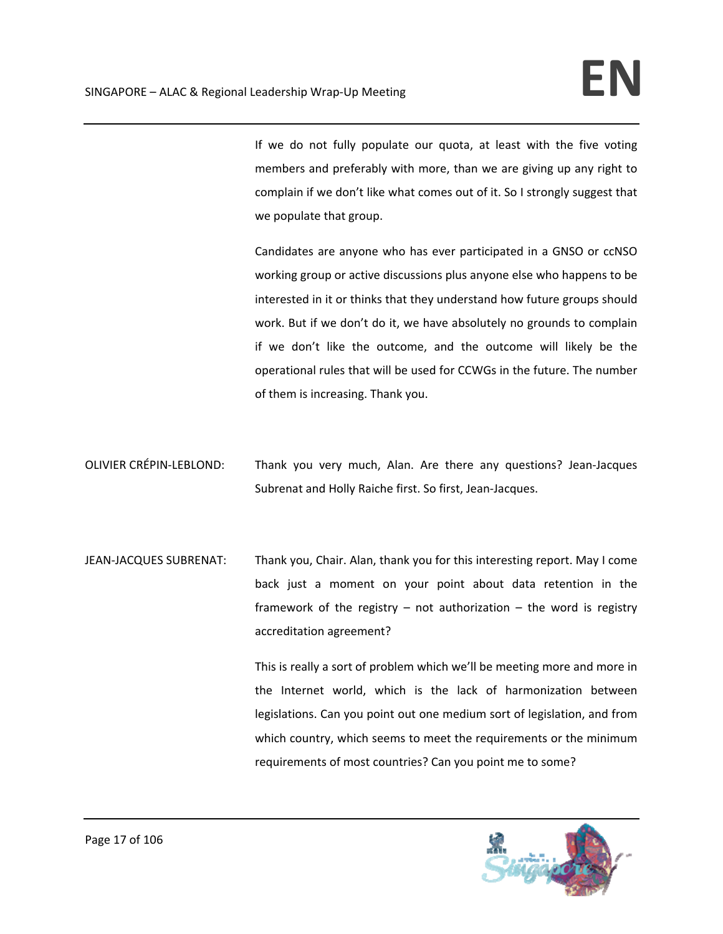If we do not fully populate our quota, at least with the five voting members and preferably with more, than we are giving up any right to complain if we don't like what comes out of it. So I strongly suggest that we populate that group.

Candidates are anyone who has ever participated in a GNSO or ccNSO working group or active discussions plus anyone else who happens to be interested in it or thinks that they understand how future groups should work. But if we don't do it, we have absolutely no grounds to complain if we don't like the outcome, and the outcome will likely be the operational rules that will be used for CCWGs in the future. The number of them is increasing. Thank you.

- OLIVIER CRÉPIN‐LEBLOND: Thank you very much, Alan. Are there any questions? Jean‐Jacques Subrenat and Holly Raiche first. So first, Jean‐Jacques.
- JEAN‐JACQUES SUBRENAT: Thank you, Chair. Alan, thank you for this interesting report. May I come back just a moment on your point about data retention in the framework of the registry  $-$  not authorization  $-$  the word is registry accreditation agreement?

This is really a sort of problem which we'll be meeting more and more in the Internet world, which is the lack of harmonization between legislations. Can you point out one medium sort of legislation, and from which country, which seems to meet the requirements or the minimum requirements of most countries? Can you point me to some?

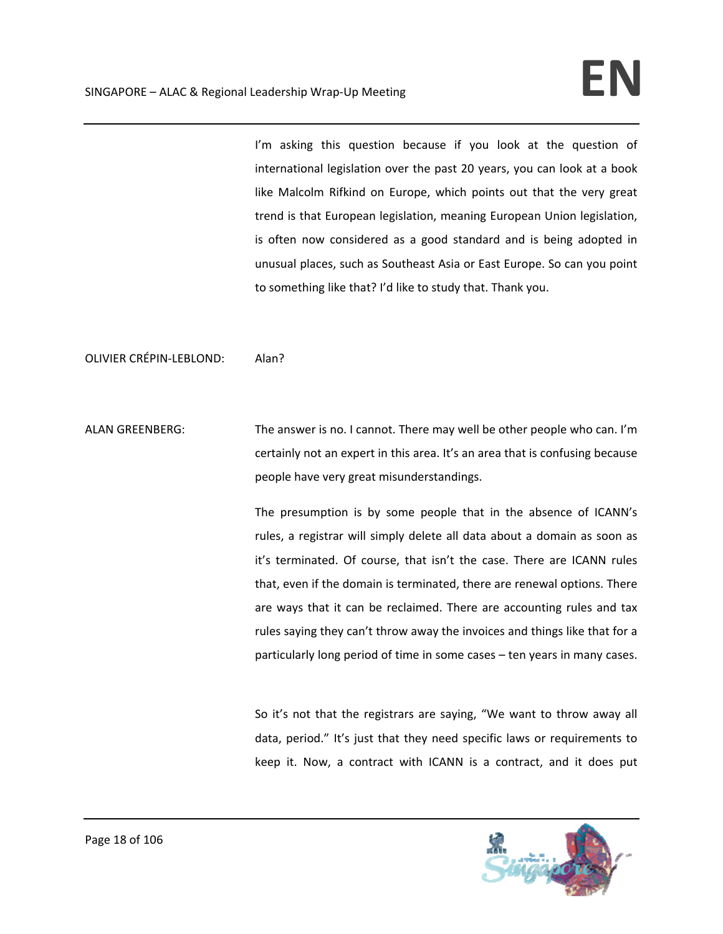I'm asking this question because if you look at the question of international legislation over the past 20 years, you can look at a book like Malcolm Rifkind on Europe, which points out that the very great trend is that European legislation, meaning European Union legislation, is often now considered as a good standard and is being adopted in unusual places, such as Southeast Asia or East Europe. So can you point to something like that? I'd like to study that. Thank you.

OLIVIER CRÉPIN‐LEBLOND: Alan?

ALAN GREENBERG: The answer is no. I cannot. There may well be other people who can. I'm certainly not an expert in this area. It's an area that is confusing because people have very great misunderstandings.

> The presumption is by some people that in the absence of ICANN's rules, a registrar will simply delete all data about a domain as soon as it's terminated. Of course, that isn't the case. There are ICANN rules that, even if the domain is terminated, there are renewal options. There are ways that it can be reclaimed. There are accounting rules and tax rules saying they can't throw away the invoices and things like that for a particularly long period of time in some cases – ten years in many cases.

> So it's not that the registrars are saying, "We want to throw away all data, period." It's just that they need specific laws or requirements to keep it. Now, a contract with ICANN is a contract, and it does put

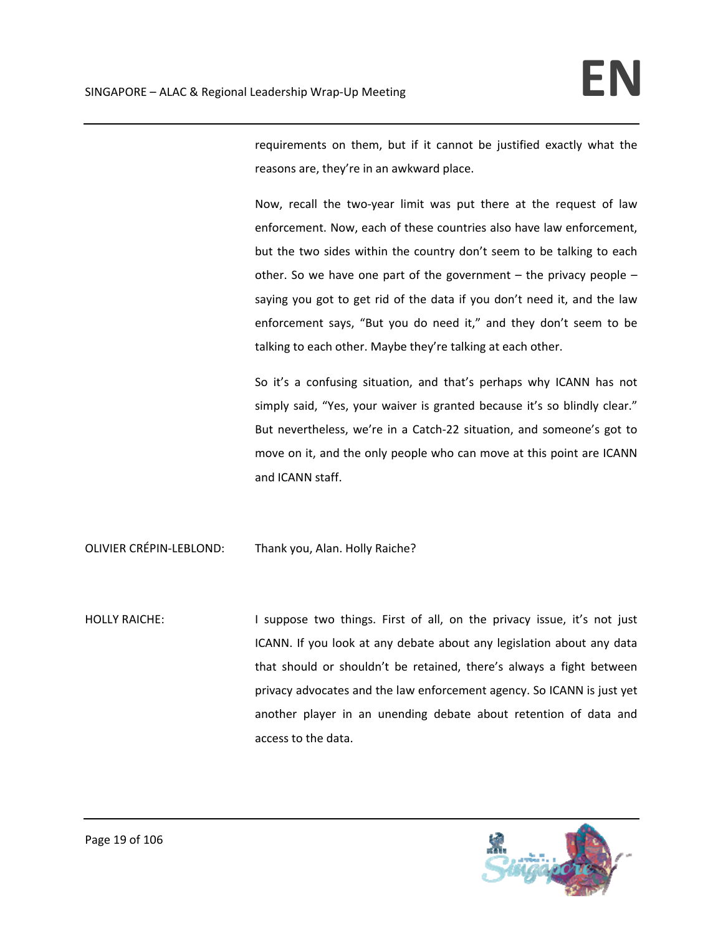requirements on them, but if it cannot be justified exactly what the reasons are, they're in an awkward place.

Now, recall the two‐year limit was put there at the request of law enforcement. Now, each of these countries also have law enforcement, but the two sides within the country don't seem to be talking to each other. So we have one part of the government  $-$  the privacy people  $$ saying you got to get rid of the data if you don't need it, and the law enforcement says, "But you do need it," and they don't seem to be talking to each other. Maybe they're talking at each other.

So it's a confusing situation, and that's perhaps why ICANN has not simply said, "Yes, your waiver is granted because it's so blindly clear." But nevertheless, we're in a Catch‐22 situation, and someone's got to move on it, and the only people who can move at this point are ICANN and ICANN staff.

OLIVIER CRÉPIN‐LEBLOND: Thank you, Alan. Holly Raiche?

HOLLY RAICHE: I suppose two things. First of all, on the privacy issue, it's not just ICANN. If you look at any debate about any legislation about any data that should or shouldn't be retained, there's always a fight between privacy advocates and the law enforcement agency. So ICANN is just yet another player in an unending debate about retention of data and access to the data.

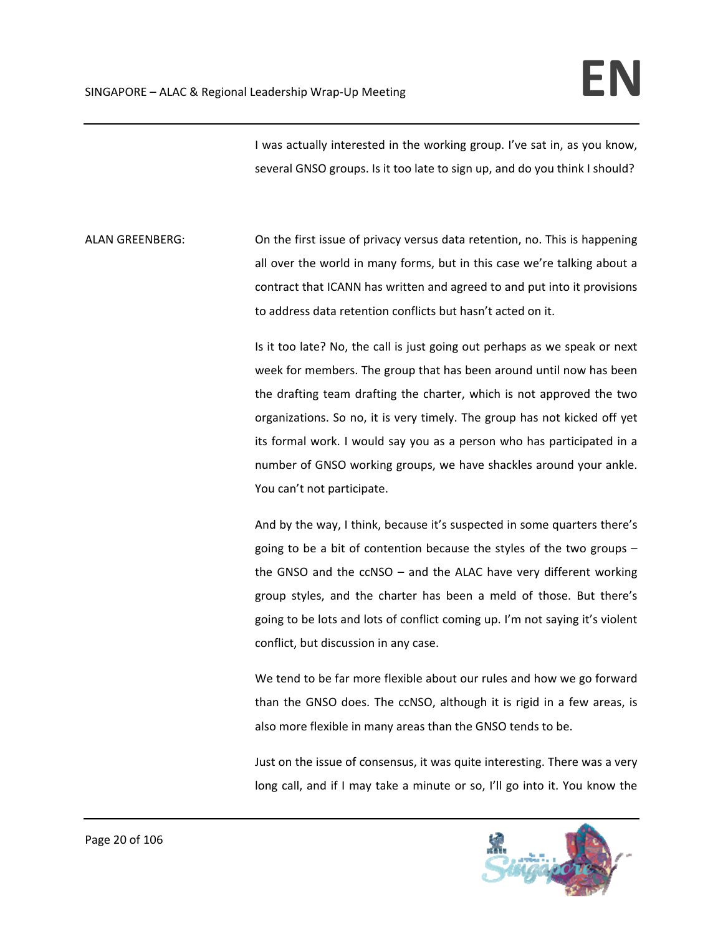I was actually interested in the working group. I've sat in, as you know, several GNSO groups. Is it too late to sign up, and do you think I should?

ALAN GREENBERG: On the first issue of privacy versus data retention, no. This is happening all over the world in many forms, but in this case we're talking about a contract that ICANN has written and agreed to and put into it provisions to address data retention conflicts but hasn't acted on it.

> Is it too late? No, the call is just going out perhaps as we speak or next week for members. The group that has been around until now has been the drafting team drafting the charter, which is not approved the two organizations. So no, it is very timely. The group has not kicked off yet its formal work. I would say you as a person who has participated in a number of GNSO working groups, we have shackles around your ankle. You can't not participate.

> And by the way, I think, because it's suspected in some quarters there's going to be a bit of contention because the styles of the two groups – the GNSO and the ccNSO – and the ALAC have very different working group styles, and the charter has been a meld of those. But there's going to be lots and lots of conflict coming up. I'm not saying it's violent conflict, but discussion in any case.

> We tend to be far more flexible about our rules and how we go forward than the GNSO does. The ccNSO, although it is rigid in a few areas, is also more flexible in many areas than the GNSO tends to be.

> Just on the issue of consensus, it was quite interesting. There was a very long call, and if I may take a minute or so, I'll go into it. You know the

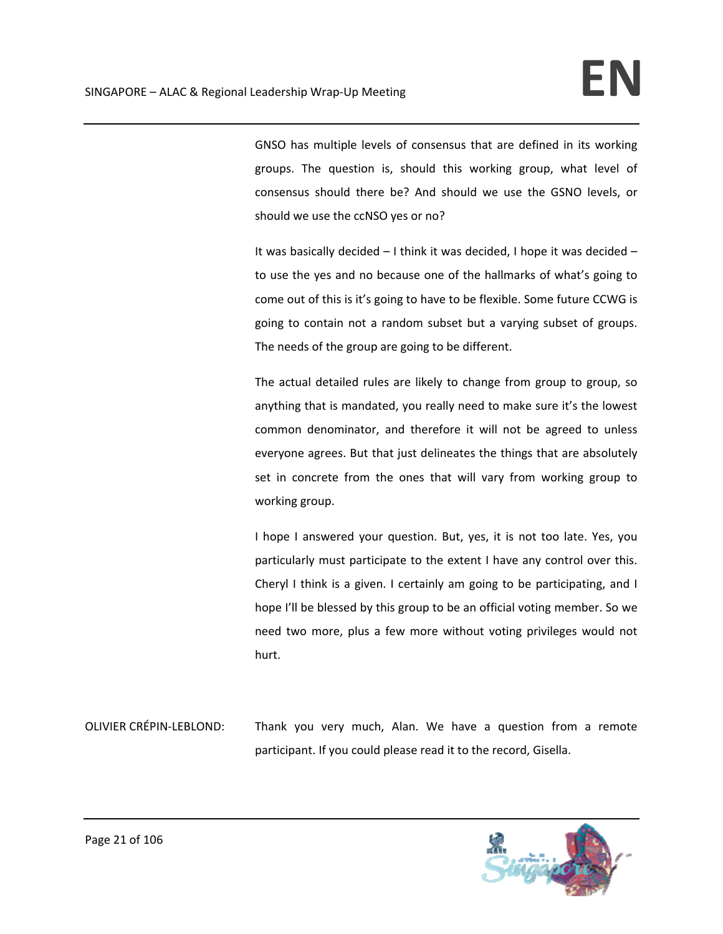GNSO has multiple levels of consensus that are defined in its working groups. The question is, should this working group, what level of consensus should there be? And should we use the GSNO levels, or should we use the ccNSO yes or no?

It was basically decided – I think it was decided, I hope it was decided – to use the yes and no because one of the hallmarks of what's going to come out of this is it's going to have to be flexible. Some future CCWG is going to contain not a random subset but a varying subset of groups. The needs of the group are going to be different.

The actual detailed rules are likely to change from group to group, so anything that is mandated, you really need to make sure it's the lowest common denominator, and therefore it will not be agreed to unless everyone agrees. But that just delineates the things that are absolutely set in concrete from the ones that will vary from working group to working group.

I hope I answered your question. But, yes, it is not too late. Yes, you particularly must participate to the extent I have any control over this. Cheryl I think is a given. I certainly am going to be participating, and I hope I'll be blessed by this group to be an official voting member. So we need two more, plus a few more without voting privileges would not hurt.

OLIVIER CRÉPIN‐LEBLOND: Thank you very much, Alan. We have a question from a remote participant. If you could please read it to the record, Gisella.

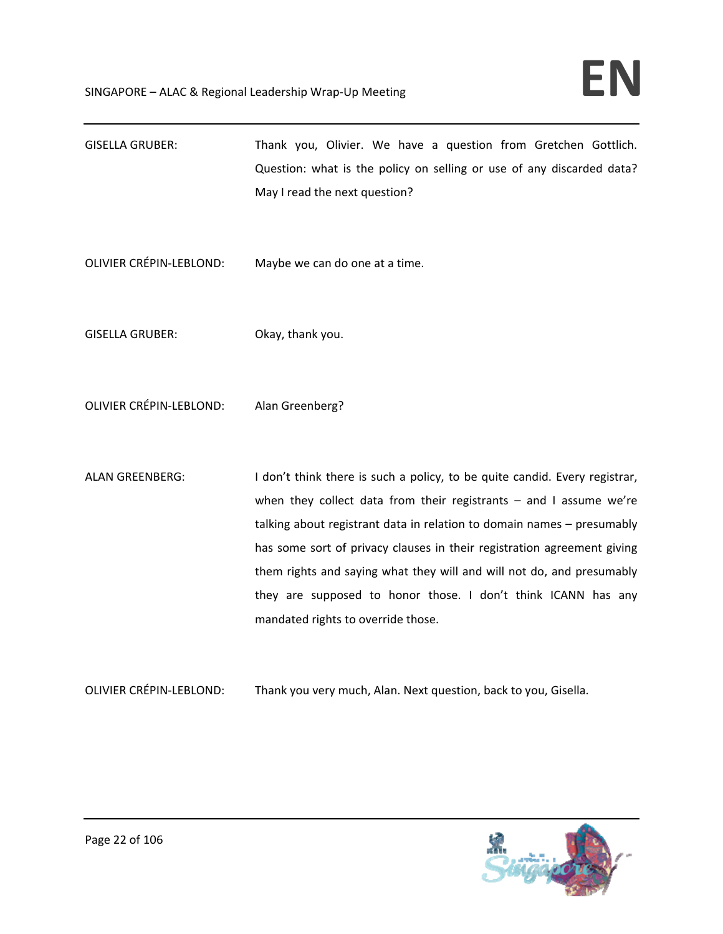| <b>GISELLA GRUBER:</b> | Thank you, Olivier. We have a question from Gretchen Gottlich.        |
|------------------------|-----------------------------------------------------------------------|
|                        | Question: what is the policy on selling or use of any discarded data? |
|                        | May I read the next question?                                         |

- OLIVIER CRÉPIN‐LEBLOND: Maybe we can do one at a time.
- GISELLA GRUBER: Okay, thank you.
- OLIVIER CRÉPIN‐LEBLOND: Alan Greenberg?
- ALAN GREENBERG: I don't think there is such a policy, to be quite candid. Every registrar, when they collect data from their registrants – and I assume we're talking about registrant data in relation to domain names – presumably has some sort of privacy clauses in their registration agreement giving them rights and saying what they will and will not do, and presumably they are supposed to honor those. I don't think ICANN has any mandated rights to override those.
- OLIVIER CRÉPIN‐LEBLOND: Thank you very much, Alan. Next question, back to you, Gisella.

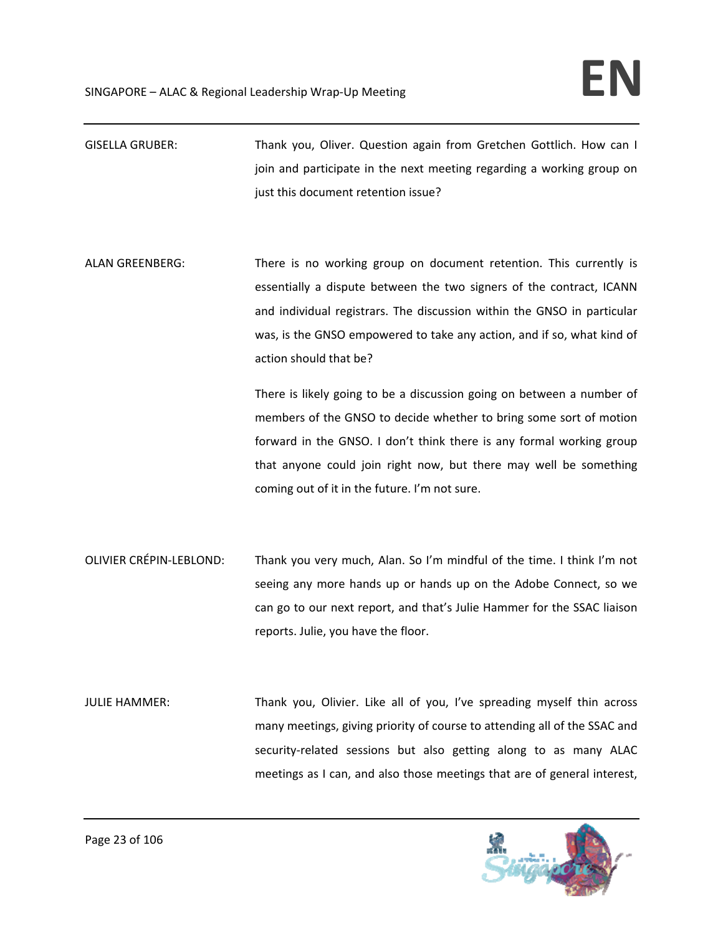GISELLA GRUBER: Thank you, Oliver. Question again from Gretchen Gottlich. How can I join and participate in the next meeting regarding a working group on just this document retention issue?

ALAN GREENBERG: There is no working group on document retention. This currently is essentially a dispute between the two signers of the contract, ICANN and individual registrars. The discussion within the GNSO in particular was, is the GNSO empowered to take any action, and if so, what kind of action should that be?

> There is likely going to be a discussion going on between a number of members of the GNSO to decide whether to bring some sort of motion forward in the GNSO. I don't think there is any formal working group that anyone could join right now, but there may well be something coming out of it in the future. I'm not sure.

- OLIVIER CRÉPIN‐LEBLOND: Thank you very much, Alan. So I'm mindful of the time. I think I'm not seeing any more hands up or hands up on the Adobe Connect, so we can go to our next report, and that's Julie Hammer for the SSAC liaison reports. Julie, you have the floor.
- JULIE HAMMER: Thank you, Olivier. Like all of you, I've spreading myself thin across many meetings, giving priority of course to attending all of the SSAC and security-related sessions but also getting along to as many ALAC meetings as I can, and also those meetings that are of general interest,

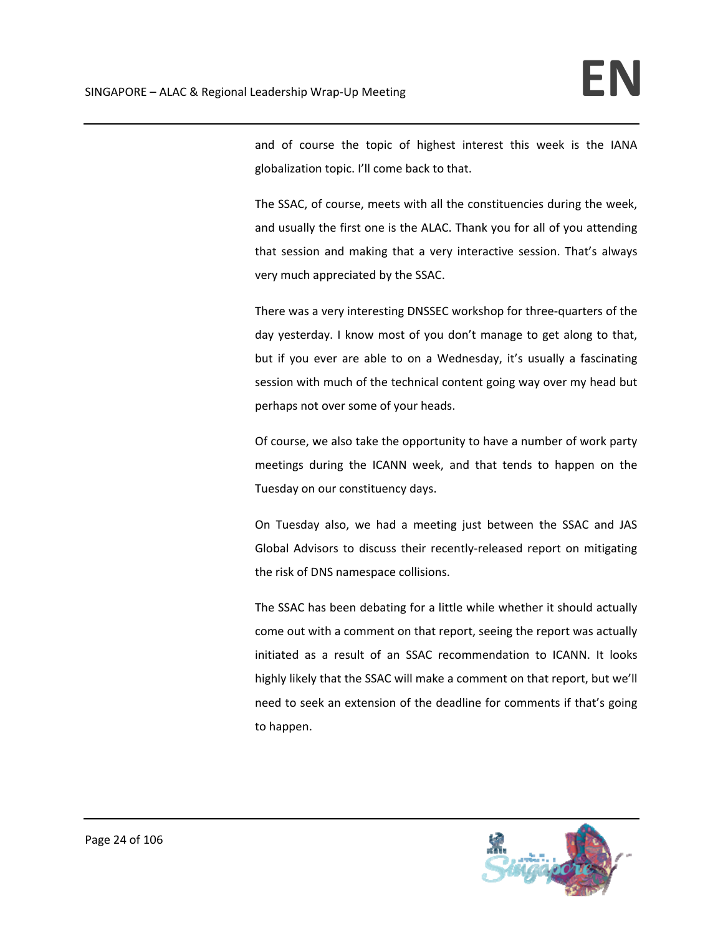and of course the topic of highest interest this week is the IANA globalization topic. I'll come back to that.

The SSAC, of course, meets with all the constituencies during the week, and usually the first one is the ALAC. Thank you for all of you attending that session and making that a very interactive session. That's always very much appreciated by the SSAC.

There was a very interesting DNSSEC workshop for three‐quarters of the day yesterday. I know most of you don't manage to get along to that, but if you ever are able to on a Wednesday, it's usually a fascinating session with much of the technical content going way over my head but perhaps not over some of your heads.

Of course, we also take the opportunity to have a number of work party meetings during the ICANN week, and that tends to happen on the Tuesday on our constituency days.

On Tuesday also, we had a meeting just between the SSAC and JAS Global Advisors to discuss their recently‐released report on mitigating the risk of DNS namespace collisions.

The SSAC has been debating for a little while whether it should actually come out with a comment on that report, seeing the report was actually initiated as a result of an SSAC recommendation to ICANN. It looks highly likely that the SSAC will make a comment on that report, but we'll need to seek an extension of the deadline for comments if that's going to happen.

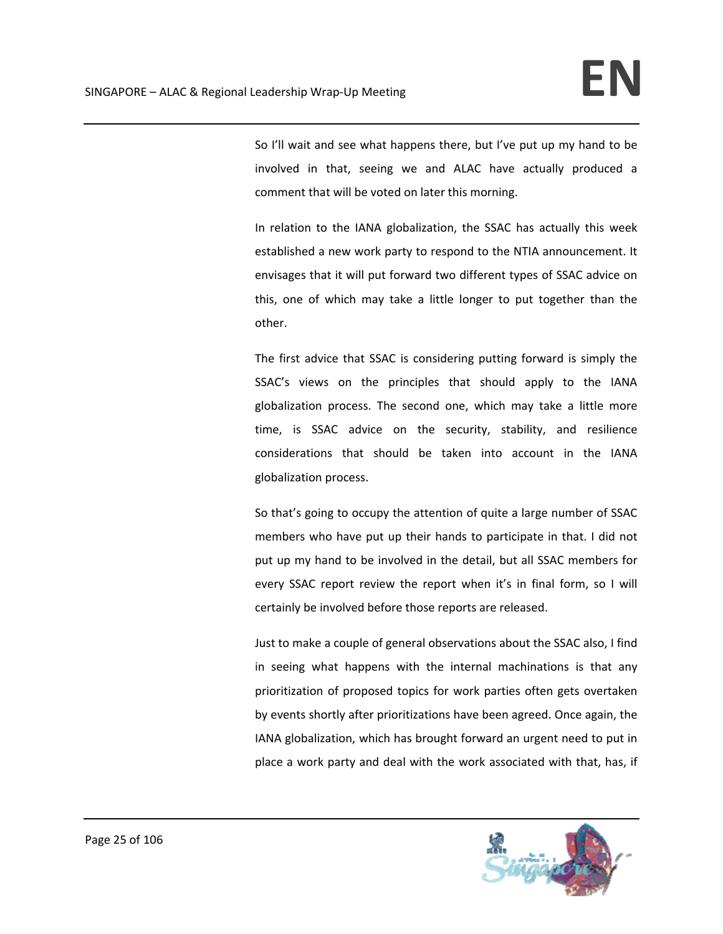So I'll wait and see what happens there, but I've put up my hand to be involved in that, seeing we and ALAC have actually produced a comment that will be voted on later this morning.

In relation to the IANA globalization, the SSAC has actually this week established a new work party to respond to the NTIA announcement. It envisages that it will put forward two different types of SSAC advice on this, one of which may take a little longer to put together than the other.

The first advice that SSAC is considering putting forward is simply the SSAC's views on the principles that should apply to the IANA globalization process. The second one, which may take a little more time, is SSAC advice on the security, stability, and resilience considerations that should be taken into account in the IANA globalization process.

So that's going to occupy the attention of quite a large number of SSAC members who have put up their hands to participate in that. I did not put up my hand to be involved in the detail, but all SSAC members for every SSAC report review the report when it's in final form, so I will certainly be involved before those reports are released.

Just to make a couple of general observations about the SSAC also, I find in seeing what happens with the internal machinations is that any prioritization of proposed topics for work parties often gets overtaken by events shortly after prioritizations have been agreed. Once again, the IANA globalization, which has brought forward an urgent need to put in place a work party and deal with the work associated with that, has, if

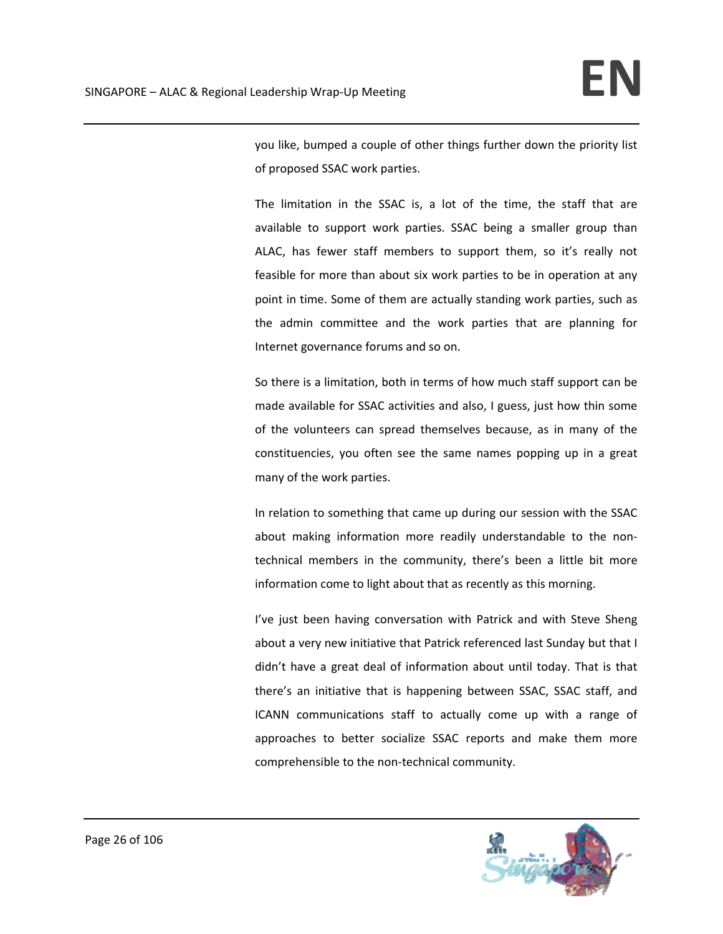you like, bumped a couple of other things further down the priority list of proposed SSAC work parties.

The limitation in the SSAC is, a lot of the time, the staff that are available to support work parties. SSAC being a smaller group than ALAC, has fewer staff members to support them, so it's really not feasible for more than about six work parties to be in operation at any point in time. Some of them are actually standing work parties, such as the admin committee and the work parties that are planning for Internet governance forums and so on.

So there is a limitation, both in terms of how much staff support can be made available for SSAC activities and also, I guess, just how thin some of the volunteers can spread themselves because, as in many of the constituencies, you often see the same names popping up in a great many of the work parties.

In relation to something that came up during our session with the SSAC about making information more readily understandable to the nontechnical members in the community, there's been a little bit more information come to light about that as recently as this morning.

I've just been having conversation with Patrick and with Steve Sheng about a very new initiative that Patrick referenced last Sunday but that I didn't have a great deal of information about until today. That is that there's an initiative that is happening between SSAC, SSAC staff, and ICANN communications staff to actually come up with a range of approaches to better socialize SSAC reports and make them more comprehensible to the non‐technical community.

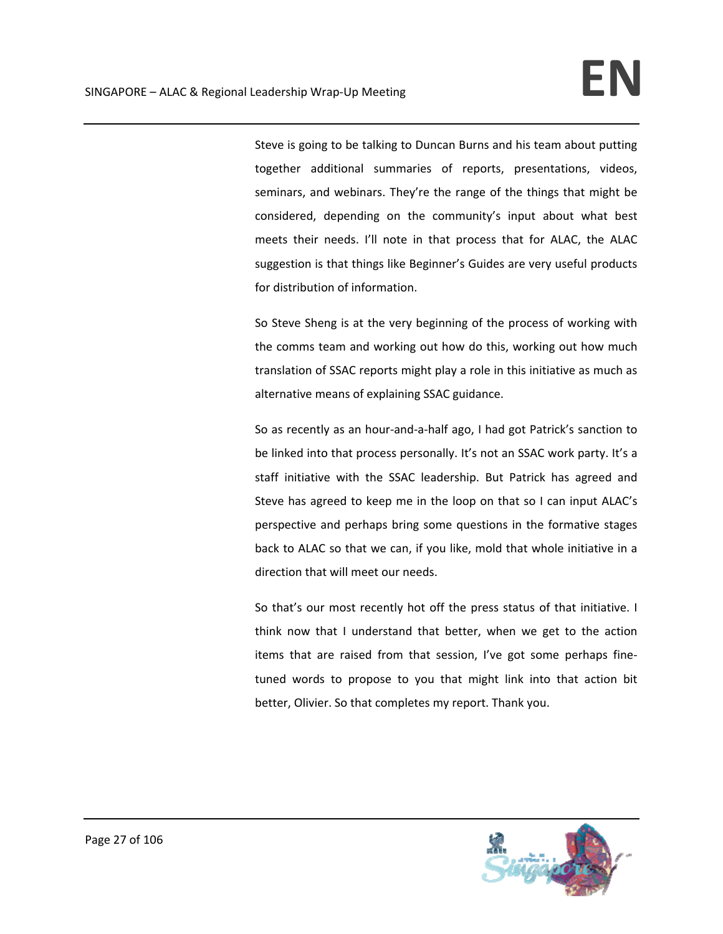Steve is going to be talking to Duncan Burns and his team about putting together additional summaries of reports, presentations, videos, seminars, and webinars. They're the range of the things that might be considered, depending on the community's input about what best meets their needs. I'll note in that process that for ALAC, the ALAC suggestion is that things like Beginner's Guides are very useful products for distribution of information.

So Steve Sheng is at the very beginning of the process of working with the comms team and working out how do this, working out how much translation of SSAC reports might play a role in this initiative as much as alternative means of explaining SSAC guidance.

So as recently as an hour‐and‐a‐half ago, I had got Patrick's sanction to be linked into that process personally. It's not an SSAC work party. It's a staff initiative with the SSAC leadership. But Patrick has agreed and Steve has agreed to keep me in the loop on that so I can input ALAC's perspective and perhaps bring some questions in the formative stages back to ALAC so that we can, if you like, mold that whole initiative in a direction that will meet our needs.

So that's our most recently hot off the press status of that initiative. I think now that I understand that better, when we get to the action items that are raised from that session, I've got some perhaps fine‐ tuned words to propose to you that might link into that action bit better, Olivier. So that completes my report. Thank you.

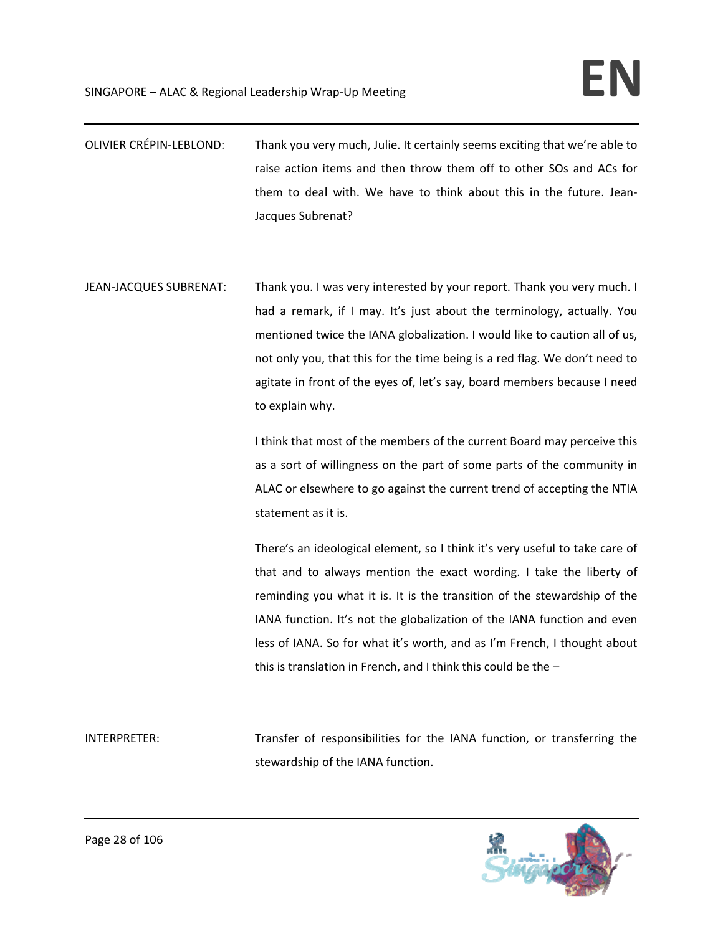- OLIVIER CRÉPIN‐LEBLOND: Thank you very much, Julie. It certainly seems exciting that we're able to raise action items and then throw them off to other SOs and ACs for them to deal with. We have to think about this in the future. Jean‐ Jacques Subrenat?
- JEAN‐JACQUES SUBRENAT: Thank you. I was very interested by your report. Thank you very much. I had a remark, if I may. It's just about the terminology, actually. You mentioned twice the IANA globalization. I would like to caution all of us, not only you, that this for the time being is a red flag. We don't need to agitate in front of the eyes of, let's say, board members because I need to explain why.

I think that most of the members of the current Board may perceive this as a sort of willingness on the part of some parts of the community in ALAC or elsewhere to go against the current trend of accepting the NTIA statement as it is.

There's an ideological element, so I think it's very useful to take care of that and to always mention the exact wording. I take the liberty of reminding you what it is. It is the transition of the stewardship of the IANA function. It's not the globalization of the IANA function and even less of IANA. So for what it's worth, and as I'm French, I thought about this is translation in French, and I think this could be the –

INTERPRETER: Transfer of responsibilities for the IANA function, or transferring the stewardship of the IANA function.



Page 28 of 106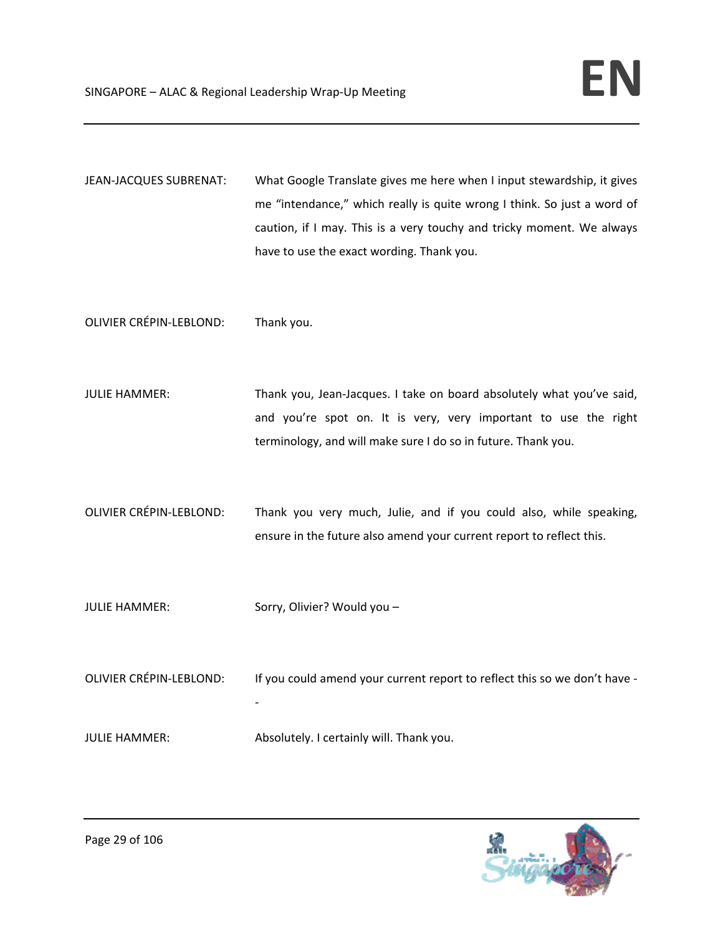JEAN-JACQUES SUBRENAT: What Google Translate gives me here when I input stewardship, it gives me "intendance," which really is quite wrong I think. So just a word of caution, if I may. This is a very touchy and tricky moment. We always have to use the exact wording. Thank you.

OLIVIER CRÉPIN‐LEBLOND: Thank you.

- JULIE HAMMER: Thank you, Jean-Jacques. I take on board absolutely what you've said, and you're spot on. It is very, very important to use the right terminology, and will make sure I do so in future. Thank you.
- OLIVIER CRÉPIN‐LEBLOND: Thank you very much, Julie, and if you could also, while speaking, ensure in the future also amend your current report to reflect this.
- JULIE HAMMER: Sorry, Olivier? Would you –
- OLIVIER CRÉPIN-LEBLOND: If you could amend your current report to reflect this so we don't have -

## JULIE HAMMER: Absolutely. I certainly will. Thank you.

‐

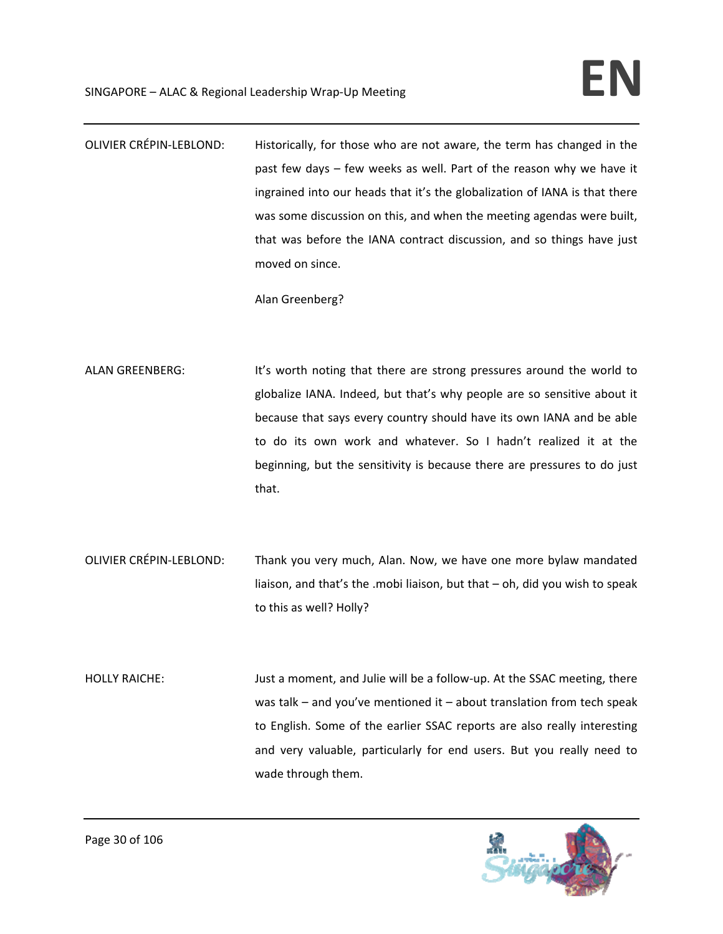OLIVIER CRÉPIN‐LEBLOND: Historically, for those who are not aware, the term has changed in the past few days – few weeks as well. Part of the reason why we have it ingrained into our heads that it's the globalization of IANA is that there was some discussion on this, and when the meeting agendas were built, that was before the IANA contract discussion, and so things have just moved on since.

Alan Greenberg?

- ALAN GREENBERG: It's worth noting that there are strong pressures around the world to globalize IANA. Indeed, but that's why people are so sensitive about it because that says every country should have its own IANA and be able to do its own work and whatever. So I hadn't realized it at the beginning, but the sensitivity is because there are pressures to do just that.
- OLIVIER CRÉPIN‐LEBLOND: Thank you very much, Alan. Now, we have one more bylaw mandated liaison, and that's the .mobi liaison, but that – oh, did you wish to speak to this as well? Holly?
- HOLLY RAICHE: Just a moment, and Julie will be a follow-up. At the SSAC meeting, there was talk – and you've mentioned it – about translation from tech speak to English. Some of the earlier SSAC reports are also really interesting and very valuable, particularly for end users. But you really need to wade through them.

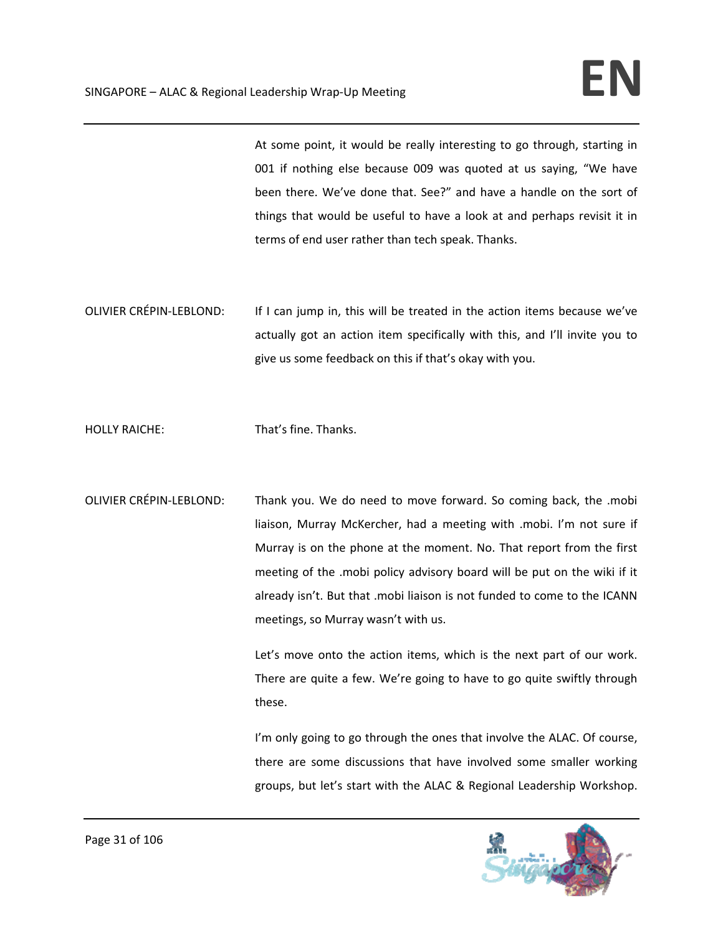At some point, it would be really interesting to go through, starting in 001 if nothing else because 009 was quoted at us saying, "We have been there. We've done that. See?" and have a handle on the sort of things that would be useful to have a look at and perhaps revisit it in terms of end user rather than tech speak. Thanks.

OLIVIER CRÉPIN‐LEBLOND: If I can jump in, this will be treated in the action items because we've actually got an action item specifically with this, and I'll invite you to give us some feedback on this if that's okay with you.

HOLLY RAICHE: That's fine. Thanks.

OLIVIER CRÉPIN‐LEBLOND: Thank you. We do need to move forward. So coming back, the .mobi liaison, Murray McKercher, had a meeting with .mobi. I'm not sure if Murray is on the phone at the moment. No. That report from the first meeting of the .mobi policy advisory board will be put on the wiki if it already isn't. But that .mobi liaison is not funded to come to the ICANN meetings, so Murray wasn't with us.

> Let's move onto the action items, which is the next part of our work. There are quite a few. We're going to have to go quite swiftly through these.

> I'm only going to go through the ones that involve the ALAC. Of course, there are some discussions that have involved some smaller working groups, but let's start with the ALAC & Regional Leadership Workshop.

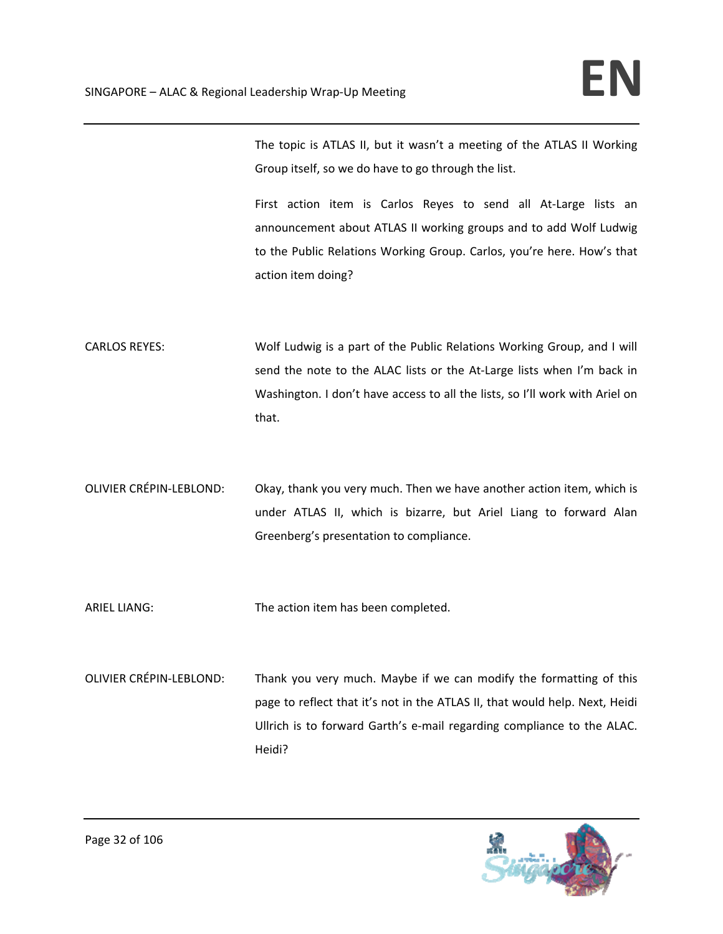The topic is ATLAS II, but it wasn't a meeting of the ATLAS II Working Group itself, so we do have to go through the list.

First action item is Carlos Reyes to send all At-Large lists an announcement about ATLAS II working groups and to add Wolf Ludwig to the Public Relations Working Group. Carlos, you're here. How's that action item doing?

CARLOS REYES: Wolf Ludwig is a part of the Public Relations Working Group, and I will send the note to the ALAC lists or the At-Large lists when I'm back in Washington. I don't have access to all the lists, so I'll work with Ariel on that.

OLIVIER CRÉPIN‐LEBLOND: Okay, thank you very much. Then we have another action item, which is under ATLAS II, which is bizarre, but Ariel Liang to forward Alan Greenberg's presentation to compliance.

ARIEL LIANG: The action item has been completed.

OLIVIER CRÉPIN‐LEBLOND: Thank you very much. Maybe if we can modify the formatting of this page to reflect that it's not in the ATLAS II, that would help. Next, Heidi Ullrich is to forward Garth's e‐mail regarding compliance to the ALAC. Heidi?

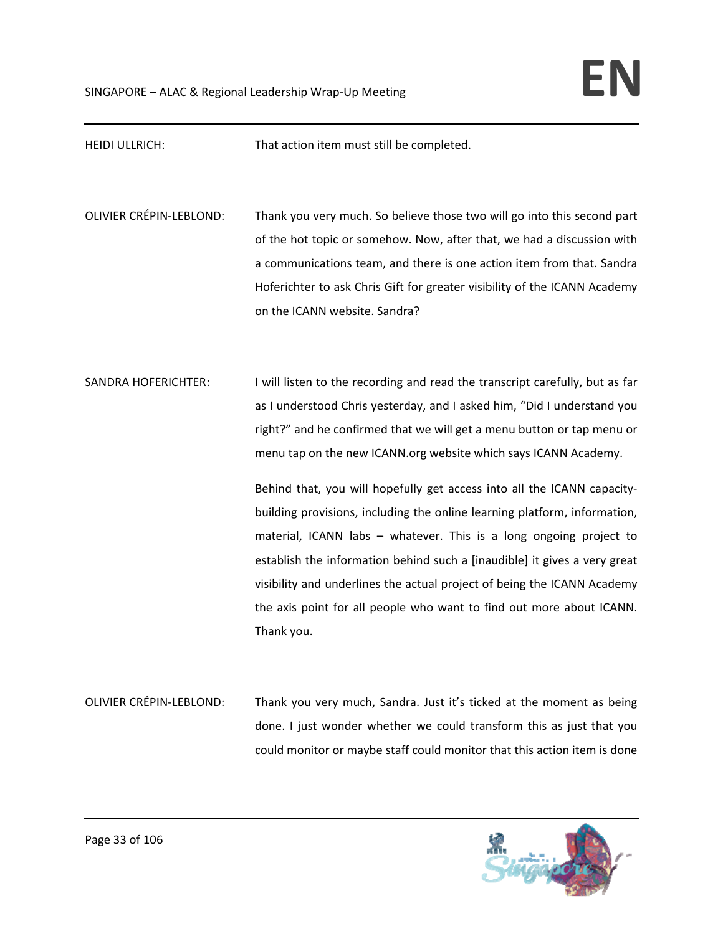| <b>HEIDI ULLRICH:</b>          | That action item must still be completed.                                                                                                                                                                                                                                                                                                                                                                                                                                                                                                                                                                                                                                                                                                                                        |
|--------------------------------|----------------------------------------------------------------------------------------------------------------------------------------------------------------------------------------------------------------------------------------------------------------------------------------------------------------------------------------------------------------------------------------------------------------------------------------------------------------------------------------------------------------------------------------------------------------------------------------------------------------------------------------------------------------------------------------------------------------------------------------------------------------------------------|
|                                |                                                                                                                                                                                                                                                                                                                                                                                                                                                                                                                                                                                                                                                                                                                                                                                  |
| <b>OLIVIER CRÉPIN-LEBLOND:</b> | Thank you very much. So believe those two will go into this second part<br>of the hot topic or somehow. Now, after that, we had a discussion with<br>a communications team, and there is one action item from that. Sandra<br>Hoferichter to ask Chris Gift for greater visibility of the ICANN Academy<br>on the ICANN website. Sandra?                                                                                                                                                                                                                                                                                                                                                                                                                                         |
| <b>SANDRA HOFERICHTER:</b>     | I will listen to the recording and read the transcript carefully, but as far<br>as I understood Chris yesterday, and I asked him, "Did I understand you<br>right?" and he confirmed that we will get a menu button or tap menu or<br>menu tap on the new ICANN.org website which says ICANN Academy.<br>Behind that, you will hopefully get access into all the ICANN capacity-<br>building provisions, including the online learning platform, information,<br>material, ICANN labs - whatever. This is a long ongoing project to<br>establish the information behind such a [inaudible] it gives a very great<br>visibility and underlines the actual project of being the ICANN Academy<br>the axis point for all people who want to find out more about ICANN.<br>Thank you. |
| <b>OLIVIER CRÉPIN-LEBLOND:</b> | Thank you very much, Sandra. Just it's ticked at the moment as being                                                                                                                                                                                                                                                                                                                                                                                                                                                                                                                                                                                                                                                                                                             |

done. I just wonder whether we could transform this as just that you could monitor or maybe staff could monitor that this action item is done

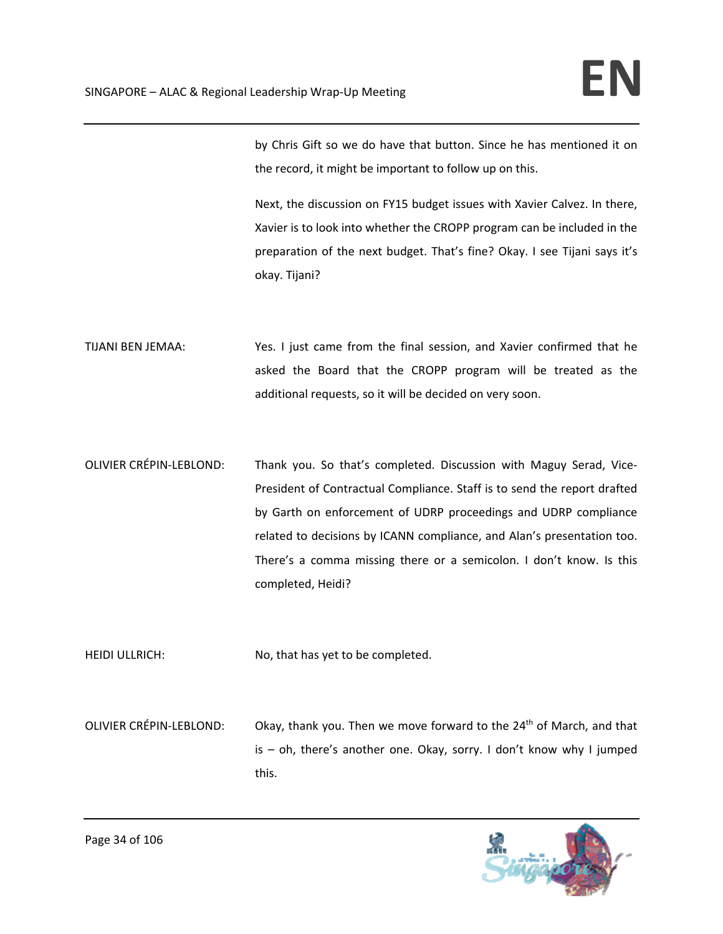by Chris Gift so we do have that button. Since he has mentioned it on the record, it might be important to follow up on this.

Next, the discussion on FY15 budget issues with Xavier Calvez. In there, Xavier is to look into whether the CROPP program can be included in the preparation of the next budget. That's fine? Okay. I see Tijani says it's okay. Tijani?

- TIJANI BEN JEMAA: Yes. I just came from the final session, and Xavier confirmed that he asked the Board that the CROPP program will be treated as the additional requests, so it will be decided on very soon.
- OLIVIER CRÉPIN-LEBLOND: Thank you. So that's completed. Discussion with Maguy Serad, Vice-President of Contractual Compliance. Staff is to send the report drafted by Garth on enforcement of UDRP proceedings and UDRP compliance related to decisions by ICANN compliance, and Alan's presentation too. There's a comma missing there or a semicolon. I don't know. Is this completed, Heidi?

HEIDI ULLRICH: No, that has yet to be completed.

OLIVIER CRÉPIN-LEBLOND: Okay, thank you. Then we move forward to the 24<sup>th</sup> of March, and that is – oh, there's another one. Okay, sorry. I don't know why I jumped this.

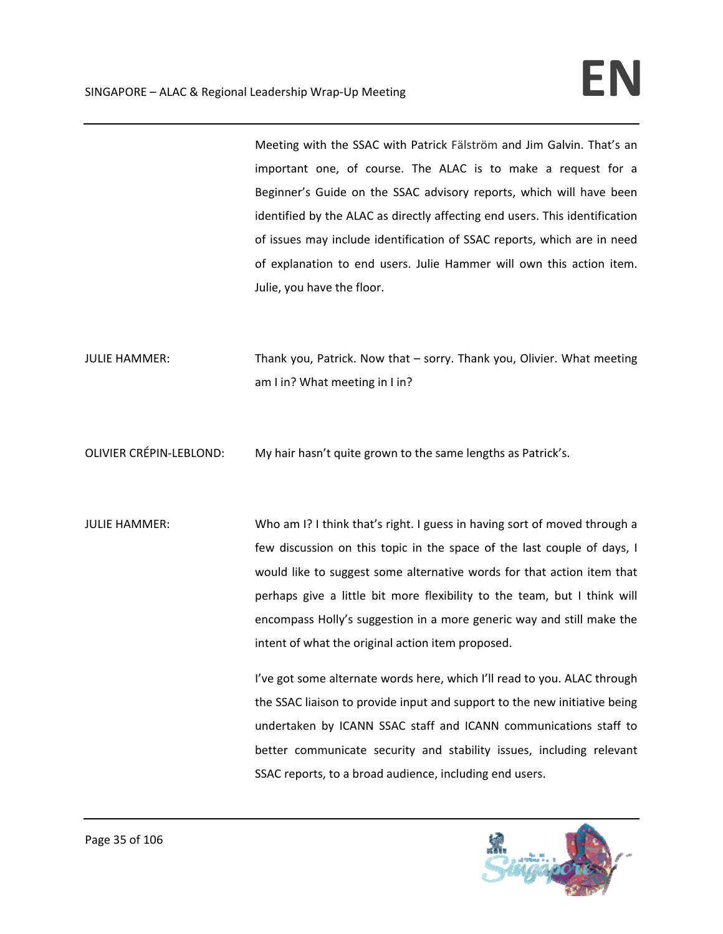Meeting with the SSAC with Patrick Fälström and Jim Galvin. That's an important one, of course. The ALAC is to make a request for a Beginner's Guide on the SSAC advisory reports, which will have been identified by the ALAC as directly affecting end users. This identification of issues may include identification of SSAC reports, which are in need of explanation to end users. Julie Hammer will own this action item. Julie, you have the floor.

JULIE HAMMER: Thank you, Patrick. Now that – sorry. Thank you, Olivier. What meeting am I in? What meeting in I in?

OLIVIER CRÉPIN‐LEBLOND: My hair hasn't quite grown to the same lengths as Patrick's.

JULIE HAMMER: Who am I? I think that's right. I guess in having sort of moved through a few discussion on this topic in the space of the last couple of days, I would like to suggest some alternative words for that action item that perhaps give a little bit more flexibility to the team, but I think will encompass Holly's suggestion in a more generic way and still make the intent of what the original action item proposed.

> I've got some alternate words here, which I'll read to you. ALAC through the SSAC liaison to provide input and support to the new initiative being undertaken by ICANN SSAC staff and ICANN communications staff to better communicate security and stability issues, including relevant SSAC reports, to a broad audience, including end users.

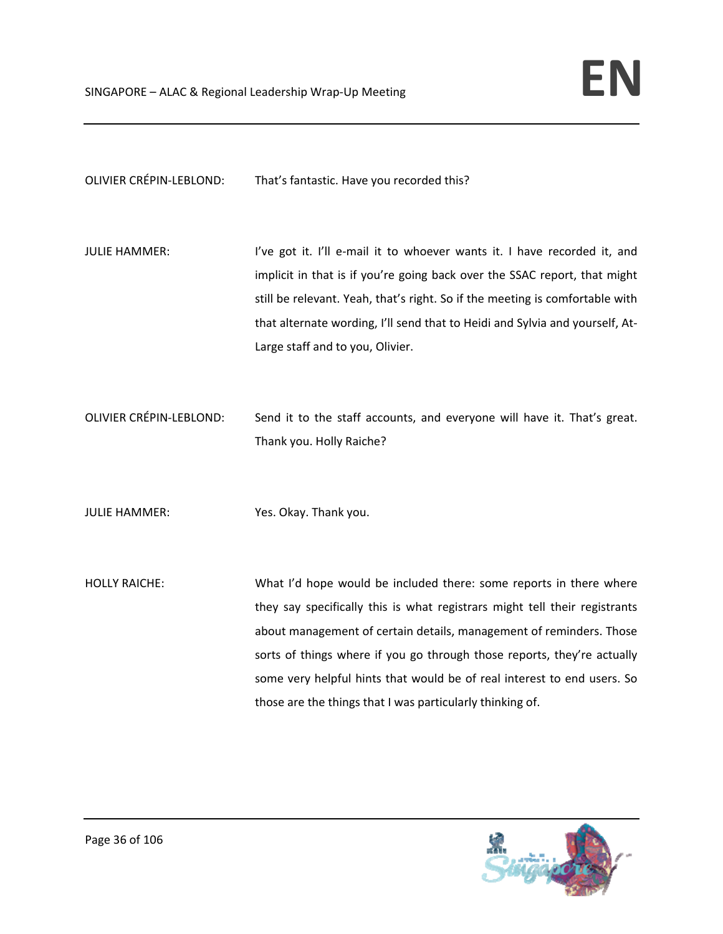OLIVIER CRÉPIN‐LEBLOND: That's fantastic. Have you recorded this?

- JULIE HAMMER: I've got it. I'll e-mail it to whoever wants it. I have recorded it, and implicit in that is if you're going back over the SSAC report, that might still be relevant. Yeah, that's right. So if the meeting is comfortable with that alternate wording, I'll send that to Heidi and Sylvia and yourself, At‐ Large staff and to you, Olivier.
- OLIVIER CRÉPIN‐LEBLOND: Send it to the staff accounts, and everyone will have it. That's great. Thank you. Holly Raiche?
- JULIE HAMMER: Yes. Okay. Thank you.
- HOLLY RAICHE: What I'd hope would be included there: some reports in there where they say specifically this is what registrars might tell their registrants about management of certain details, management of reminders. Those sorts of things where if you go through those reports, they're actually some very helpful hints that would be of real interest to end users. So those are the things that I was particularly thinking of.

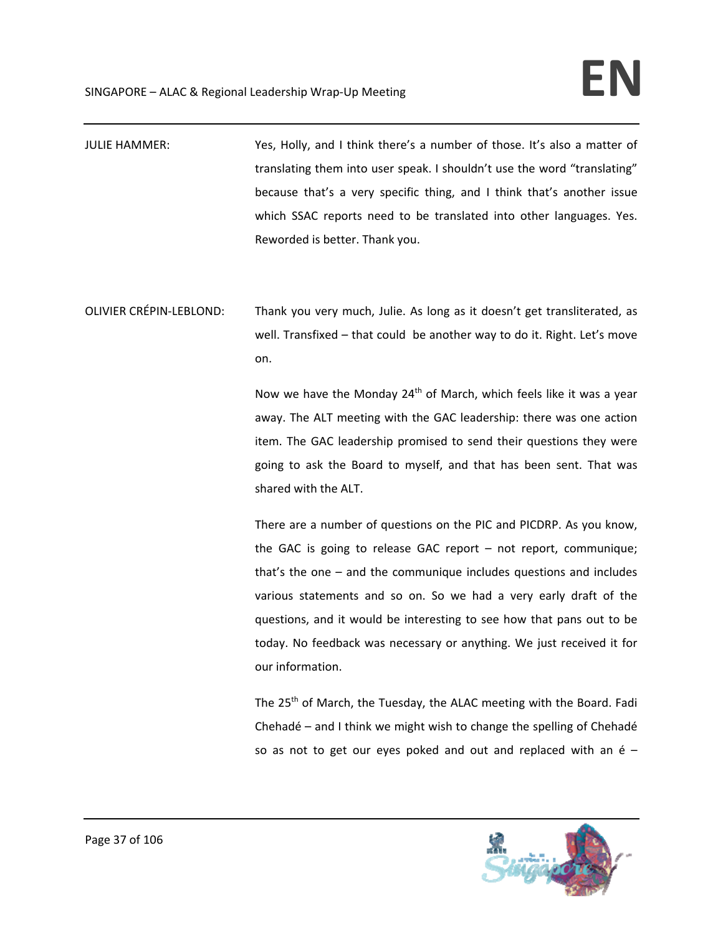- JULIE HAMMER: Yes, Holly, and I think there's a number of those. It's also a matter of translating them into user speak. I shouldn't use the word "translating" because that's a very specific thing, and I think that's another issue which SSAC reports need to be translated into other languages. Yes. Reworded is better. Thank you.
- OLIVIER CRÉPIN‐LEBLOND: Thank you very much, Julie. As long as it doesn't get transliterated, as well. Transfixed – that could be another way to do it. Right. Let's move on.

Now we have the Monday 24<sup>th</sup> of March, which feels like it was a year away. The ALT meeting with the GAC leadership: there was one action item. The GAC leadership promised to send their questions they were going to ask the Board to myself, and that has been sent. That was shared with the ALT.

There are a number of questions on the PIC and PICDRP. As you know, the GAC is going to release GAC report – not report, communique; that's the one – and the communique includes questions and includes various statements and so on. So we had a very early draft of the questions, and it would be interesting to see how that pans out to be today. No feedback was necessary or anything. We just received it for our information.

The 25<sup>th</sup> of March, the Tuesday, the ALAC meeting with the Board. Fadi Chehadé – and I think we might wish to change the spelling of Chehadé so as not to get our eyes poked and out and replaced with an é –

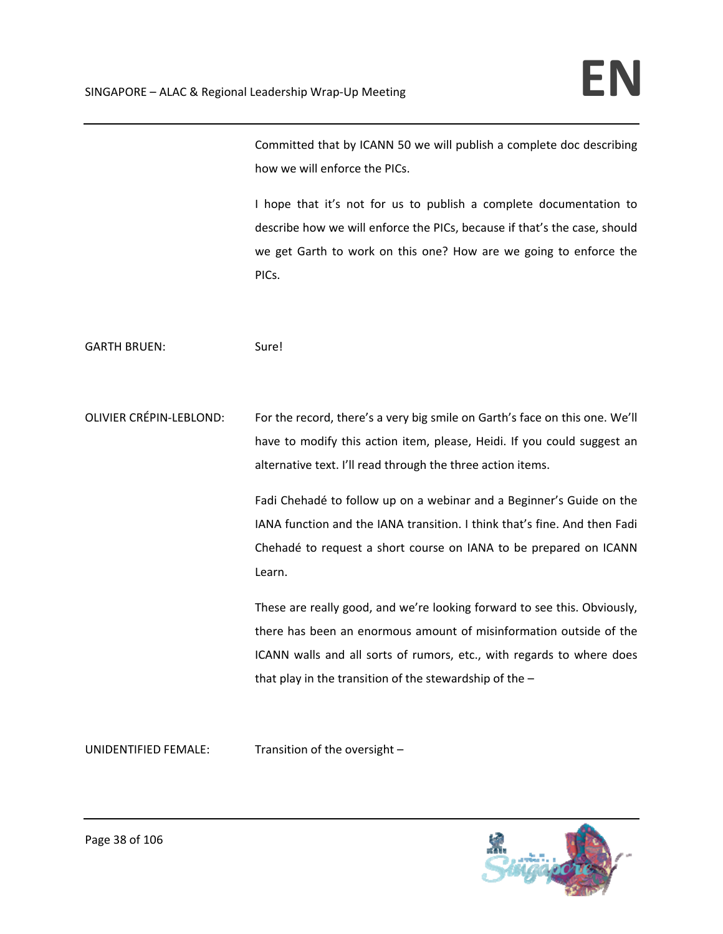Committed that by ICANN 50 we will publish a complete doc describing how we will enforce the PICs.

I hope that it's not for us to publish a complete documentation to describe how we will enforce the PICs, because if that's the case, should we get Garth to work on this one? How are we going to enforce the PICs.

GARTH BRUEN: Sure!

OLIVIER CRÉPIN‐LEBLOND: For the record, there's a very big smile on Garth's face on this one. We'll have to modify this action item, please, Heidi. If you could suggest an alternative text. I'll read through the three action items.

> Fadi Chehadé to follow up on a webinar and a Beginner's Guide on the IANA function and the IANA transition. I think that's fine. And then Fadi Chehadé to request a short course on IANA to be prepared on ICANN Learn.

> These are really good, and we're looking forward to see this. Obviously, there has been an enormous amount of misinformation outside of the ICANN walls and all sorts of rumors, etc., with regards to where does that play in the transition of the stewardship of the –

UNIDENTIFIED FEMALE: Transition of the oversight –

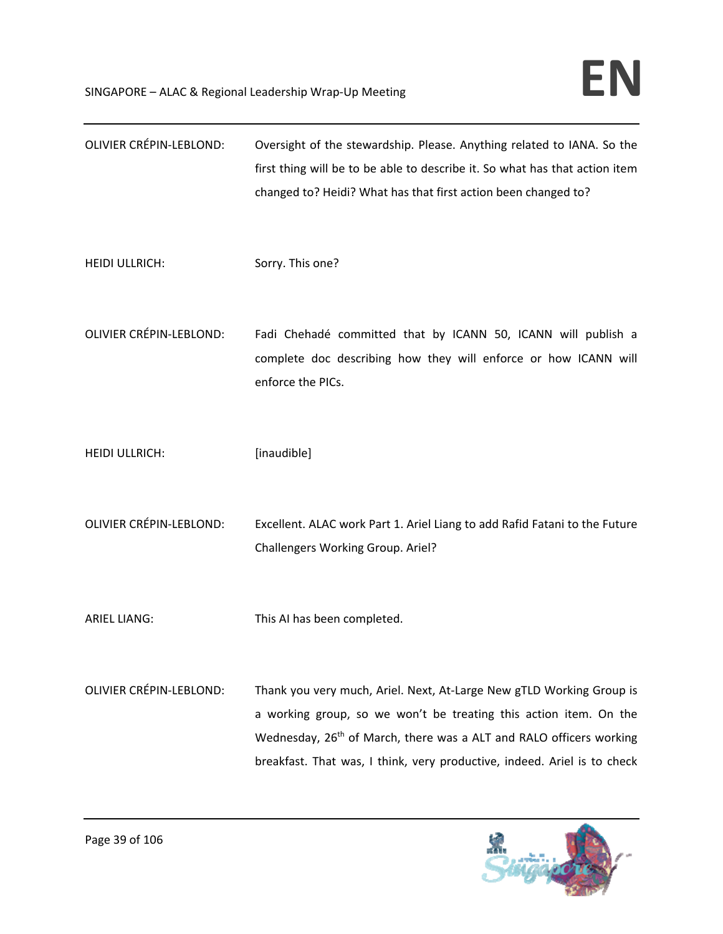| <b>OLIVIER CRÉPIN-LEBLOND:</b> | Oversight of the stewardship. Please. Anything related to IANA. So the<br>first thing will be to be able to describe it. So what has that action item<br>changed to? Heidi? What has that first action been changed to?                                                                                  |
|--------------------------------|----------------------------------------------------------------------------------------------------------------------------------------------------------------------------------------------------------------------------------------------------------------------------------------------------------|
| <b>HEIDI ULLRICH:</b>          | Sorry. This one?                                                                                                                                                                                                                                                                                         |
| <b>OLIVIER CRÉPIN-LEBLOND:</b> | Fadi Chehadé committed that by ICANN 50, ICANN will publish a<br>complete doc describing how they will enforce or how ICANN will<br>enforce the PICs.                                                                                                                                                    |
| <b>HEIDI ULLRICH:</b>          | [inaudible]                                                                                                                                                                                                                                                                                              |
| <b>OLIVIER CRÉPIN-LEBLOND:</b> | Excellent. ALAC work Part 1. Ariel Liang to add Rafid Fatani to the Future<br>Challengers Working Group. Ariel?                                                                                                                                                                                          |
| <b>ARIEL LIANG:</b>            | This AI has been completed.                                                                                                                                                                                                                                                                              |
| <b>OLIVIER CRÉPIN-LEBLOND:</b> | Thank you very much, Ariel. Next, At-Large New gTLD Working Group is<br>a working group, so we won't be treating this action item. On the<br>Wednesday, 26 <sup>th</sup> of March, there was a ALT and RALO officers working<br>breakfast. That was, I think, very productive, indeed. Ariel is to check |

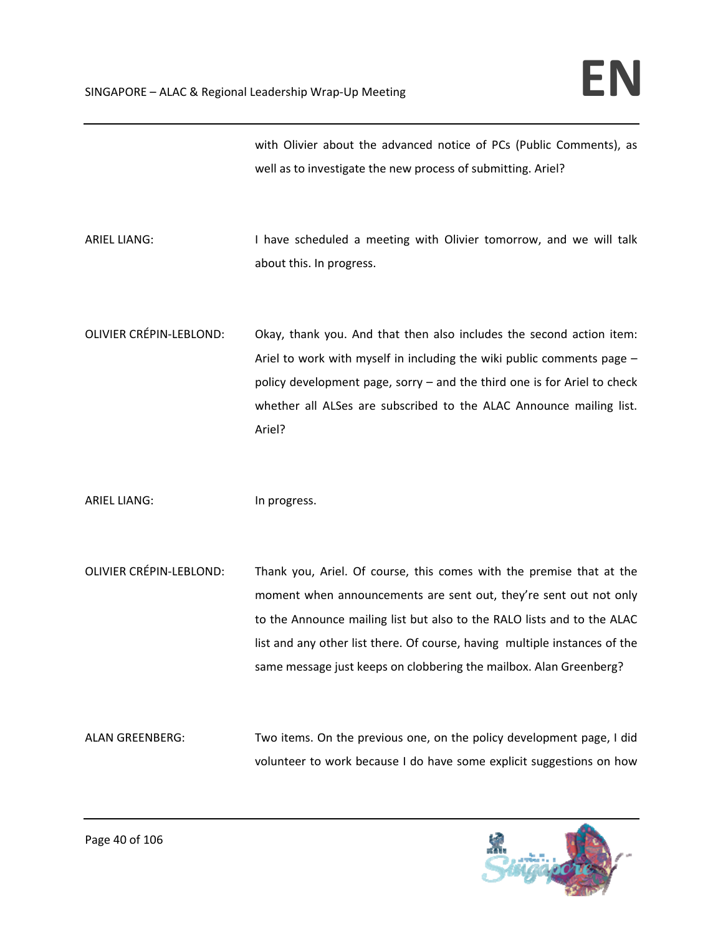with Olivier about the advanced notice of PCs (Public Comments), as well as to investigate the new process of submitting. Ariel?

ARIEL LIANG: I have scheduled a meeting with Olivier tomorrow, and we will talk about this. In progress.

OLIVIER CRÉPIN‐LEBLOND: Okay, thank you. And that then also includes the second action item: Ariel to work with myself in including the wiki public comments page – policy development page, sorry – and the third one is for Ariel to check whether all ALSes are subscribed to the ALAC Announce mailing list. Ariel?

ARIEL LIANG: In progress.

OLIVIER CRÉPIN‐LEBLOND: Thank you, Ariel. Of course, this comes with the premise that at the moment when announcements are sent out, they're sent out not only to the Announce mailing list but also to the RALO lists and to the ALAC list and any other list there. Of course, having multiple instances of the same message just keeps on clobbering the mailbox. Alan Greenberg?

ALAN GREENBERG: Two items. On the previous one, on the policy development page, I did volunteer to work because I do have some explicit suggestions on how

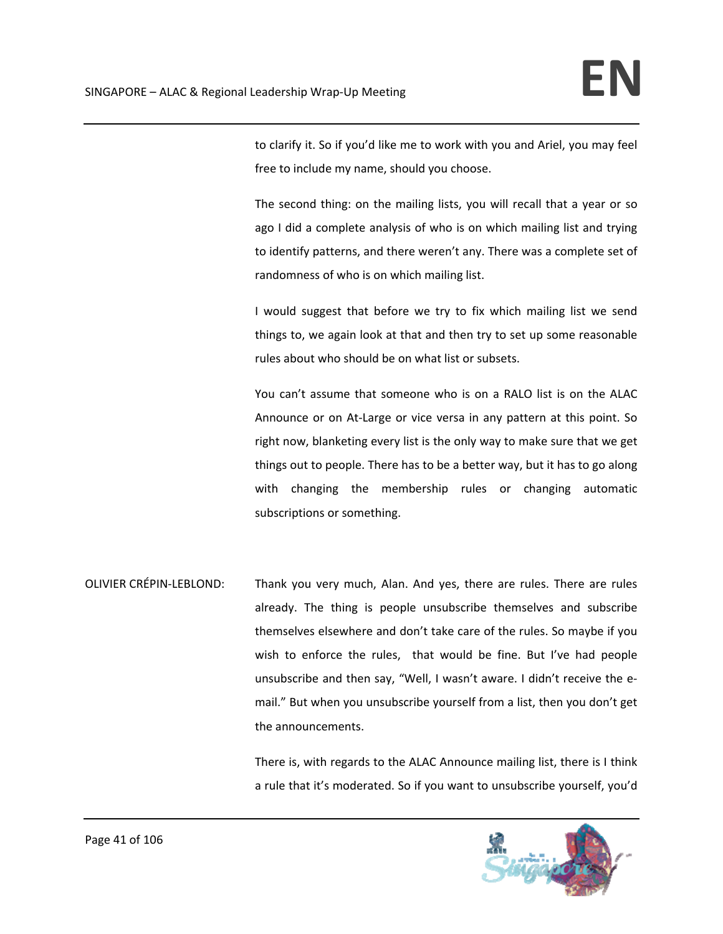to clarify it. So if you'd like me to work with you and Ariel, you may feel free to include my name, should you choose.

The second thing: on the mailing lists, you will recall that a year or so ago I did a complete analysis of who is on which mailing list and trying to identify patterns, and there weren't any. There was a complete set of randomness of who is on which mailing list.

I would suggest that before we try to fix which mailing list we send things to, we again look at that and then try to set up some reasonable rules about who should be on what list or subsets.

You can't assume that someone who is on a RALO list is on the ALAC Announce or on At‐Large or vice versa in any pattern at this point. So right now, blanketing every list is the only way to make sure that we get things out to people. There has to be a better way, but it has to go along with changing the membership rules or changing automatic subscriptions or something.

OLIVIER CRÉPIN‐LEBLOND: Thank you very much, Alan. And yes, there are rules. There are rules already. The thing is people unsubscribe themselves and subscribe themselves elsewhere and don't take care of the rules. So maybe if you wish to enforce the rules, that would be fine. But I've had people unsubscribe and then say, "Well, I wasn't aware. I didn't receive the e‐ mail." But when you unsubscribe yourself from a list, then you don't get the announcements.

> There is, with regards to the ALAC Announce mailing list, there is I think a rule that it's moderated. So if you want to unsubscribe yourself, you'd

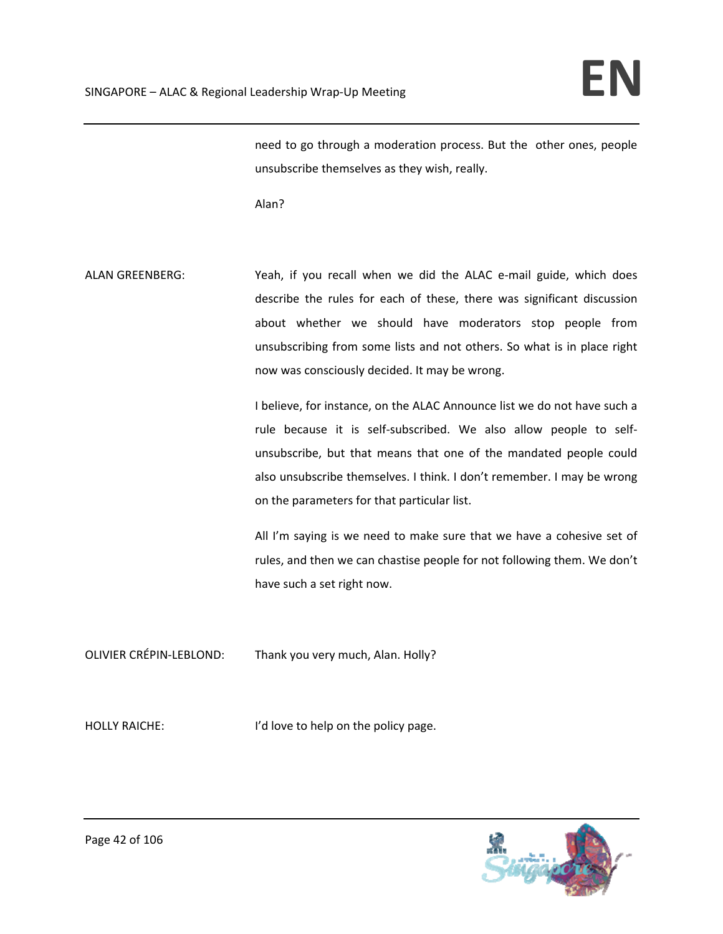need to go through a moderation process. But the other ones, people unsubscribe themselves as they wish, really.

Alan?

ALAN GREENBERG: Yeah, if you recall when we did the ALAC e-mail guide, which does describe the rules for each of these, there was significant discussion about whether we should have moderators stop people from unsubscribing from some lists and not others. So what is in place right now was consciously decided. It may be wrong.

> I believe, for instance, on the ALAC Announce list we do not have such a rule because it is self‐subscribed. We also allow people to self‐ unsubscribe, but that means that one of the mandated people could also unsubscribe themselves. I think. I don't remember. I may be wrong on the parameters for that particular list.

> All I'm saying is we need to make sure that we have a cohesive set of rules, and then we can chastise people for not following them. We don't have such a set right now.

OLIVIER CRÉPIN‐LEBLOND: Thank you very much, Alan. Holly?

HOLLY RAICHE: I'd love to help on the policy page.

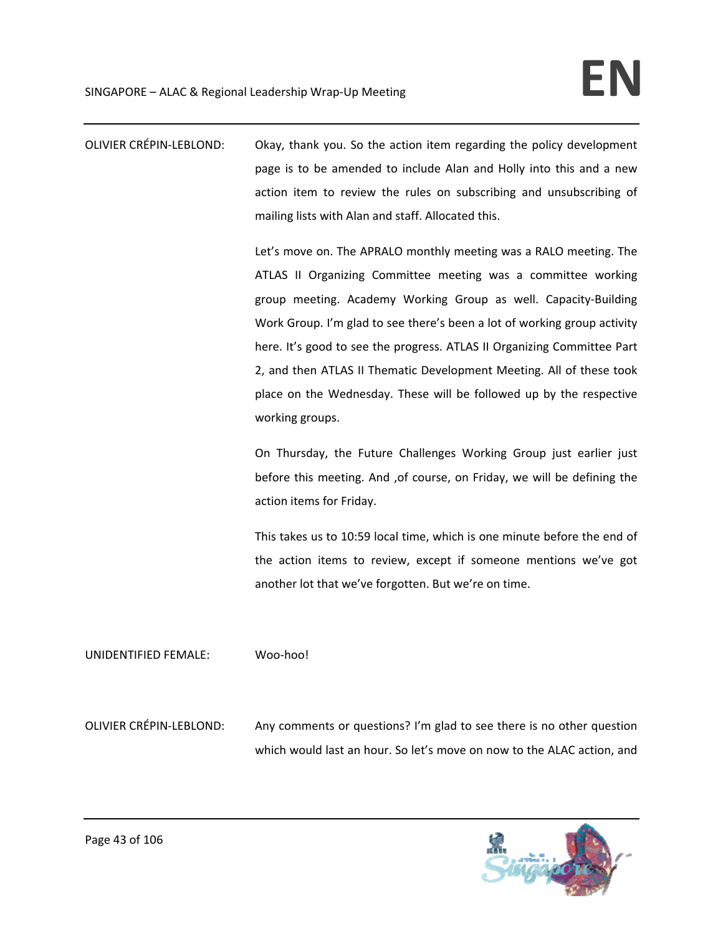OLIVIER CRÉPIN‐LEBLOND: Okay, thank you. So the action item regarding the policy development page is to be amended to include Alan and Holly into this and a new action item to review the rules on subscribing and unsubscribing of mailing lists with Alan and staff. Allocated this.

> Let's move on. The APRALO monthly meeting was a RALO meeting. The ATLAS II Organizing Committee meeting was a committee working group meeting. Academy Working Group as well. Capacity‐Building Work Group. I'm glad to see there's been a lot of working group activity here. It's good to see the progress. ATLAS II Organizing Committee Part 2, and then ATLAS II Thematic Development Meeting. All of these took place on the Wednesday. These will be followed up by the respective working groups.

> On Thursday, the Future Challenges Working Group just earlier just before this meeting. And ,of course, on Friday, we will be defining the action items for Friday.

> This takes us to 10:59 local time, which is one minute before the end of the action items to review, except if someone mentions we've got another lot that we've forgotten. But we're on time.

UNIDENTIFIED FEMALE: Woo‐hoo!

OLIVIER CRÉPIN‐LEBLOND: Any comments or questions? I'm glad to see there is no other question which would last an hour. So let's move on now to the ALAC action, and

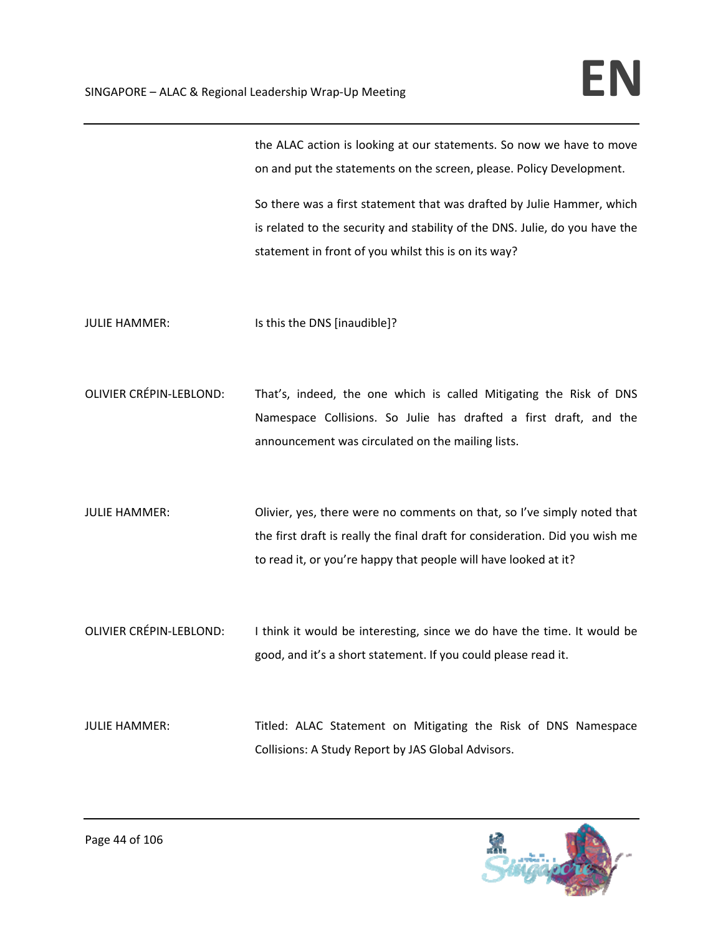the ALAC action is looking at our statements. So now we have to move on and put the statements on the screen, please. Policy Development.

So there was a first statement that was drafted by Julie Hammer, which is related to the security and stability of the DNS. Julie, do you have the statement in front of you whilst this is on its way?

JULIE HAMMER: Is this the DNS [inaudible]?

- OLIVIER CRÉPIN‐LEBLOND: That's, indeed, the one which is called Mitigating the Risk of DNS Namespace Collisions. So Julie has drafted a first draft, and the announcement was circulated on the mailing lists.
- JULIE HAMMER: Olivier, yes, there were no comments on that, so I've simply noted that the first draft is really the final draft for consideration. Did you wish me to read it, or you're happy that people will have looked at it?
- OLIVIER CRÉPIN-LEBLOND: I think it would be interesting, since we do have the time. It would be good, and it's a short statement. If you could please read it.

JULIE HAMMER: Titled: ALAC Statement on Mitigating the Risk of DNS Namespace Collisions: A Study Report by JAS Global Advisors.

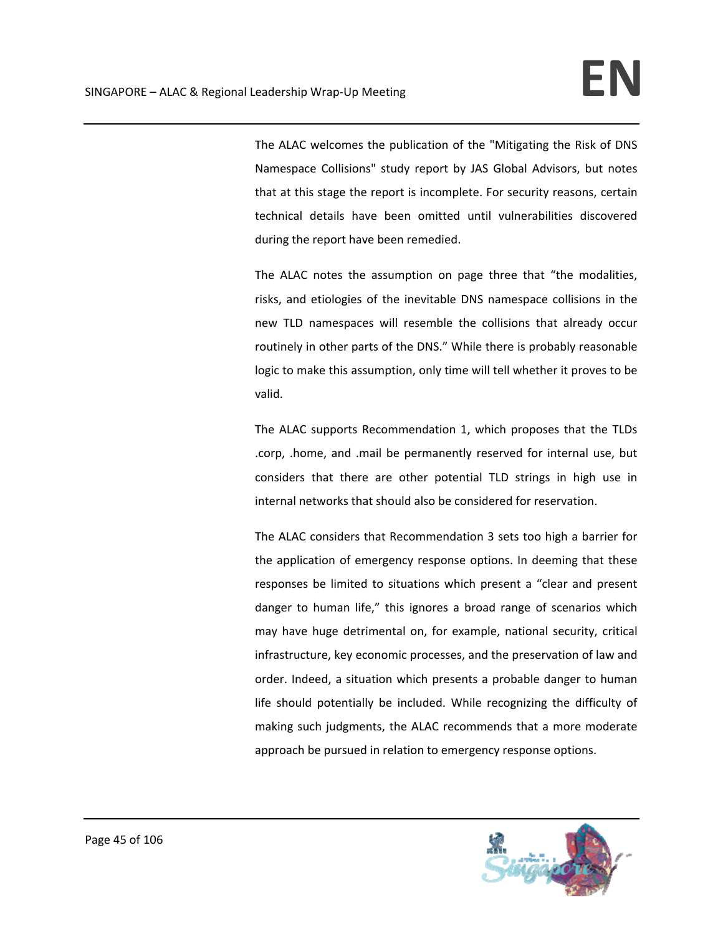The ALAC welcomes the publication of the "Mitigating the Risk of DNS Namespace Collisions" study report by JAS Global Advisors, but notes that at this stage the report is incomplete. For security reasons, certain technical details have been omitted until vulnerabilities discovered during the report have been remedied.

The ALAC notes the assumption on page three that "the modalities, risks, and etiologies of the inevitable DNS namespace collisions in the new TLD namespaces will resemble the collisions that already occur routinely in other parts of the DNS." While there is probably reasonable logic to make this assumption, only time will tell whether it proves to be valid.

The ALAC supports Recommendation 1, which proposes that the TLDs .corp, .home, and .mail be permanently reserved for internal use, but considers that there are other potential TLD strings in high use in internal networks that should also be considered for reservation.

The ALAC considers that Recommendation 3 sets too high a barrier for the application of emergency response options. In deeming that these responses be limited to situations which present a "clear and present danger to human life," this ignores a broad range of scenarios which may have huge detrimental on, for example, national security, critical infrastructure, key economic processes, and the preservation of law and order. Indeed, a situation which presents a probable danger to human life should potentially be included. While recognizing the difficulty of making such judgments, the ALAC recommends that a more moderate approach be pursued in relation to emergency response options.

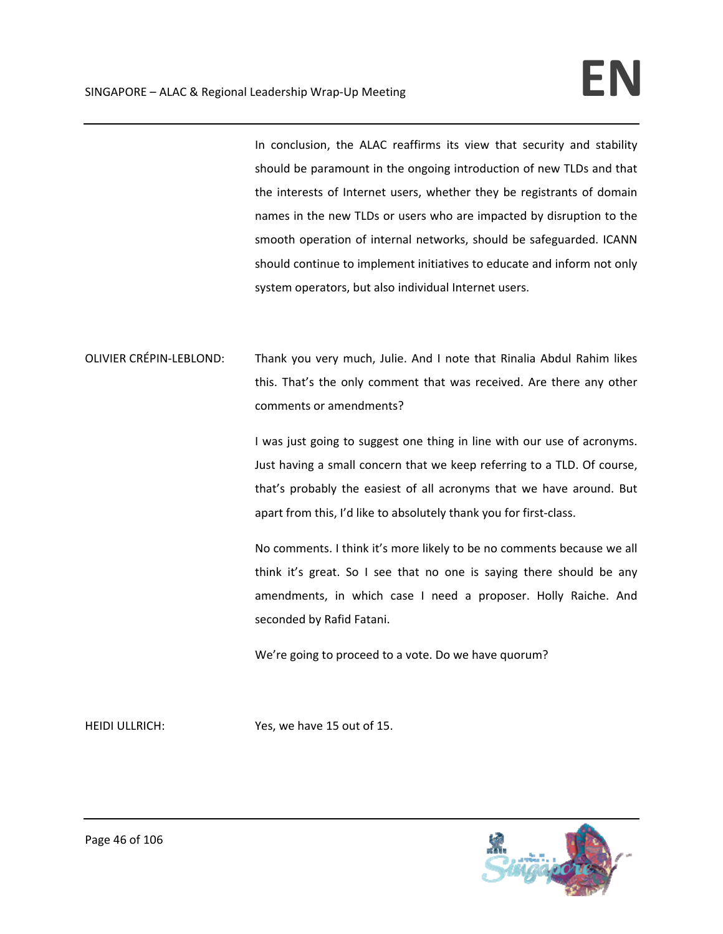In conclusion, the ALAC reaffirms its view that security and stability should be paramount in the ongoing introduction of new TLDs and that the interests of Internet users, whether they be registrants of domain names in the new TLDs or users who are impacted by disruption to the smooth operation of internal networks, should be safeguarded. ICANN should continue to implement initiatives to educate and inform not only system operators, but also individual Internet users.

OLIVIER CRÉPIN‐LEBLOND: Thank you very much, Julie. And I note that Rinalia Abdul Rahim likes this. That's the only comment that was received. Are there any other comments or amendments?

> I was just going to suggest one thing in line with our use of acronyms. Just having a small concern that we keep referring to a TLD. Of course, that's probably the easiest of all acronyms that we have around. But apart from this, I'd like to absolutely thank you for first-class.

> No comments. I think it's more likely to be no comments because we all think it's great. So I see that no one is saying there should be any amendments, in which case I need a proposer. Holly Raiche. And seconded by Rafid Fatani.

We're going to proceed to a vote. Do we have quorum?

HEIDI ULLRICH: Yes, we have 15 out of 15.

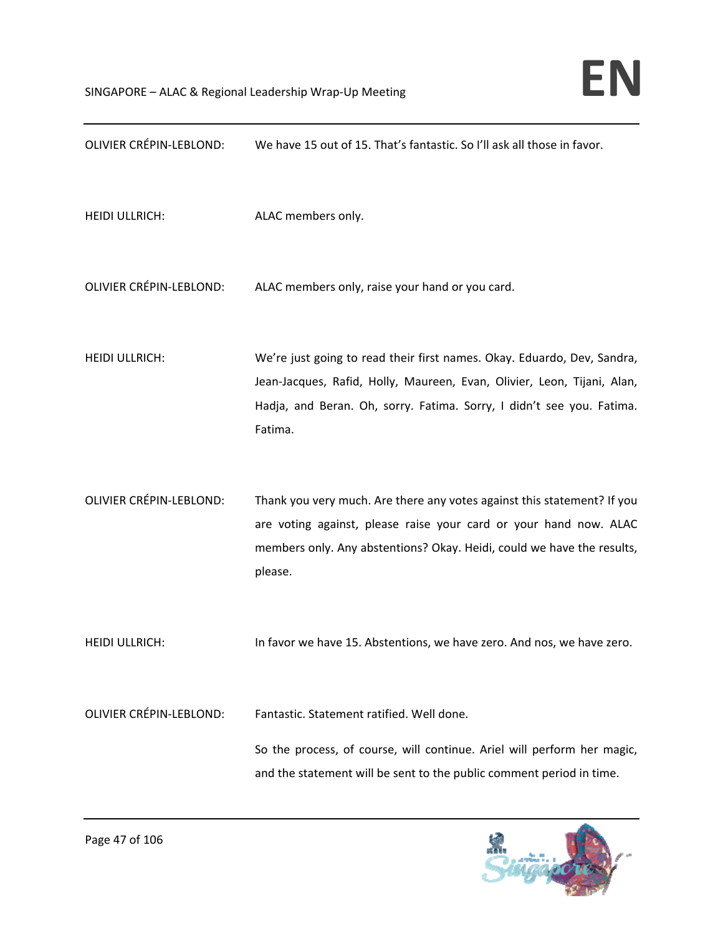| <b>OLIVIER CRÉPIN-LEBLOND:</b> | We have 15 out of 15. That's fantastic. So I'll ask all those in favor.                                                                                                                                                                |
|--------------------------------|----------------------------------------------------------------------------------------------------------------------------------------------------------------------------------------------------------------------------------------|
| <b>HEIDI ULLRICH:</b>          | ALAC members only.                                                                                                                                                                                                                     |
| <b>OLIVIER CRÉPIN-LEBLOND:</b> | ALAC members only, raise your hand or you card.                                                                                                                                                                                        |
| <b>HEIDI ULLRICH:</b>          | We're just going to read their first names. Okay. Eduardo, Dev, Sandra,<br>Jean-Jacques, Rafid, Holly, Maureen, Evan, Olivier, Leon, Tijani, Alan,<br>Hadja, and Beran. Oh, sorry. Fatima. Sorry, I didn't see you. Fatima.<br>Fatima. |
| <b>OLIVIER CRÉPIN-LEBLOND:</b> | Thank you very much. Are there any votes against this statement? If you<br>are voting against, please raise your card or your hand now. ALAC<br>members only. Any abstentions? Okay. Heidi, could we have the results,<br>please.      |
| <b>HEIDI ULLRICH:</b>          | In favor we have 15. Abstentions, we have zero. And nos, we have zero.                                                                                                                                                                 |
| <b>OLIVIER CRÉPIN-LEBLOND:</b> | Fantastic. Statement ratified. Well done.                                                                                                                                                                                              |
|                                | So the process, of course, will continue. Ariel will perform her magic,<br>and the statement will be sent to the public comment period in time.                                                                                        |

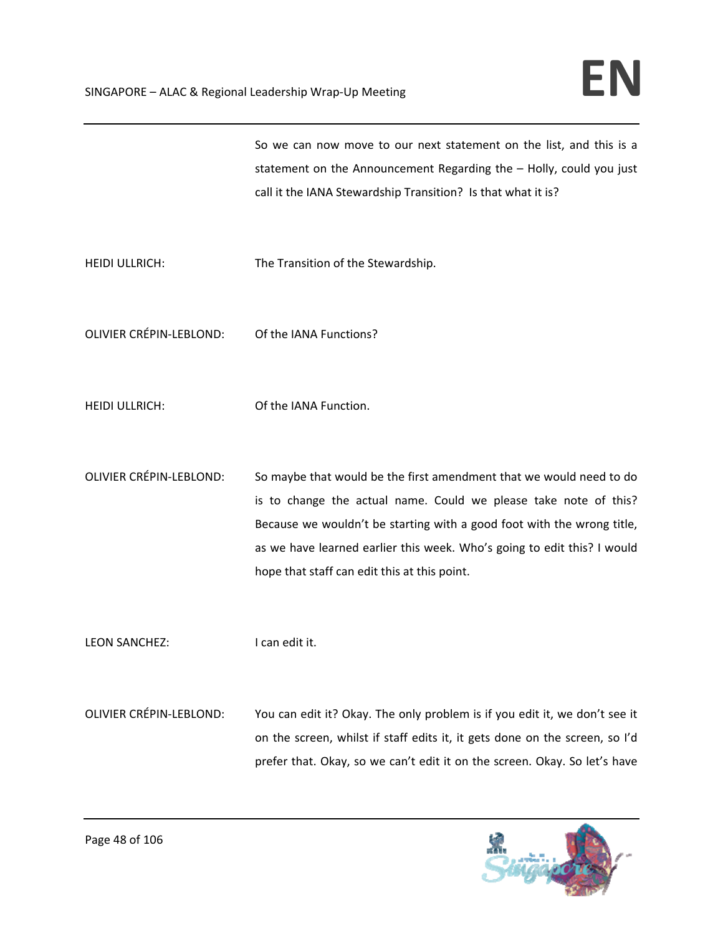So we can now move to our next statement on the list, and this is a statement on the Announcement Regarding the – Holly, could you just call it the IANA Stewardship Transition? Is that what it is?

- HEIDI ULLRICH: The Transition of the Stewardship.
- OLIVIER CRÉPIN‐LEBLOND: Of the IANA Functions?
- HEIDI ULLRICH: Of the IANA Function.
- OLIVIER CRÉPIN‐LEBLOND: So maybe that would be the first amendment that we would need to do is to change the actual name. Could we please take note of this? Because we wouldn't be starting with a good foot with the wrong title, as we have learned earlier this week. Who's going to edit this? I would hope that staff can edit this at this point.

LEON SANCHEZ: I can edit it.

OLIVIER CRÉPIN‐LEBLOND: You can edit it? Okay. The only problem is if you edit it, we don't see it on the screen, whilst if staff edits it, it gets done on the screen, so I'd prefer that. Okay, so we can't edit it on the screen. Okay. So let's have

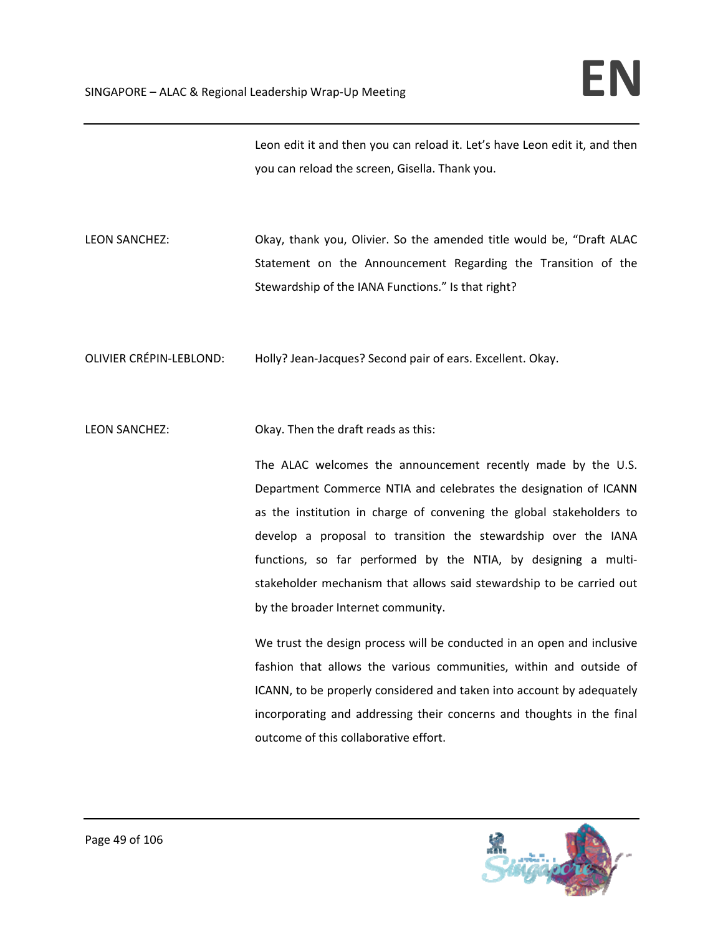Leon edit it and then you can reload it. Let's have Leon edit it, and then you can reload the screen, Gisella. Thank you.

LEON SANCHEZ: Okay, thank you, Olivier. So the amended title would be, "Draft ALAC Statement on the Announcement Regarding the Transition of the Stewardship of the IANA Functions." Is that right?

OLIVIER CRÉPIN‐LEBLOND: Holly? Jean‐Jacques? Second pair of ears. Excellent. Okay.

LEON SANCHEZ: Okay. Then the draft reads as this:

The ALAC welcomes the announcement recently made by the U.S. Department Commerce NTIA and celebrates the designation of ICANN as the institution in charge of convening the global stakeholders to develop a proposal to transition the stewardship over the IANA functions, so far performed by the NTIA, by designing a multistakeholder mechanism that allows said stewardship to be carried out by the broader Internet community.

We trust the design process will be conducted in an open and inclusive fashion that allows the various communities, within and outside of ICANN, to be properly considered and taken into account by adequately incorporating and addressing their concerns and thoughts in the final outcome of this collaborative effort.

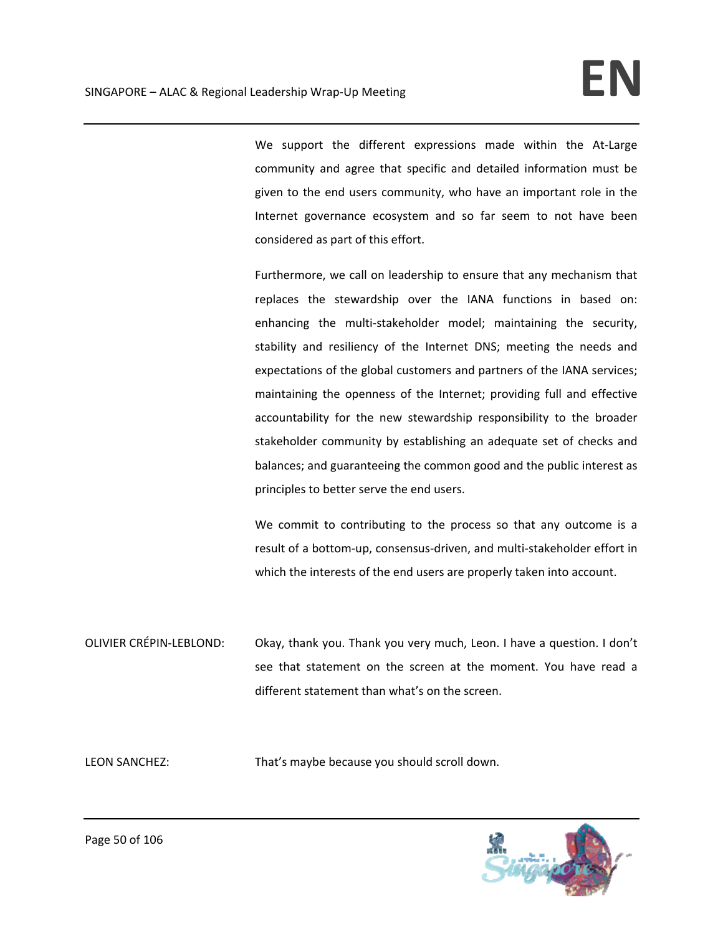We support the different expressions made within the At-Large community and agree that specific and detailed information must be given to the end users community, who have an important role in the Internet governance ecosystem and so far seem to not have been considered as part of this effort.

Furthermore, we call on leadership to ensure that any mechanism that replaces the stewardship over the IANA functions in based on: enhancing the multi-stakeholder model; maintaining the security, stability and resiliency of the Internet DNS; meeting the needs and expectations of the global customers and partners of the IANA services; maintaining the openness of the Internet; providing full and effective accountability for the new stewardship responsibility to the broader stakeholder community by establishing an adequate set of checks and balances; and guaranteeing the common good and the public interest as principles to better serve the end users.

We commit to contributing to the process so that any outcome is a result of a bottom‐up, consensus‐driven, and multi‐stakeholder effort in which the interests of the end users are properly taken into account.

OLIVIER CRÉPIN‐LEBLOND: Okay, thank you. Thank you very much, Leon. I have a question. I don't see that statement on the screen at the moment. You have read a different statement than what's on the screen.

LEON SANCHEZ: That's maybe because you should scroll down.

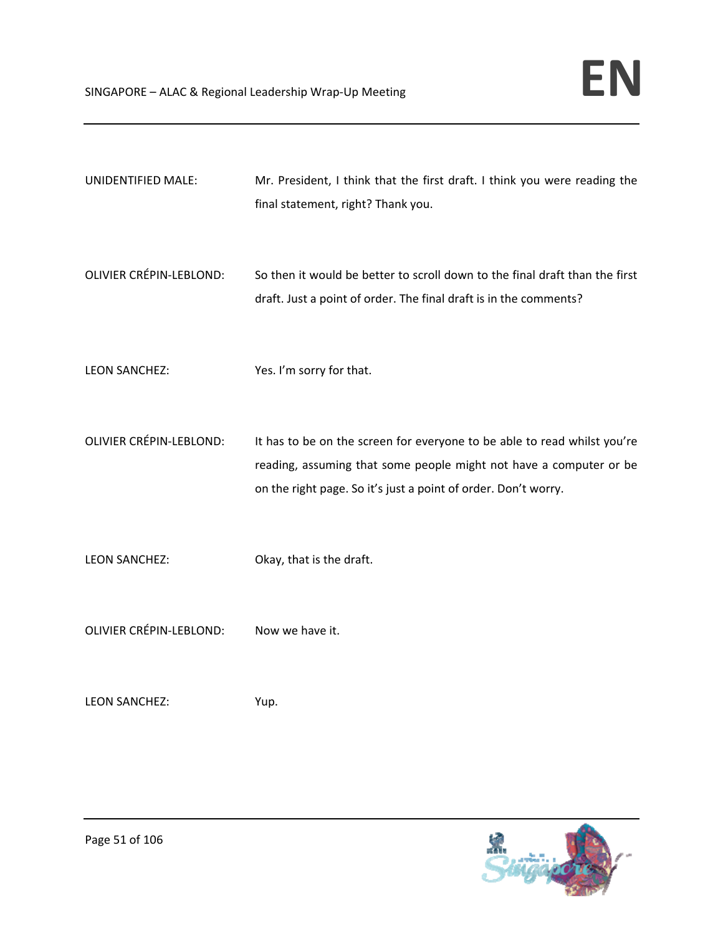- UNIDENTIFIED MALE: Mr. President, I think that the first draft. I think you were reading the final statement, right? Thank you.
- OLIVIER CRÉPIN‐LEBLOND: So then it would be better to scroll down to the final draft than the first draft. Just a point of order. The final draft is in the comments?
- LEON SANCHEZ: Yes. I'm sorry for that.
- OLIVIER CRÉPIN‐LEBLOND: It has to be on the screen for everyone to be able to read whilst you're reading, assuming that some people might not have a computer or be on the right page. So it's just a point of order. Don't worry.
- LEON SANCHEZ: Okay, that is the draft.
- OLIVIER CRÉPIN‐LEBLOND: Now we have it.
- LEON SANCHEZ: Yup.

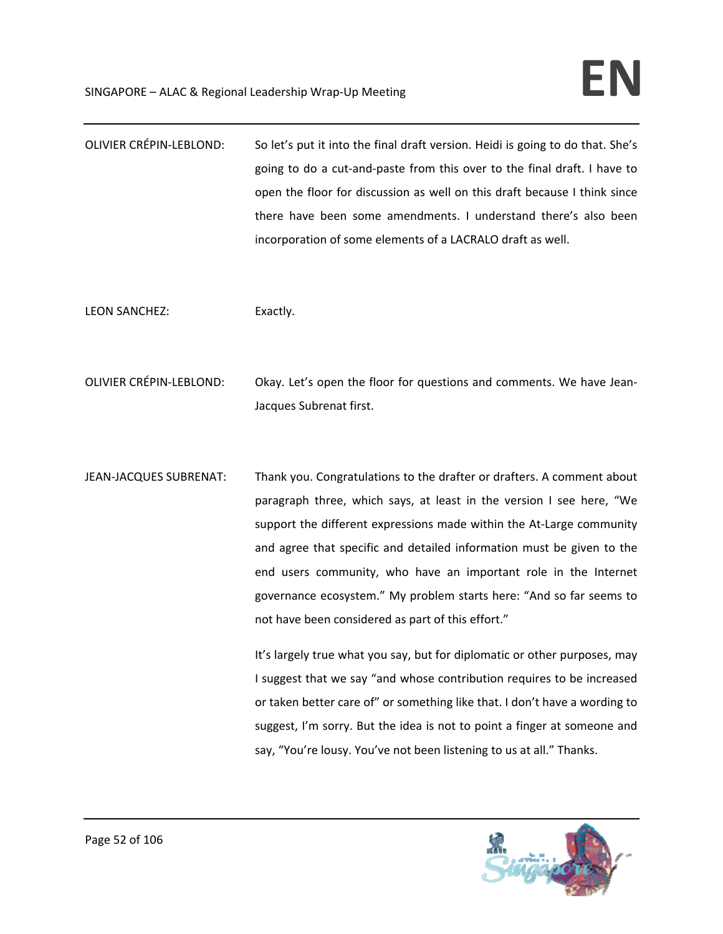| <b>OLIVIER CRÉPIN-LEBLOND:</b> | So let's put it into the final draft version. Heidi is going to do that. She's |
|--------------------------------|--------------------------------------------------------------------------------|
|                                | going to do a cut-and-paste from this over to the final draft. I have to       |
|                                | open the floor for discussion as well on this draft because I think since      |
|                                | there have been some amendments. I understand there's also been                |
|                                | incorporation of some elements of a LACRALO draft as well.                     |

LEON SANCHEZ: Exactly.

OLIVIER CRÉPIN‐LEBLOND: Okay. Let's open the floor for questions and comments. We have Jean‐ Jacques Subrenat first.

JEAN-JACQUES SUBRENAT: Thank you. Congratulations to the drafter or drafters. A comment about paragraph three, which says, at least in the version I see here, "We support the different expressions made within the At-Large community and agree that specific and detailed information must be given to the end users community, who have an important role in the Internet governance ecosystem." My problem starts here: "And so far seems to not have been considered as part of this effort."

> It's largely true what you say, but for diplomatic or other purposes, may I suggest that we say "and whose contribution requires to be increased or taken better care of" or something like that. I don't have a wording to suggest, I'm sorry. But the idea is not to point a finger at someone and say, "You're lousy. You've not been listening to us at all." Thanks.

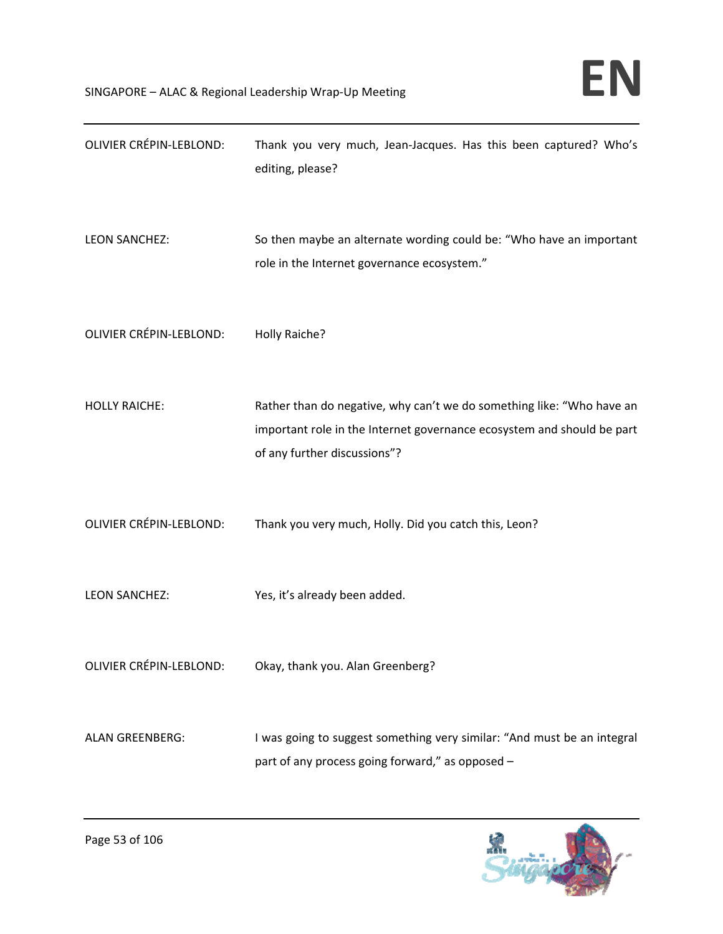| <b>OLIVIER CRÉPIN-LEBLOND:</b> | Thank you very much, Jean-Jacques. Has this been captured? Who's<br>editing, please?                                                                                            |
|--------------------------------|---------------------------------------------------------------------------------------------------------------------------------------------------------------------------------|
| <b>LEON SANCHEZ:</b>           | So then maybe an alternate wording could be: "Who have an important<br>role in the Internet governance ecosystem."                                                              |
| <b>OLIVIER CRÉPIN-LEBLOND:</b> | Holly Raiche?                                                                                                                                                                   |
| <b>HOLLY RAICHE:</b>           | Rather than do negative, why can't we do something like: "Who have an<br>important role in the Internet governance ecosystem and should be part<br>of any further discussions"? |
| <b>OLIVIER CRÉPIN-LEBLOND:</b> | Thank you very much, Holly. Did you catch this, Leon?                                                                                                                           |
| <b>LEON SANCHEZ:</b>           | Yes, it's already been added.                                                                                                                                                   |
|                                | OLIVIER CRÉPIN-LEBLOND: Okay, thank you. Alan Greenberg?                                                                                                                        |
| <b>ALAN GREENBERG:</b>         | I was going to suggest something very similar: "And must be an integral<br>part of any process going forward," as opposed -                                                     |

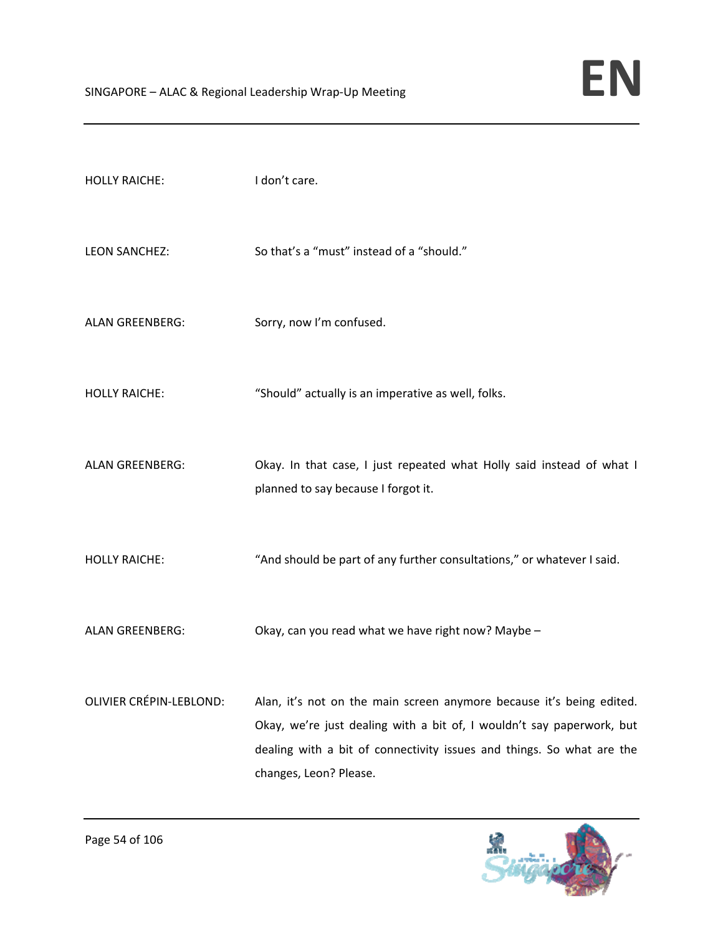| <b>HOLLY RAICHE:</b>           | I don't care.                                                                                                                                                                                                                                    |
|--------------------------------|--------------------------------------------------------------------------------------------------------------------------------------------------------------------------------------------------------------------------------------------------|
| <b>LEON SANCHEZ:</b>           | So that's a "must" instead of a "should."                                                                                                                                                                                                        |
| <b>ALAN GREENBERG:</b>         | Sorry, now I'm confused.                                                                                                                                                                                                                         |
| <b>HOLLY RAICHE:</b>           | "Should" actually is an imperative as well, folks.                                                                                                                                                                                               |
| <b>ALAN GREENBERG:</b>         | Okay. In that case, I just repeated what Holly said instead of what I<br>planned to say because I forgot it.                                                                                                                                     |
| <b>HOLLY RAICHE:</b>           | "And should be part of any further consultations," or whatever I said.                                                                                                                                                                           |
| <b>ALAN GREENBERG:</b>         | Okay, can you read what we have right now? Maybe -                                                                                                                                                                                               |
| <b>OLIVIER CRÉPIN-LEBLOND:</b> | Alan, it's not on the main screen anymore because it's being edited.<br>Okay, we're just dealing with a bit of, I wouldn't say paperwork, but<br>dealing with a bit of connectivity issues and things. So what are the<br>changes, Leon? Please. |

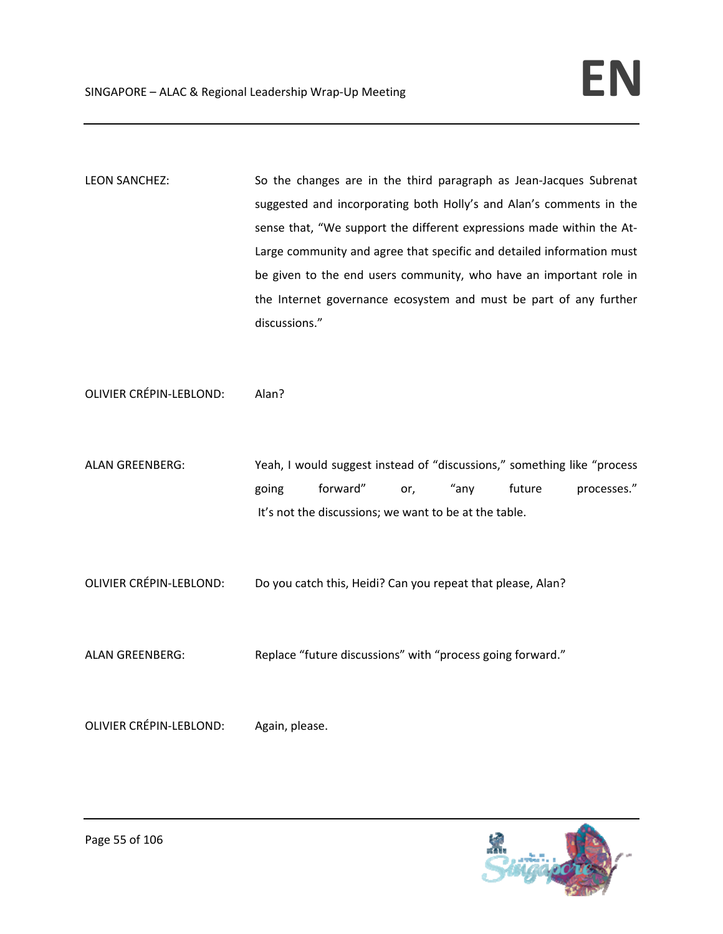LEON SANCHEZ: So the changes are in the third paragraph as Jean-Jacques Subrenat suggested and incorporating both Holly's and Alan's comments in the sense that, "We support the different expressions made within the At-Large community and agree that specific and detailed information must be given to the end users community, who have an important role in the Internet governance ecosystem and must be part of any further discussions."

OLIVIER CRÉPIN‐LEBLOND: Alan?

ALAN GREENBERG: Yeah, I would suggest instead of "discussions," something like "process going forward" or, "any future processes." It's not the discussions; we want to be at the table.

OLIVIER CRÉPIN‐LEBLOND: Do you catch this, Heidi? Can you repeat that please, Alan?

ALAN GREENBERG: Replace "future discussions" with "process going forward."

OLIVIER CRÉPIN‐LEBLOND: Again, please.

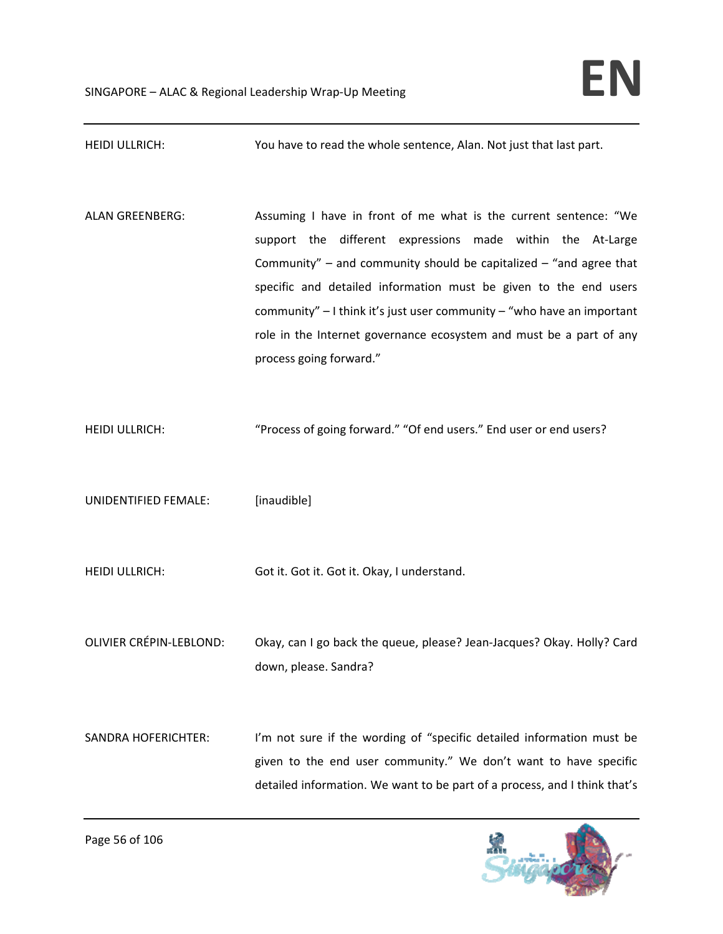HEIDI ULLRICH: You have to read the whole sentence, Alan. Not just that last part. ALAN GREENBERG: Assuming I have in front of me what is the current sentence: "We support the different expressions made within the At-Large Community" – and community should be capitalized – "and agree that specific and detailed information must be given to the end users community" – I think it's just user community – "who have an important role in the Internet governance ecosystem and must be a part of any process going forward." HEIDI ULLRICH: ""Process of going forward." "Of end users." End user or end users? UNIDENTIFIED FEMALE: [inaudible] HEIDI ULLRICH: Got it. Got it. Got it. Okay, I understand. OLIVIER CRÉPIN‐LEBLOND: Okay, can I go back the queue, please? Jean‐Jacques? Okay. Holly? Card down, please. Sandra? SANDRA HOFERICHTER: I'm not sure if the wording of "specific detailed information must be given to the end user community." We don't want to have specific detailed information. We want to be part of a process, and I think that's

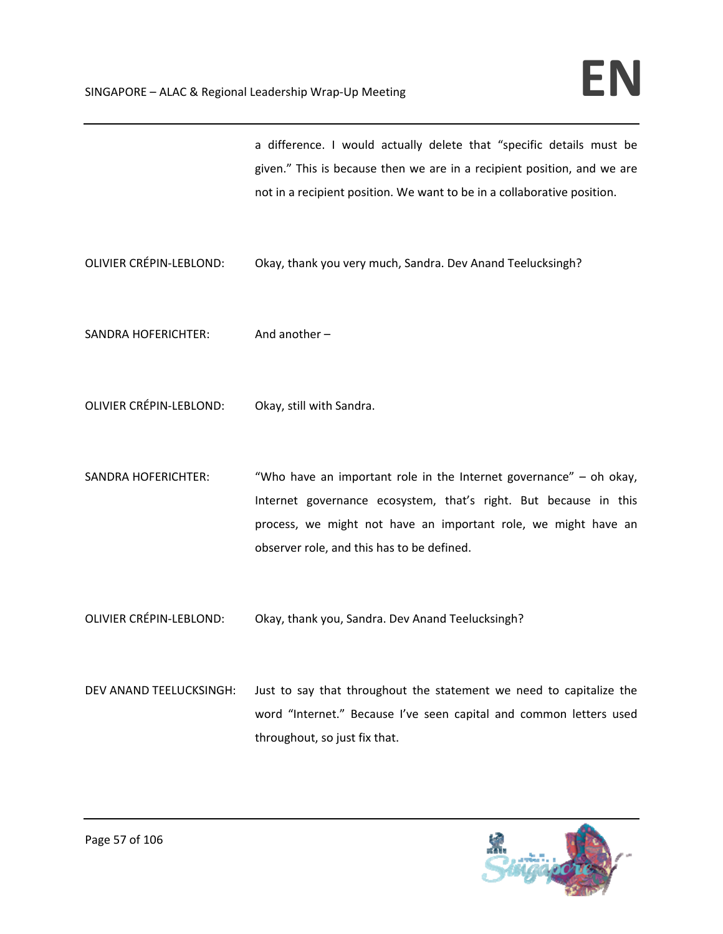a difference. I would actually delete that "specific details must be given." This is because then we are in a recipient position, and we are not in a recipient position. We want to be in a collaborative position.

- OLIVIER CRÉPIN‐LEBLOND: Okay, thank you very much, Sandra. Dev Anand Teelucksingh?
- SANDRA HOFERICHTER: And another -
- OLIVIER CRÉPIN‐LEBLOND: Okay, still with Sandra.
- SANDRA HOFERICHTER: "Who have an important role in the Internet governance" oh okay, Internet governance ecosystem, that's right. But because in this process, we might not have an important role, we might have an observer role, and this has to be defined.
- OLIVIER CRÉPIN‐LEBLOND: Okay, thank you, Sandra. Dev Anand Teelucksingh?
- DEV ANAND TEELUCKSINGH: Just to say that throughout the statement we need to capitalize the word "Internet." Because I've seen capital and common letters used throughout, so just fix that.

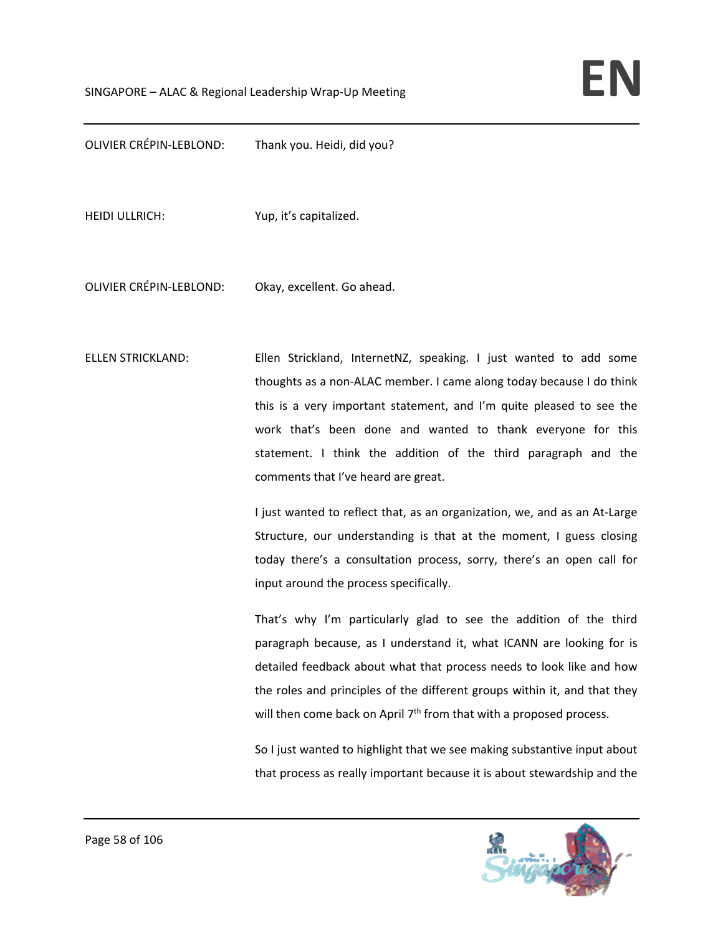OLIVIER CRÉPIN‐LEBLOND: Thank you. Heidi, did you?

HEIDI ULLRICH: Yup, it's capitalized.

OLIVIER CRÉPIN‐LEBLOND: Okay, excellent. Go ahead.

ELLEN STRICKLAND: Ellen Strickland, InternetNZ, speaking. I just wanted to add some thoughts as a non‐ALAC member. I came along today because I do think this is a very important statement, and I'm quite pleased to see the work that's been done and wanted to thank everyone for this statement. I think the addition of the third paragraph and the comments that I've heard are great.

> I just wanted to reflect that, as an organization, we, and as an At‐Large Structure, our understanding is that at the moment, I guess closing today there's a consultation process, sorry, there's an open call for input around the process specifically.

> That's why I'm particularly glad to see the addition of the third paragraph because, as I understand it, what ICANN are looking for is detailed feedback about what that process needs to look like and how the roles and principles of the different groups within it, and that they will then come back on April  $7<sup>th</sup>$  from that with a proposed process.

> So I just wanted to highlight that we see making substantive input about that process as really important because it is about stewardship and the

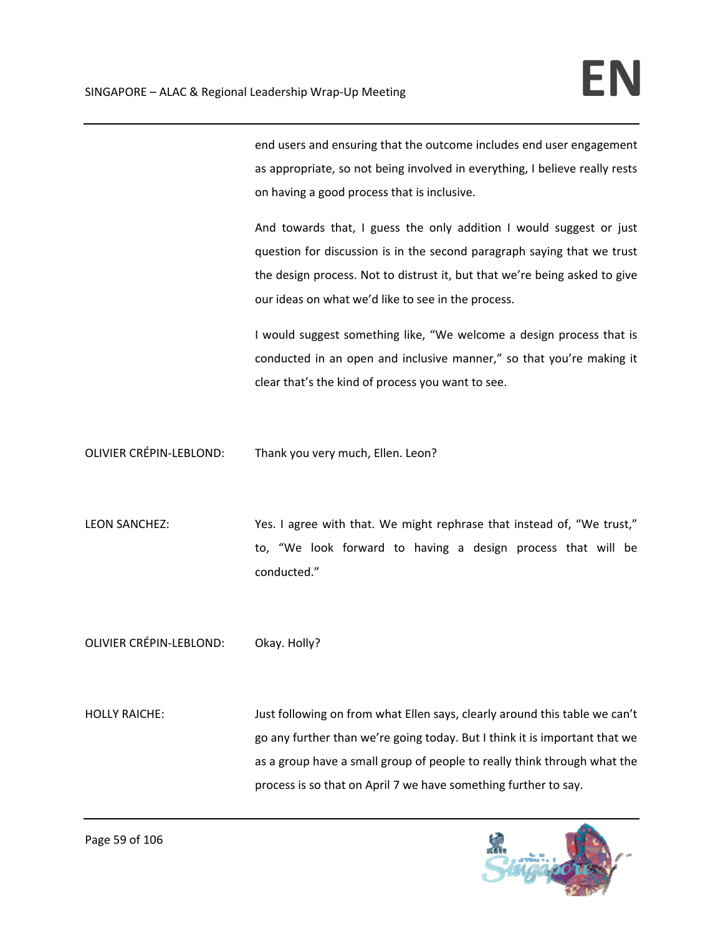end users and ensuring that the outcome includes end user engagement as appropriate, so not being involved in everything, I believe really rests on having a good process that is inclusive.

And towards that, I guess the only addition I would suggest or just question for discussion is in the second paragraph saying that we trust the design process. Not to distrust it, but that we're being asked to give our ideas on what we'd like to see in the process.

I would suggest something like, "We welcome a design process that is conducted in an open and inclusive manner," so that you're making it clear that's the kind of process you want to see.

OLIVIER CRÉPIN‐LEBLOND: Thank you very much, Ellen. Leon?

LEON SANCHEZ: Yes. I agree with that. We might rephrase that instead of, "We trust," to, "We look forward to having a design process that will be conducted."

OLIVIER CRÉPIN‐LEBLOND: Okay. Holly?

HOLLY RAICHE: Just following on from what Ellen says, clearly around this table we can't go any further than we're going today. But I think it is important that we as a group have a small group of people to really think through what the process is so that on April 7 we have something further to say.

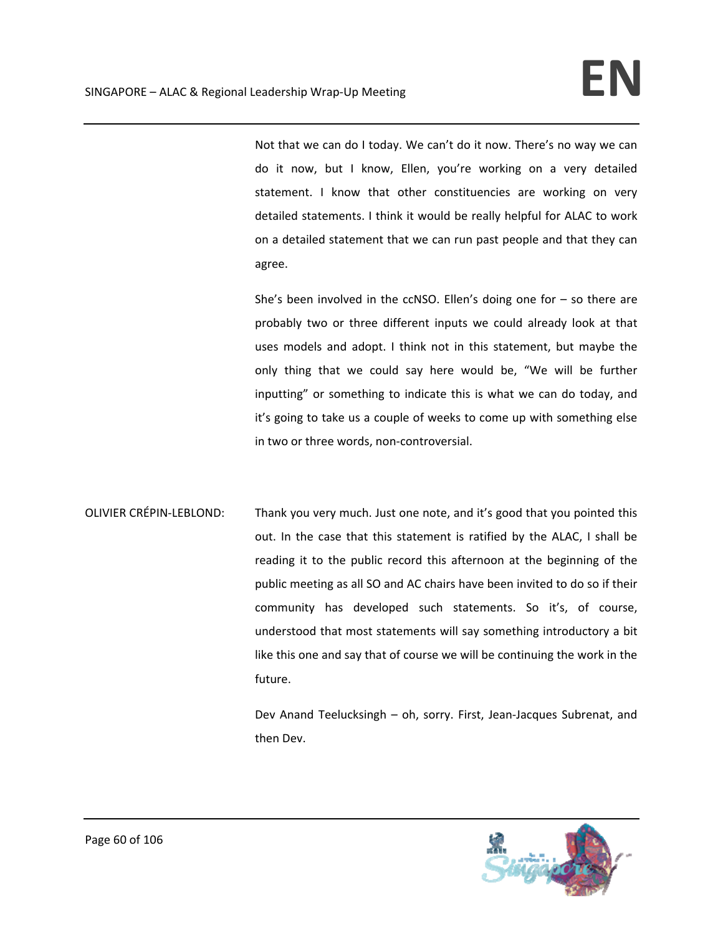Not that we can do I today. We can't do it now. There's no way we can do it now, but I know, Ellen, you're working on a very detailed statement. I know that other constituencies are working on very detailed statements. I think it would be really helpful for ALAC to work on a detailed statement that we can run past people and that they can agree.

She's been involved in the ccNSO. Ellen's doing one for  $-$  so there are probably two or three different inputs we could already look at that uses models and adopt. I think not in this statement, but maybe the only thing that we could say here would be, "We will be further inputting" or something to indicate this is what we can do today, and it's going to take us a couple of weeks to come up with something else in two or three words, non‐controversial.

OLIVIER CRÉPIN‐LEBLOND: Thank you very much. Just one note, and it's good that you pointed this out. In the case that this statement is ratified by the ALAC, I shall be reading it to the public record this afternoon at the beginning of the public meeting as all SO and AC chairs have been invited to do so if their community has developed such statements. So it's, of course, understood that most statements will say something introductory a bit like this one and say that of course we will be continuing the work in the future.

> Dev Anand Teelucksingh – oh, sorry. First, Jean‐Jacques Subrenat, and then Dev.

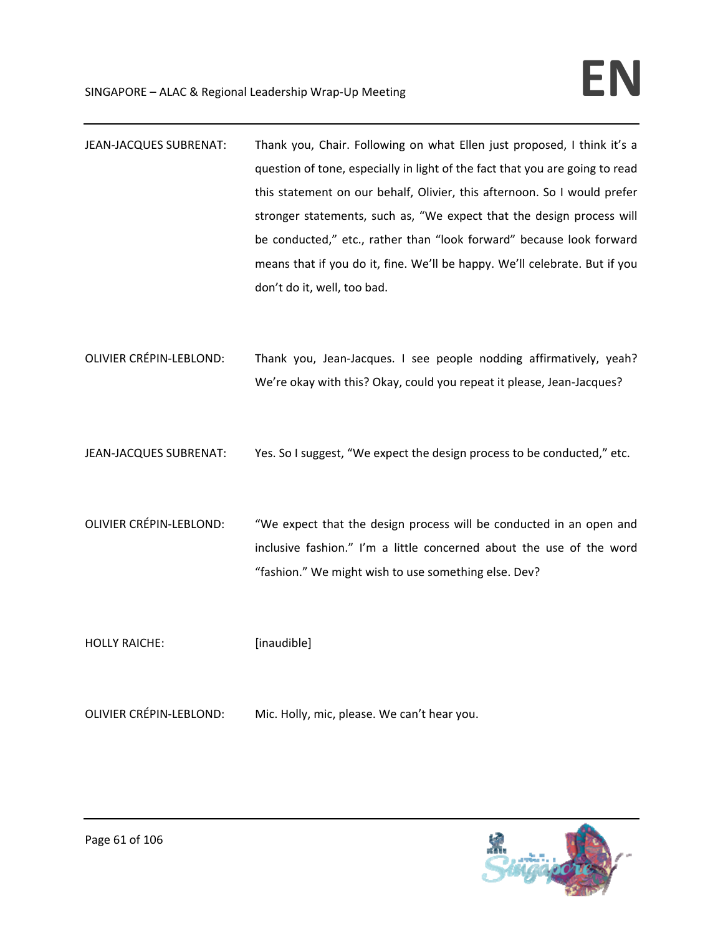- JEAN-JACQUES SUBRENAT: Thank you, Chair. Following on what Ellen just proposed, I think it's a question of tone, especially in light of the fact that you are going to read this statement on our behalf, Olivier, this afternoon. So I would prefer stronger statements, such as, "We expect that the design process will be conducted," etc., rather than "look forward" because look forward means that if you do it, fine. We'll be happy. We'll celebrate. But if you don't do it, well, too bad.
- OLIVIER CRÉPIN‐LEBLOND: Thank you, Jean‐Jacques. I see people nodding affirmatively, yeah? We're okay with this? Okay, could you repeat it please, Jean-Jacques?
- JEAN-JACQUES SUBRENAT: Yes. So I suggest, "We expect the design process to be conducted," etc.
- OLIVIER CRÉPIN‐LEBLOND: "We expect that the design process will be conducted in an open and inclusive fashion." I'm a little concerned about the use of the word "fashion." We might wish to use something else. Dev?

HOLLY RAICHE: [inaudible]

OLIVIER CRÉPIN‐LEBLOND: Mic. Holly, mic, please. We can't hear you.

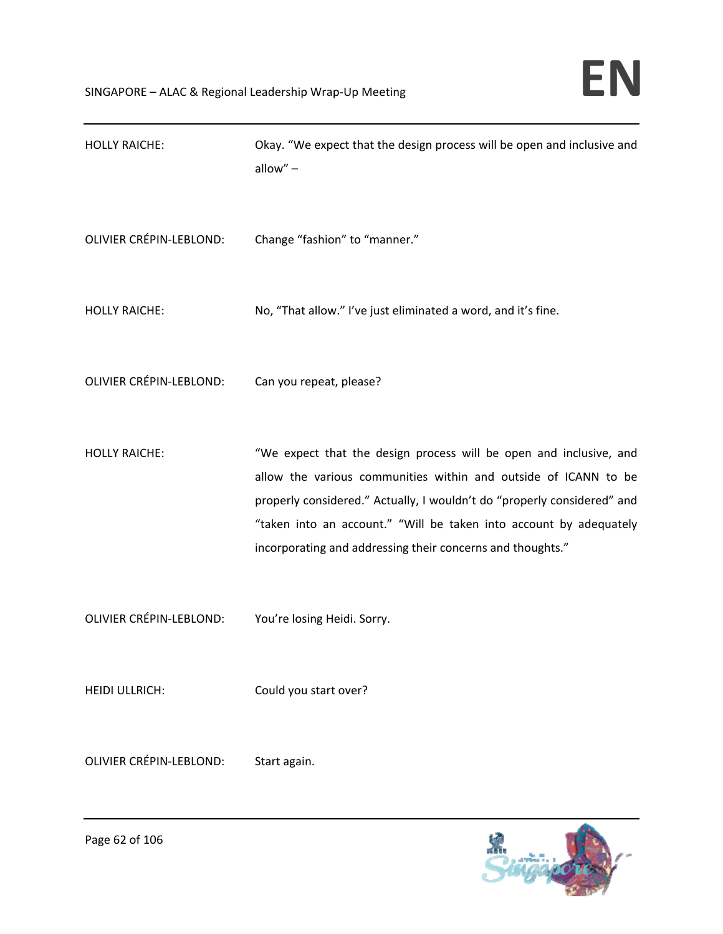| <b>HOLLY RAICHE:</b>           | Okay. "We expect that the design process will be open and inclusive and<br>allow" $-$                                                                                                                                                                                                                                                                |
|--------------------------------|------------------------------------------------------------------------------------------------------------------------------------------------------------------------------------------------------------------------------------------------------------------------------------------------------------------------------------------------------|
| <b>OLIVIER CRÉPIN-LEBLOND:</b> | Change "fashion" to "manner."                                                                                                                                                                                                                                                                                                                        |
| <b>HOLLY RAICHE:</b>           | No, "That allow." I've just eliminated a word, and it's fine.                                                                                                                                                                                                                                                                                        |
| <b>OLIVIER CRÉPIN-LEBLOND:</b> | Can you repeat, please?                                                                                                                                                                                                                                                                                                                              |
| <b>HOLLY RAICHE:</b>           | "We expect that the design process will be open and inclusive, and<br>allow the various communities within and outside of ICANN to be<br>properly considered." Actually, I wouldn't do "properly considered" and<br>"taken into an account." "Will be taken into account by adequately<br>incorporating and addressing their concerns and thoughts." |
| <b>OLIVIER CRÉPIN-LEBLOND:</b> | You're losing Heidi. Sorry.                                                                                                                                                                                                                                                                                                                          |
| <b>HEIDI ULLRICH:</b>          | Could you start over?                                                                                                                                                                                                                                                                                                                                |
| <b>OLIVIER CRÉPIN-LEBLOND:</b> | Start again.                                                                                                                                                                                                                                                                                                                                         |

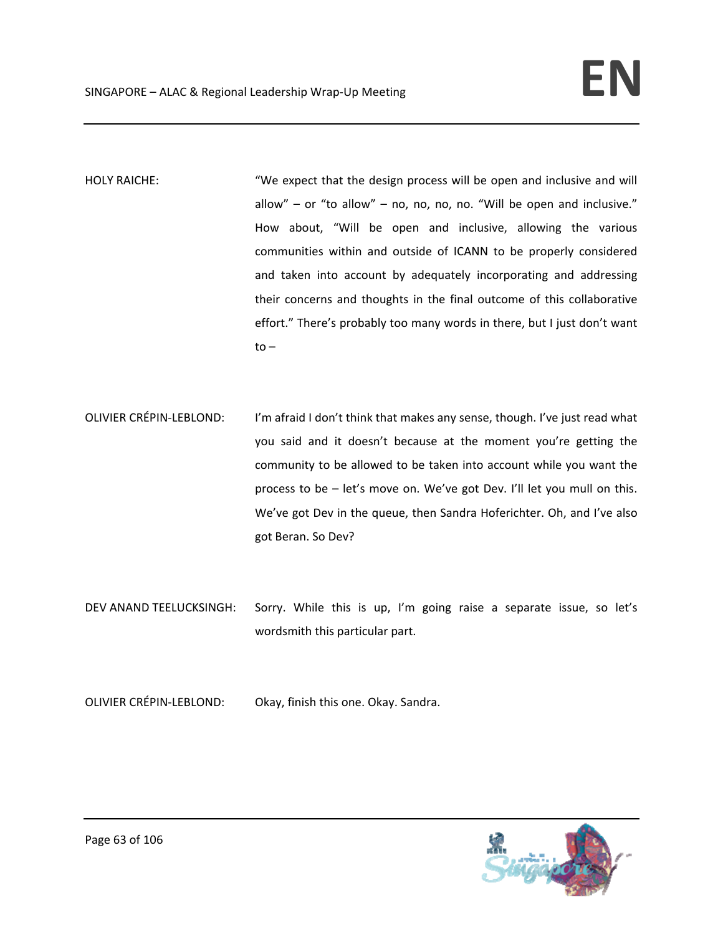HOLY RAICHE: "We expect that the design process will be open and inclusive and will allow" – or "to allow" – no, no, no, no. "Will be open and inclusive." How about, "Will be open and inclusive, allowing the various communities within and outside of ICANN to be properly considered and taken into account by adequately incorporating and addressing their concerns and thoughts in the final outcome of this collaborative effort." There's probably too many words in there, but I just don't want  $to -$ 

- OLIVIER CRÉPIN-LEBLOND: I'm afraid I don't think that makes any sense, though. I've just read what you said and it doesn't because at the moment you're getting the community to be allowed to be taken into account while you want the process to be – let's move on. We've got Dev. I'll let you mull on this. We've got Dev in the queue, then Sandra Hoferichter. Oh, and I've also got Beran. So Dev?
- DEV ANAND TEELUCKSINGH: Sorry. While this is up, I'm going raise a separate issue, so let's wordsmith this particular part.
- OLIVIER CRÉPIN‐LEBLOND: Okay, finish this one. Okay. Sandra.

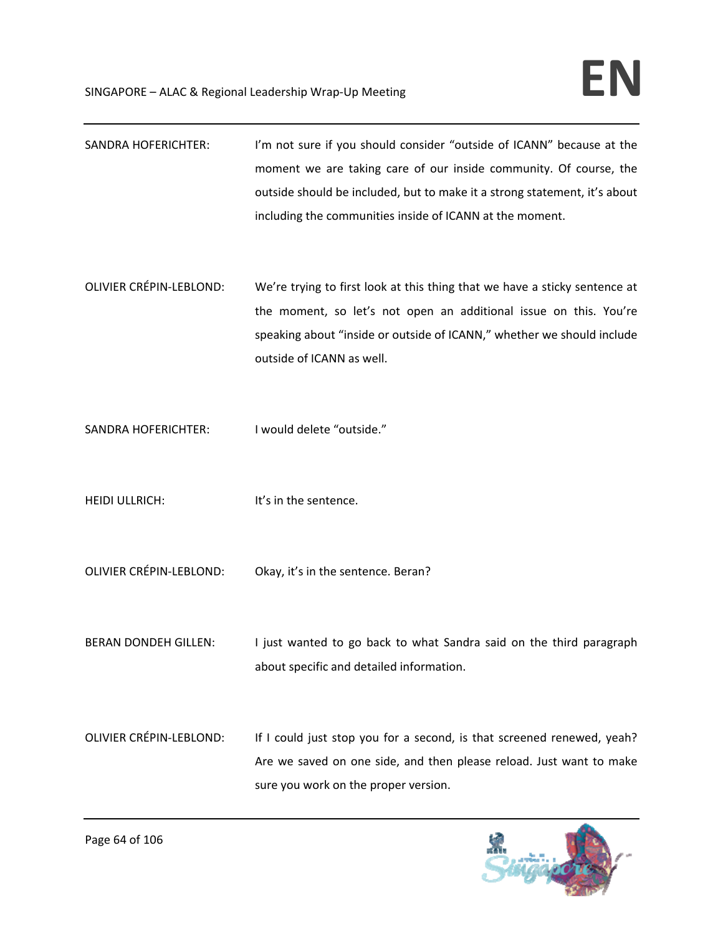- SANDRA HOFERICHTER: I'm not sure if you should consider "outside of ICANN" because at the moment we are taking care of our inside community. Of course, the outside should be included, but to make it a strong statement, it's about including the communities inside of ICANN at the moment.
- OLIVIER CRÉPIN‐LEBLOND: We're trying to first look at this thing that we have a sticky sentence at the moment, so let's not open an additional issue on this. You're speaking about "inside or outside of ICANN," whether we should include outside of ICANN as well.
- SANDRA HOFERICHTER: I would delete "outside."
- HEIDI ULLRICH: It's in the sentence.
- OLIVIER CRÉPIN‐LEBLOND: Okay, it's in the sentence. Beran?
- BERAN DONDEH GILLEN: I just wanted to go back to what Sandra said on the third paragraph about specific and detailed information.
- OLIVIER CRÉPIN-LEBLOND: If I could just stop you for a second, is that screened renewed, yeah? Are we saved on one side, and then please reload. Just want to make sure you work on the proper version.

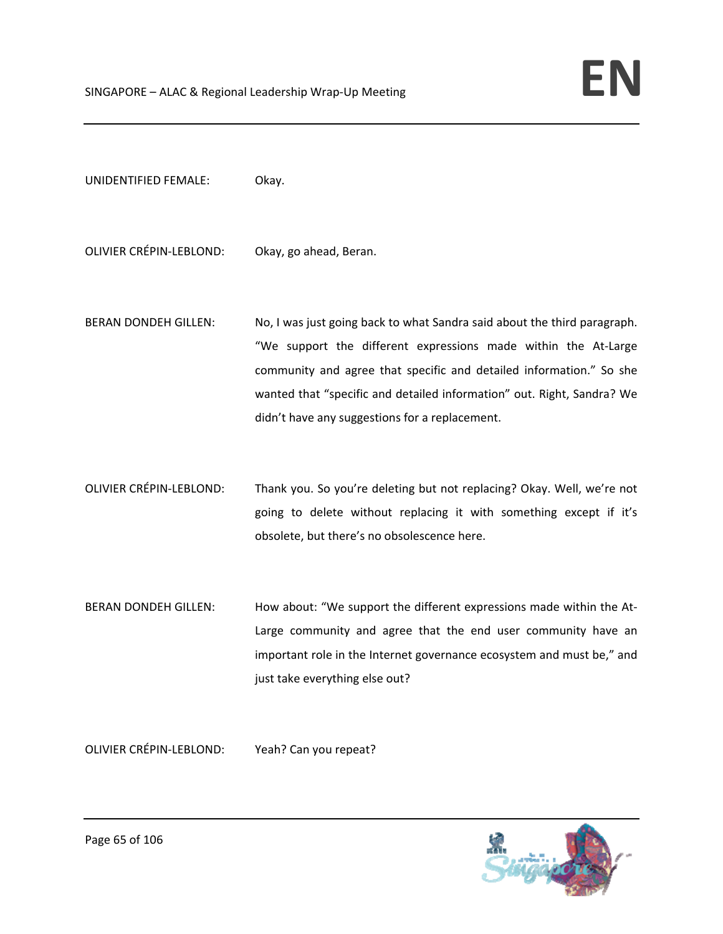UNIDENTIFIED FEMALE: Okay.

OLIVIER CRÉPIN‐LEBLOND: Okay, go ahead, Beran.

- BERAN DONDEH GILLEN: No, I was just going back to what Sandra said about the third paragraph. "We support the different expressions made within the At‐Large community and agree that specific and detailed information." So she wanted that "specific and detailed information" out. Right, Sandra? We didn't have any suggestions for a replacement.
- OLIVIER CRÉPIN‐LEBLOND: Thank you. So you're deleting but not replacing? Okay. Well, we're not going to delete without replacing it with something except if it's obsolete, but there's no obsolescence here.
- BERAN DONDEH GILLEN: How about: "We support the different expressions made within the At-Large community and agree that the end user community have an important role in the Internet governance ecosystem and must be," and just take everything else out?

OLIVIER CRÉPIN‐LEBLOND: Yeah? Can you repeat?

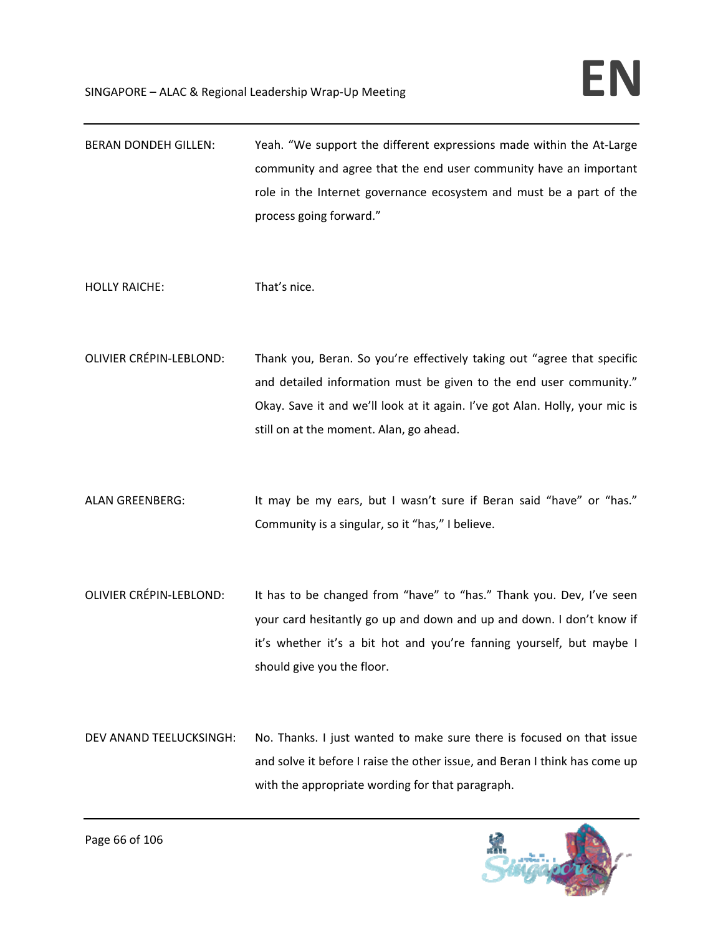| <b>BERAN DONDEH GILLEN:</b>    | Yeah. "We support the different expressions made within the At-Large<br>community and agree that the end user community have an important<br>role in the Internet governance ecosystem and must be a part of the<br>process going forward."                             |
|--------------------------------|-------------------------------------------------------------------------------------------------------------------------------------------------------------------------------------------------------------------------------------------------------------------------|
| <b>HOLLY RAICHE:</b>           | That's nice.                                                                                                                                                                                                                                                            |
| <b>OLIVIER CRÉPIN-LEBLOND:</b> | Thank you, Beran. So you're effectively taking out "agree that specific<br>and detailed information must be given to the end user community."<br>Okay. Save it and we'll look at it again. I've got Alan. Holly, your mic is<br>still on at the moment. Alan, go ahead. |
| <b>ALAN GREENBERG:</b>         | It may be my ears, but I wasn't sure if Beran said "have" or "has."<br>Community is a singular, so it "has," I believe.                                                                                                                                                 |
| <b>OLIVIER CRÉPIN-LEBLOND:</b> | It has to be changed from "have" to "has." Thank you. Dev, I've seen<br>your card hesitantly go up and down and up and down. I don't know if<br>it's whether it's a bit hot and you're fanning yourself, but maybe I<br>should give you the floor.                      |
| DEV ANAND TEELUCKSINGH:        | No. Thanks. I just wanted to make sure there is focused on that issue<br>and solve it before I raise the other issue, and Beran I think has come up<br>with the appropriate wording for that paragraph.                                                                 |

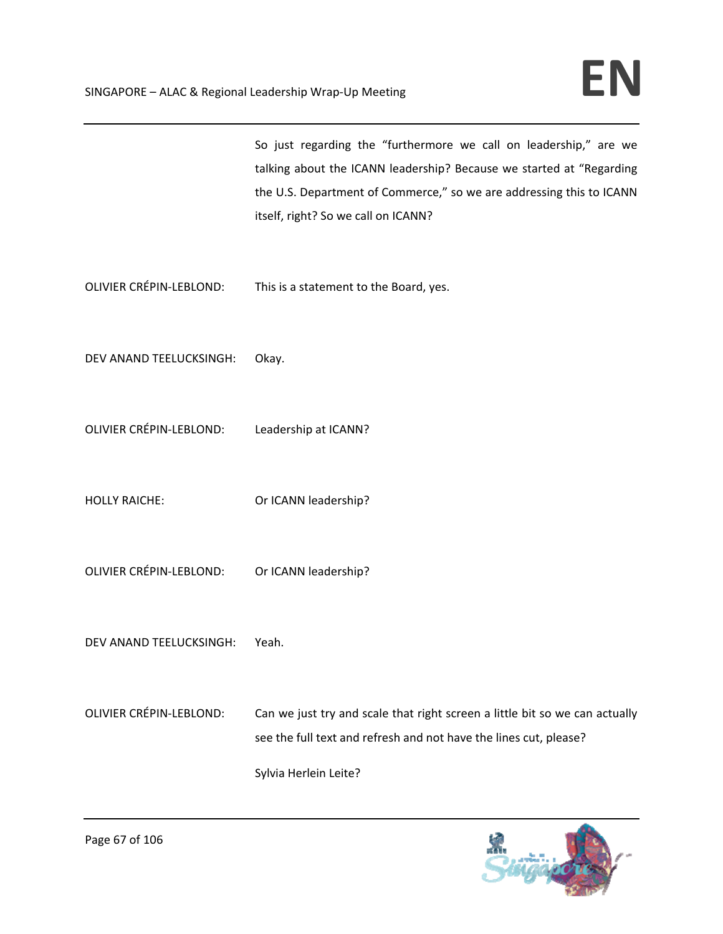|                                              | So just regarding the "furthermore we call on leadership," are we<br>talking about the ICANN leadership? Because we started at "Regarding<br>the U.S. Department of Commerce," so we are addressing this to ICANN<br>itself, right? So we call on ICANN? |
|----------------------------------------------|----------------------------------------------------------------------------------------------------------------------------------------------------------------------------------------------------------------------------------------------------------|
|                                              | OLIVIER CRÉPIN-LEBLOND: This is a statement to the Board, yes.                                                                                                                                                                                           |
| DEV ANAND TEELUCKSINGH:                      | Okay.                                                                                                                                                                                                                                                    |
| OLIVIER CRÉPIN-LEBLOND: Leadership at ICANN? |                                                                                                                                                                                                                                                          |
| <b>HOLLY RAICHE:</b>                         | Or ICANN leadership?                                                                                                                                                                                                                                     |
| OLIVIER CRÉPIN-LEBLOND: Or ICANN leadership? |                                                                                                                                                                                                                                                          |
| DEV ANAND TEELUCKSINGH:                      | Yeah.                                                                                                                                                                                                                                                    |
| OLIVIER CRÉPIN-LEBLOND:                      | Can we just try and scale that right screen a little bit so we can actually<br>see the full text and refresh and not have the lines cut, please?<br>Sylvia Herlein Leite?                                                                                |

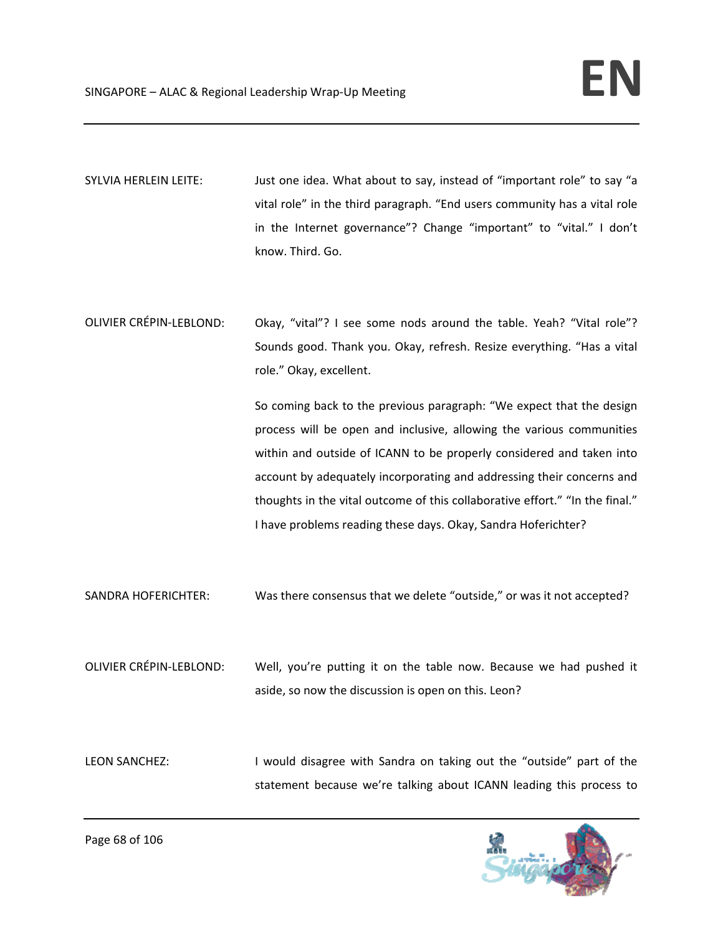SYLVIA HERLEIN LEITE: Just one idea. What about to say, instead of "important role" to say "a vital role" in the third paragraph. "End users community has a vital role in the Internet governance"? Change "important" to "vital." I don't know. Third. Go.

OLIVIER CRÉPIN-LEBLOND: Okay, "vital"? I see some nods around the table. Yeah? "Vital role"? Sounds good. Thank you. Okay, refresh. Resize everything. "Has a vital role." Okay, excellent.

> So coming back to the previous paragraph: "We expect that the design process will be open and inclusive, allowing the various communities within and outside of ICANN to be properly considered and taken into account by adequately incorporating and addressing their concerns and thoughts in the vital outcome of this collaborative effort." "In the final." I have problems reading these days. Okay, Sandra Hoferichter?

SANDRA HOFERICHTER: Was there consensus that we delete "outside," or was it not accepted?

OLIVIER CRÉPIN‐LEBLOND: Well, you're putting it on the table now. Because we had pushed it aside, so now the discussion is open on this. Leon?

LEON SANCHEZ: I would disagree with Sandra on taking out the "outside" part of the statement because we're talking about ICANN leading this process to

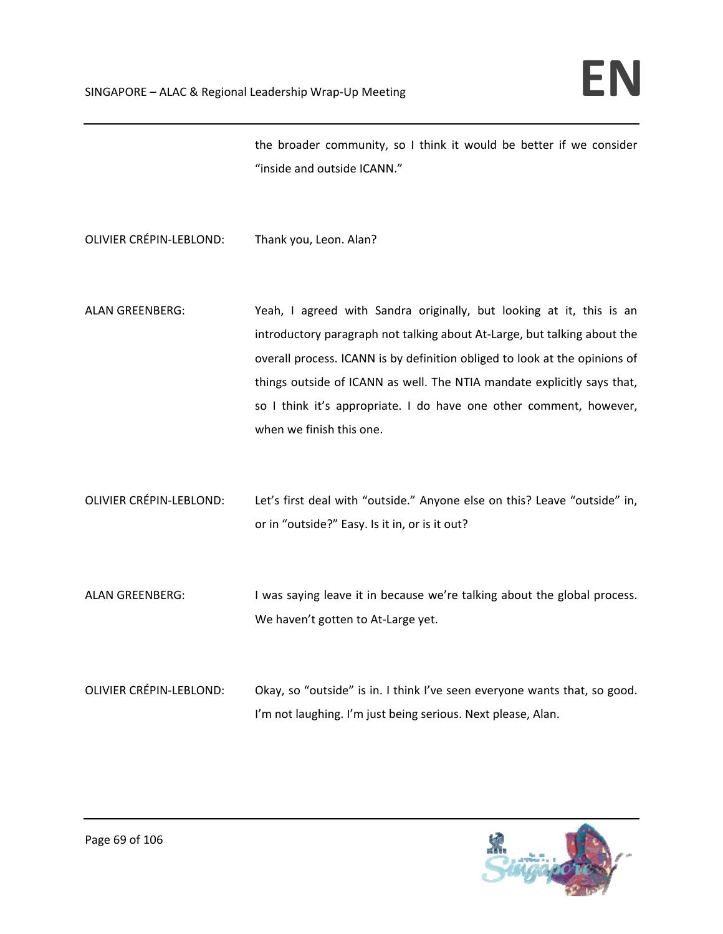the broader community, so I think it would be better if we consider "inside and outside ICANN."

OLIVIER CRÉPIN‐LEBLOND: Thank you, Leon. Alan?

- ALAN GREENBERG: Yeah, I agreed with Sandra originally, but looking at it, this is an introductory paragraph not talking about At‐Large, but talking about the overall process. ICANN is by definition obliged to look at the opinions of things outside of ICANN as well. The NTIA mandate explicitly says that, so I think it's appropriate. I do have one other comment, however, when we finish this one.
- OLIVIER CRÉPIN‐LEBLOND: Let's first deal with "outside." Anyone else on this? Leave "outside" in, or in "outside?" Easy. Is it in, or is it out?
- ALAN GREENBERG: I was saying leave it in because we're talking about the global process. We haven't gotten to At-Large yet.
- 

OLIVIER CRÉPIN-LEBLOND: Okay, so "outside" is in. I think I've seen everyone wants that, so good. I'm not laughing. I'm just being serious. Next please, Alan.

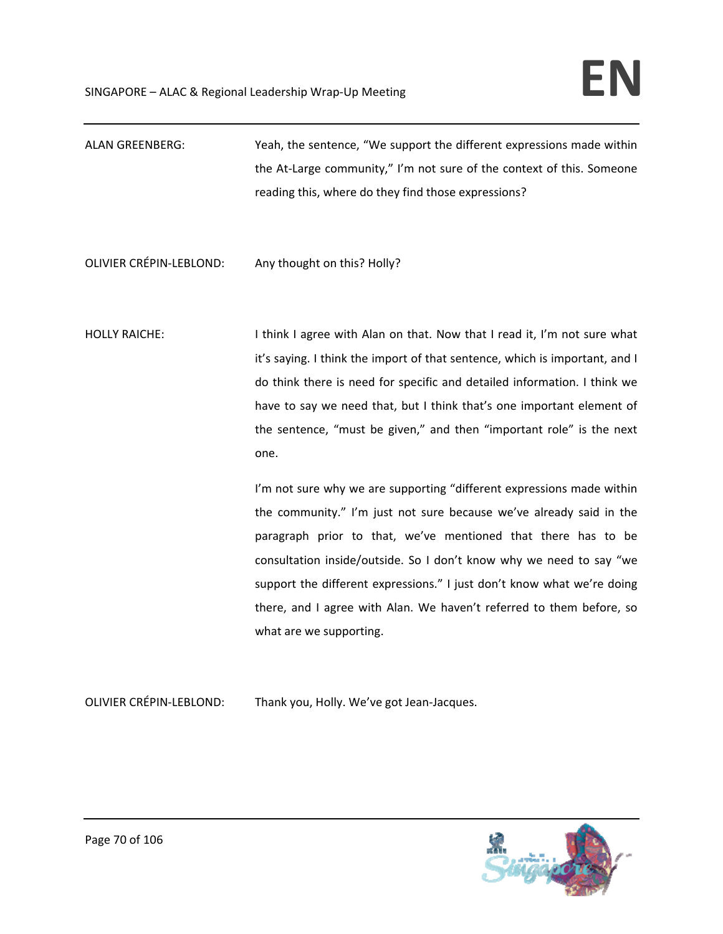| ALAN GREENBERG: | Yeah, the sentence, "We support the different expressions made within |
|-----------------|-----------------------------------------------------------------------|
|                 | the At-Large community," I'm not sure of the context of this. Someone |
|                 | reading this, where do they find those expressions?                   |

# OLIVIER CRÉPIN‐LEBLOND: Any thought on this? Holly?

HOLLY RAICHE: I say think I agree with Alan on that. Now that I read it, I'm not sure what it's saying. I think the import of that sentence, which is important, and I do think there is need for specific and detailed information. I think we have to say we need that, but I think that's one important element of the sentence, "must be given," and then "important role" is the next one.

> I'm not sure why we are supporting "different expressions made within the community." I'm just not sure because we've already said in the paragraph prior to that, we've mentioned that there has to be consultation inside/outside. So I don't know why we need to say "we support the different expressions." I just don't know what we're doing there, and I agree with Alan. We haven't referred to them before, so what are we supporting.

OLIVIER CRÉPIN‐LEBLOND: Thank you, Holly. We've got Jean‐Jacques.

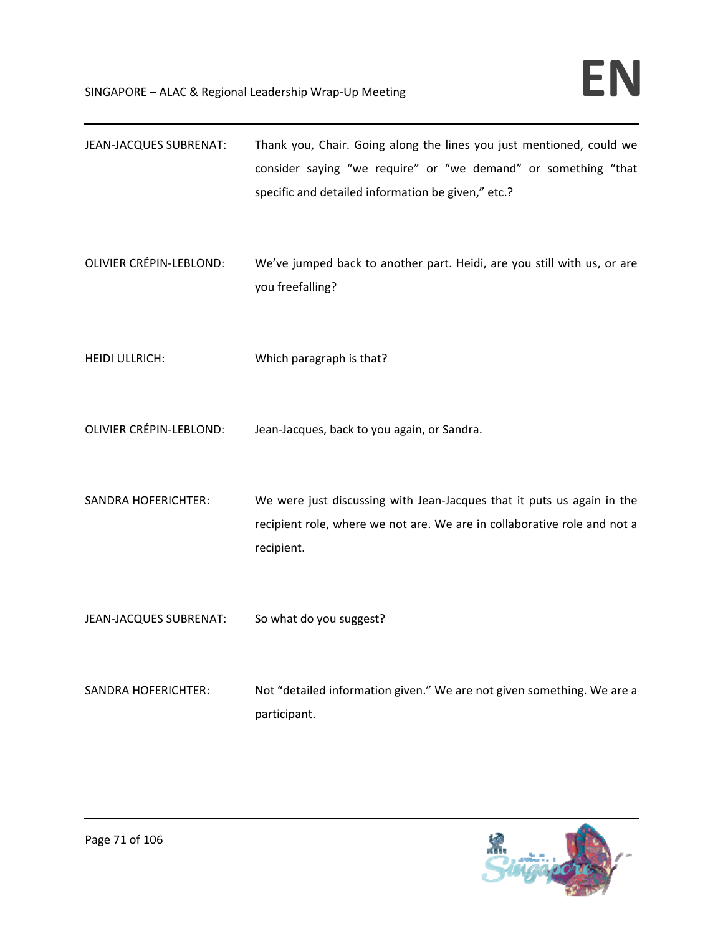| JEAN-JACQUES SUBRENAT:         | Thank you, Chair. Going along the lines you just mentioned, could we<br>consider saying "we require" or "we demand" or something "that<br>specific and detailed information be given," etc.? |
|--------------------------------|----------------------------------------------------------------------------------------------------------------------------------------------------------------------------------------------|
| <b>OLIVIER CRÉPIN-LEBLOND:</b> | We've jumped back to another part. Heidi, are you still with us, or are<br>you freefalling?                                                                                                  |
| <b>HEIDI ULLRICH:</b>          | Which paragraph is that?                                                                                                                                                                     |
| <b>OLIVIER CRÉPIN-LEBLOND:</b> | Jean-Jacques, back to you again, or Sandra.                                                                                                                                                  |
| <b>SANDRA HOFERICHTER:</b>     | We were just discussing with Jean-Jacques that it puts us again in the<br>recipient role, where we not are. We are in collaborative role and not a<br>recipient.                             |
| JEAN-JACQUES SUBRENAT:         | So what do you suggest?                                                                                                                                                                      |
| <b>SANDRA HOFERICHTER:</b>     | Not "detailed information given." We are not given something. We are a<br>participant.                                                                                                       |

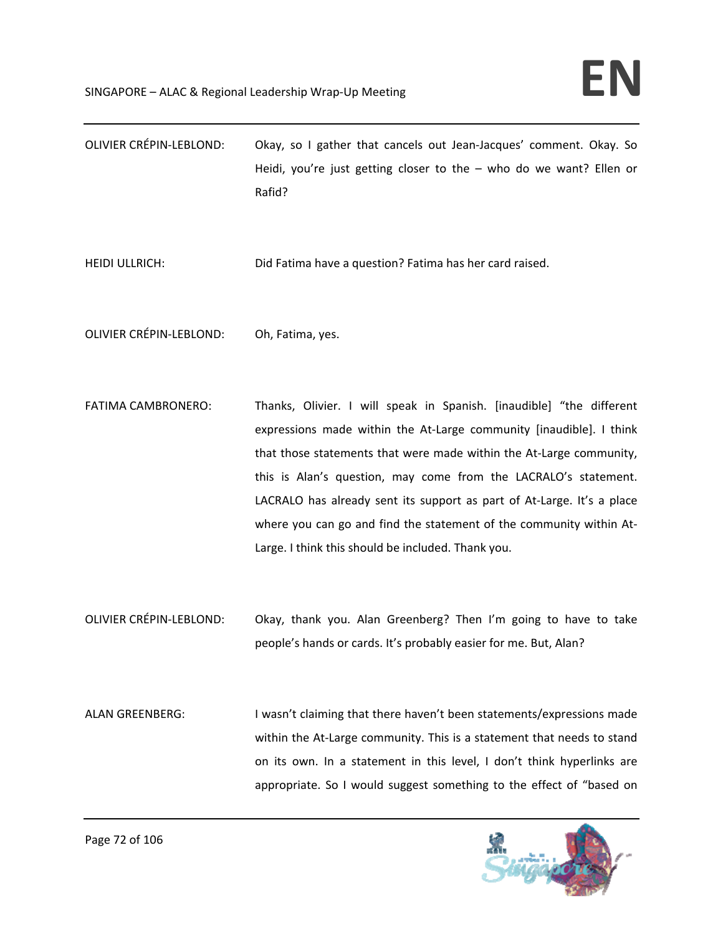OLIVIER CRÉPIN‐LEBLOND: Okay, so I gather that cancels out Jean‐Jacques' comment. Okay. So Heidi, you're just getting closer to the – who do we want? Ellen or Rafid?

HEIDI ULLRICH: Did Fatima have a question? Fatima has her card raised.

OLIVIER CRÉPIN‐LEBLOND: Oh, Fatima, yes.

- FATIMA CAMBRONERO: Thanks, Olivier. I will speak in Spanish. [inaudible] "the different expressions made within the At-Large community [inaudible]. I think that those statements that were made within the At‐Large community, this is Alan's question, may come from the LACRALO's statement. LACRALO has already sent its support as part of At‐Large. It's a place where you can go and find the statement of the community within At-Large. I think this should be included. Thank you.
- OLIVIER CRÉPIN‐LEBLOND: Okay, thank you. Alan Greenberg? Then I'm going to have to take people's hands or cards. It's probably easier for me. But, Alan?
- ALAN GREENBERG: I wasn't claiming that there haven't been statements/expressions made within the At-Large community. This is a statement that needs to stand on its own. In a statement in this level, I don't think hyperlinks are appropriate. So I would suggest something to the effect of "based on

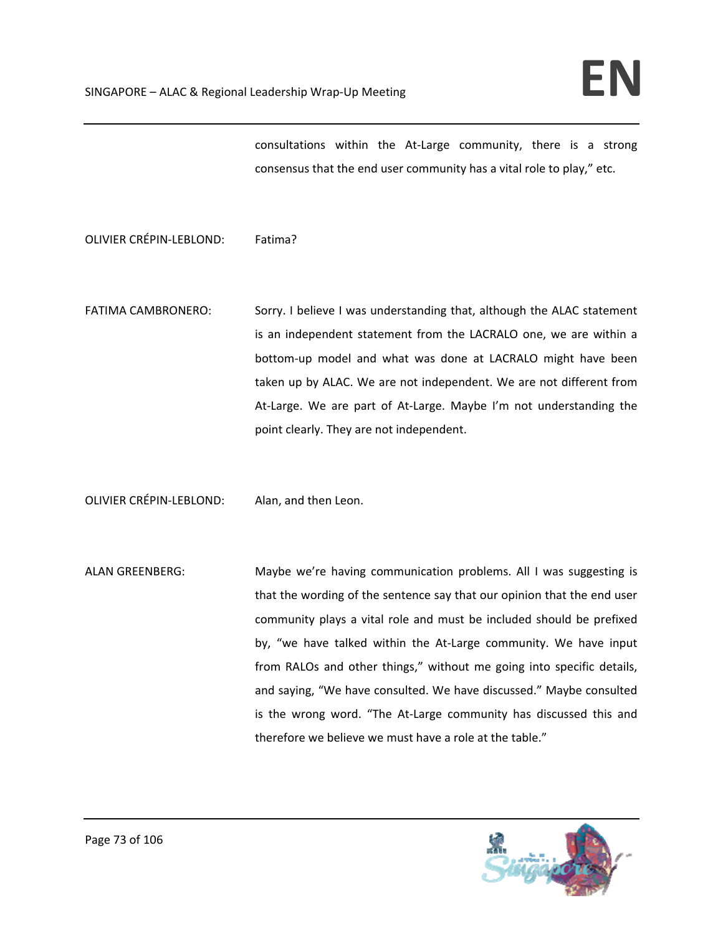consultations within the At‐Large community, there is a strong consensus that the end user community has a vital role to play," etc.

OLIVIER CRÉPIN‐LEBLOND: Fatima?

FATIMA CAMBRONERO: Sorry. I believe I was understanding that, although the ALAC statement is an independent statement from the LACRALO one, we are within a bottom‐up model and what was done at LACRALO might have been taken up by ALAC. We are not independent. We are not different from At-Large. We are part of At-Large. Maybe I'm not understanding the point clearly. They are not independent.

OLIVIER CRÉPIN‐LEBLOND: Alan, and then Leon.

ALAN GREENBERG: Maybe we're having communication problems. All I was suggesting is that the wording of the sentence say that our opinion that the end user community plays a vital role and must be included should be prefixed by, "we have talked within the At-Large community. We have input from RALOs and other things," without me going into specific details, and saying, "We have consulted. We have discussed." Maybe consulted is the wrong word. "The At-Large community has discussed this and therefore we believe we must have a role at the table."

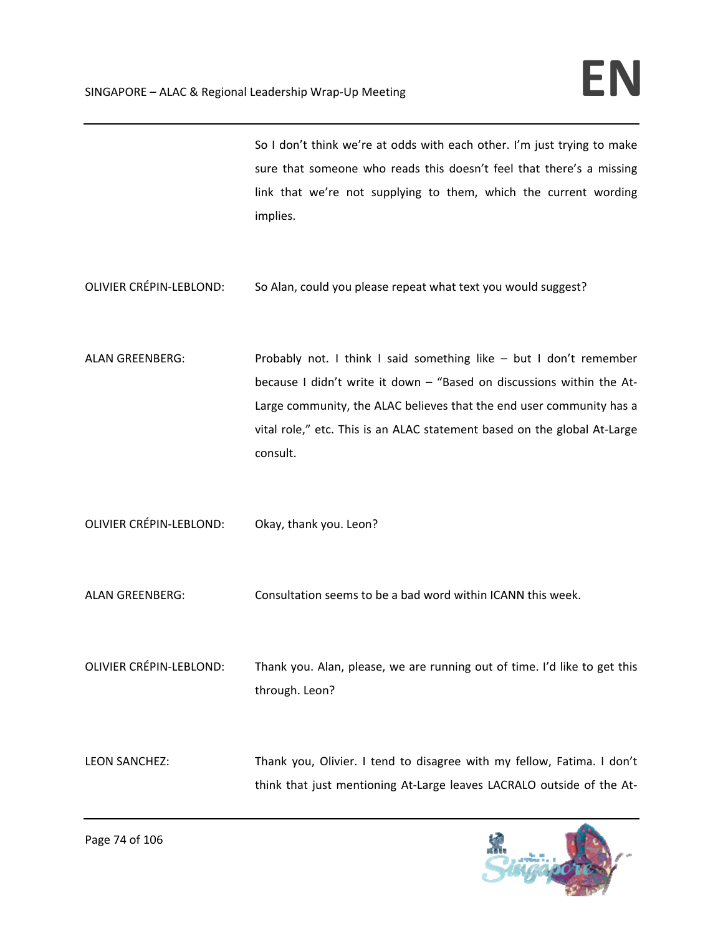So I don't think we're at odds with each other. I'm just trying to make sure that someone who reads this doesn't feel that there's a missing link that we're not supplying to them, which the current wording implies.

OLIVIER CRÉPIN‐LEBLOND: So Alan, could you please repeat what text you would suggest?

ALAN GREENBERG: Probably not. I think I said something like – but I don't remember because I didn't write it down – "Based on discussions within the At‐ Large community, the ALAC believes that the end user community has a vital role," etc. This is an ALAC statement based on the global At‐Large consult.

OLIVIER CRÉPIN‐LEBLOND: Okay, thank you. Leon?

ALAN GREENBERG: Consultation seems to be a bad word within ICANN this week.

OLIVIER CRÉPIN‐LEBLOND: Thank you. Alan, please, we are running out of time. I'd like to get this through. Leon?

LEON SANCHEZ: Thank you, Olivier. I tend to disagree with my fellow, Fatima. I don't think that just mentioning At‐Large leaves LACRALO outside of the At‐

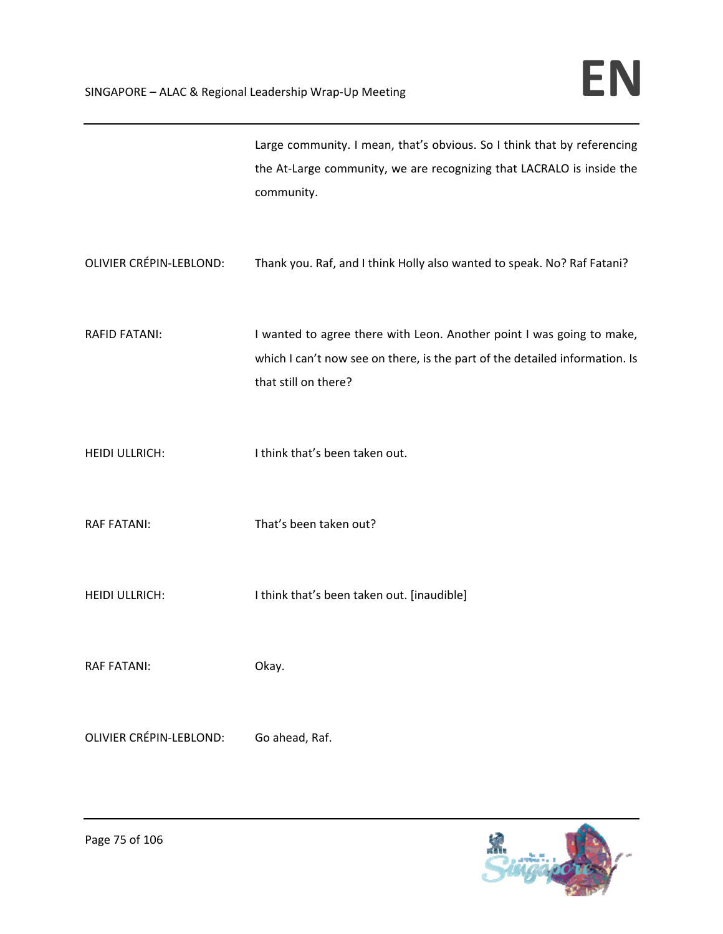|                                | Large community. I mean, that's obvious. So I think that by referencing<br>the At-Large community, we are recognizing that LACRALO is inside the<br>community.               |
|--------------------------------|------------------------------------------------------------------------------------------------------------------------------------------------------------------------------|
| <b>OLIVIER CRÉPIN-LEBLOND:</b> | Thank you. Raf, and I think Holly also wanted to speak. No? Raf Fatani?                                                                                                      |
| <b>RAFID FATANI:</b>           | I wanted to agree there with Leon. Another point I was going to make,<br>which I can't now see on there, is the part of the detailed information. Is<br>that still on there? |
| <b>HEIDI ULLRICH:</b>          | I think that's been taken out.                                                                                                                                               |
| <b>RAF FATANI:</b>             | That's been taken out?                                                                                                                                                       |
| <b>HEIDI ULLRICH:</b>          | I think that's been taken out. [inaudible]                                                                                                                                   |
| <b>RAF FATANI:</b>             | Okay.                                                                                                                                                                        |
| <b>OLIVIER CRÉPIN-LEBLOND:</b> | Go ahead, Raf.                                                                                                                                                               |

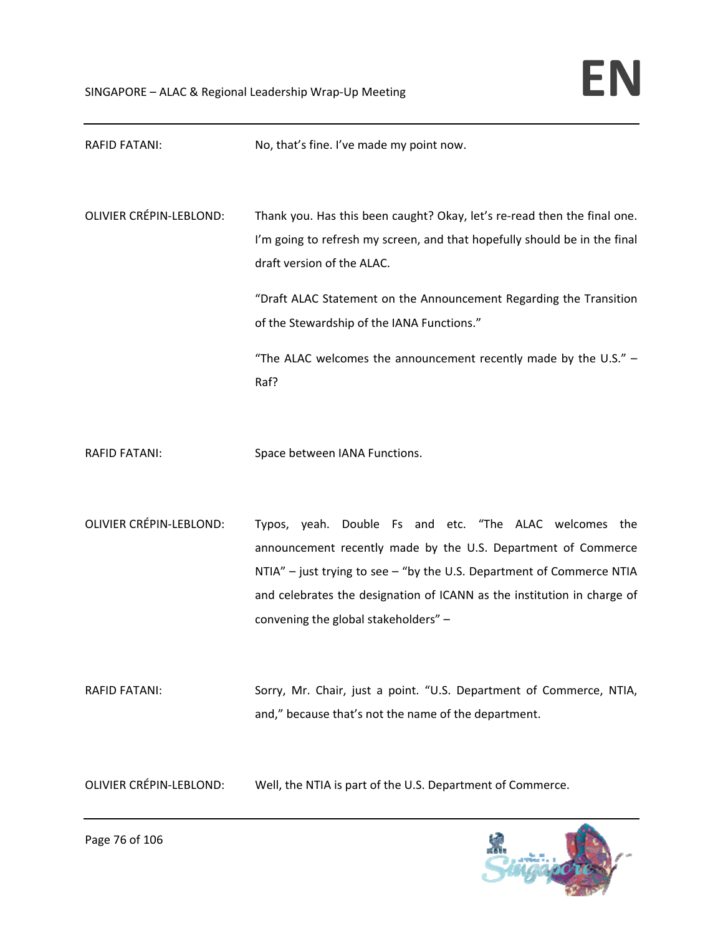| RAFID FATANI:                  | No, that's fine. I've made my point now.                                                                                                                                                                                                                                                                                                                                              |
|--------------------------------|---------------------------------------------------------------------------------------------------------------------------------------------------------------------------------------------------------------------------------------------------------------------------------------------------------------------------------------------------------------------------------------|
| <b>OLIVIER CRÉPIN-LEBLOND:</b> | Thank you. Has this been caught? Okay, let's re-read then the final one.<br>I'm going to refresh my screen, and that hopefully should be in the final<br>draft version of the ALAC.<br>"Draft ALAC Statement on the Announcement Regarding the Transition<br>of the Stewardship of the IANA Functions."<br>"The ALAC welcomes the announcement recently made by the U.S." $-$<br>Raf? |
| <b>RAFID FATANI:</b>           | Space between IANA Functions.                                                                                                                                                                                                                                                                                                                                                         |
| <b>OLIVIER CRÉPIN-LEBLOND:</b> | Typos, yeah. Double Fs and etc. "The ALAC welcomes the<br>announcement recently made by the U.S. Department of Commerce<br>NTIA" - just trying to see - "by the U.S. Department of Commerce NTIA<br>and celebrates the designation of ICANN as the institution in charge of<br>convening the global stakeholders" -                                                                   |
| <b>RAFID FATANI:</b>           | Sorry, Mr. Chair, just a point. "U.S. Department of Commerce, NTIA,<br>and," because that's not the name of the department.                                                                                                                                                                                                                                                           |
| <b>OLIVIER CRÉPIN-LEBLOND:</b> | Well, the NTIA is part of the U.S. Department of Commerce.                                                                                                                                                                                                                                                                                                                            |

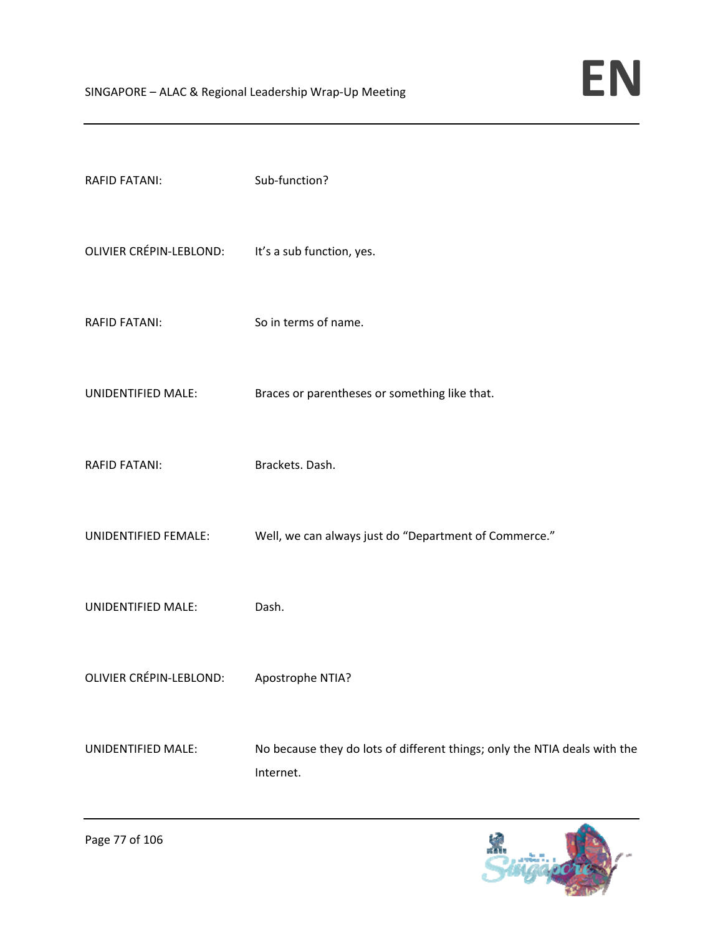| <b>RAFID FATANI:</b>                              | Sub-function?                                                                          |
|---------------------------------------------------|----------------------------------------------------------------------------------------|
| OLIVIER CRÉPIN-LEBLOND: It's a sub function, yes. |                                                                                        |
| <b>RAFID FATANI:</b>                              | So in terms of name.                                                                   |
| UNIDENTIFIED MALE:                                | Braces or parentheses or something like that.                                          |
| <b>RAFID FATANI:</b>                              | Brackets. Dash.                                                                        |
| UNIDENTIFIED FEMALE:                              | Well, we can always just do "Department of Commerce."                                  |
| UNIDENTIFIED MALE:                                | Dash.                                                                                  |
| OLIVIER CRÉPIN-LEBLOND:                           | Apostrophe NTIA?                                                                       |
| <b>UNIDENTIFIED MALE:</b>                         | No because they do lots of different things; only the NTIA deals with the<br>Internet. |

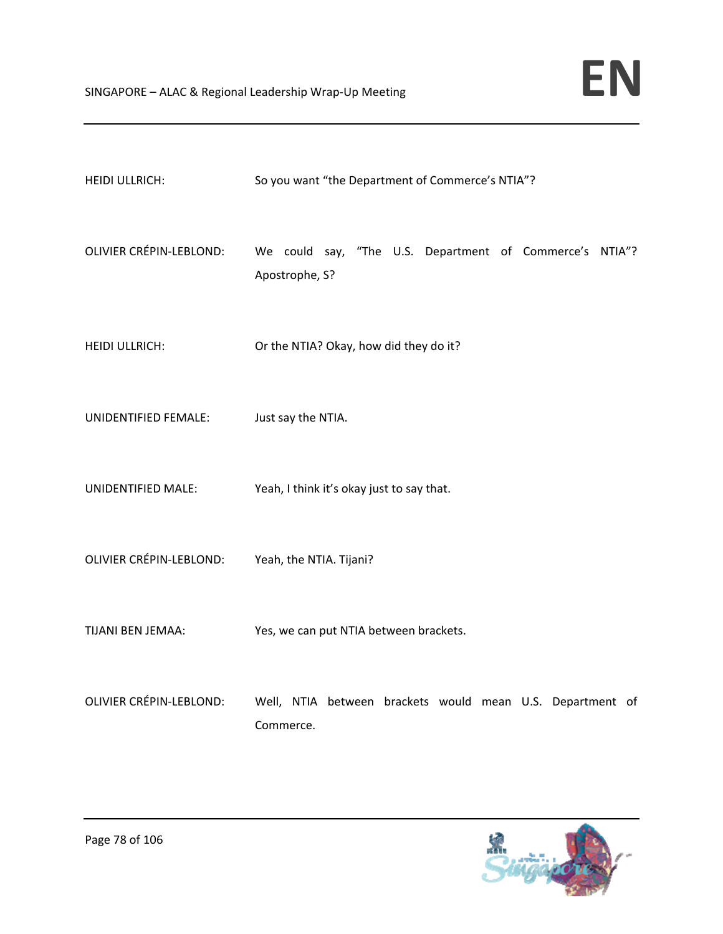| <b>HEIDI ULLRICH:</b>          | So you want "the Department of Commerce's NTIA"?                          |
|--------------------------------|---------------------------------------------------------------------------|
| <b>OLIVIER CRÉPIN-LEBLOND:</b> | We could say, "The U.S. Department of Commerce's NTIA"?<br>Apostrophe, S? |
| HEIDI ULLRICH:                 | Or the NTIA? Okay, how did they do it?                                    |
| UNIDENTIFIED FEMALE:           | Just say the NTIA.                                                        |
| UNIDENTIFIED MALE:             | Yeah, I think it's okay just to say that.                                 |
| OLIVIER CRÉPIN-LEBLOND:        | Yeah, the NTIA. Tijani?                                                   |
| TIJANI BEN JEMAA:              | Yes, we can put NTIA between brackets.                                    |
| <b>OLIVIER CRÉPIN-LEBLOND:</b> | Well, NTIA between brackets would mean U.S. Department of<br>Commerce.    |

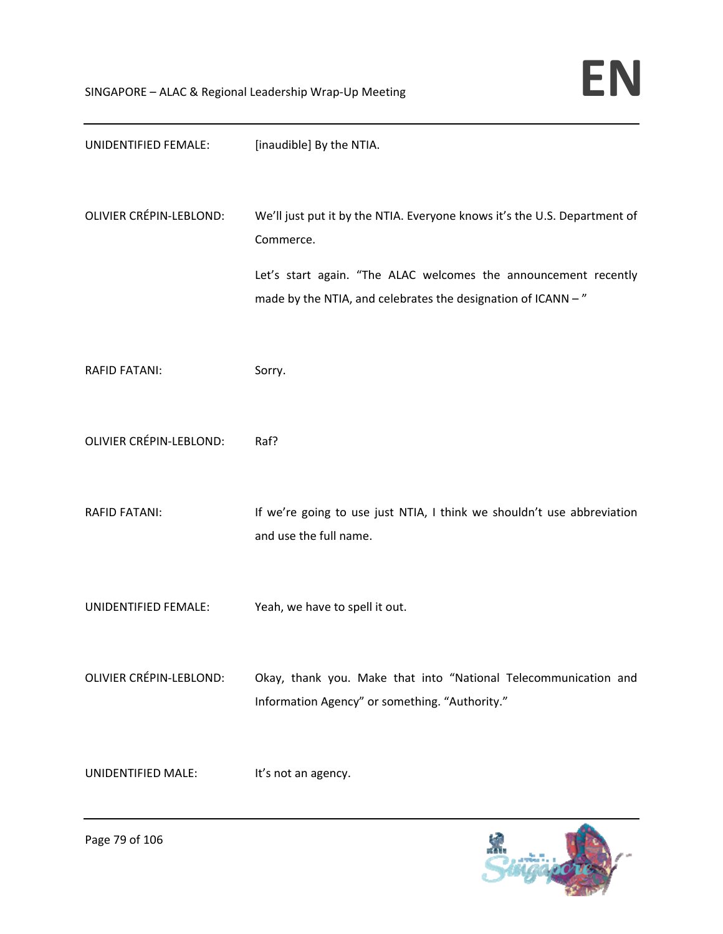| UNIDENTIFIED FEMALE:           | [inaudible] By the NTIA.                                                                                                                                                                                                  |
|--------------------------------|---------------------------------------------------------------------------------------------------------------------------------------------------------------------------------------------------------------------------|
| <b>OLIVIER CRÉPIN-LEBLOND:</b> | We'll just put it by the NTIA. Everyone knows it's the U.S. Department of<br>Commerce.<br>Let's start again. "The ALAC welcomes the announcement recently<br>made by the NTIA, and celebrates the designation of ICANN -" |
| <b>RAFID FATANI:</b>           | Sorry.                                                                                                                                                                                                                    |
| <b>OLIVIER CRÉPIN-LEBLOND:</b> | Raf?                                                                                                                                                                                                                      |
| <b>RAFID FATANI:</b>           | If we're going to use just NTIA, I think we shouldn't use abbreviation<br>and use the full name.                                                                                                                          |
| UNIDENTIFIED FEMALE:           | Yeah, we have to spell it out.                                                                                                                                                                                            |
| OLIVIER CRÉPIN-LEBLOND:        | Okay, thank you. Make that into "National Telecommunication and<br>Information Agency" or something. "Authority."                                                                                                         |
| UNIDENTIFIED MALE:             | It's not an agency.                                                                                                                                                                                                       |

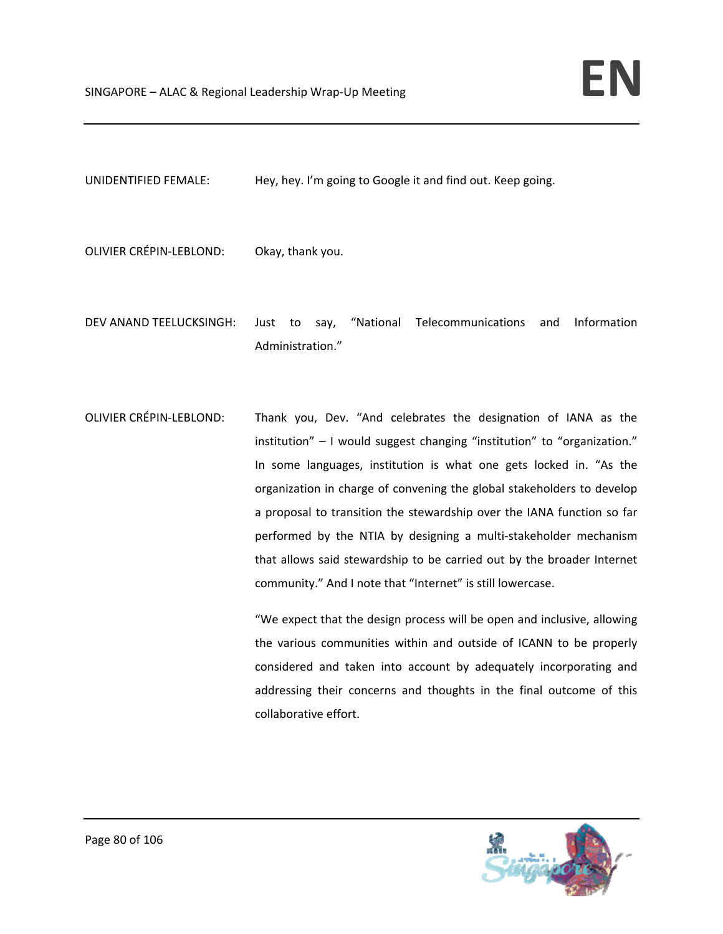UNIDENTIFIED FEMALE: Hey, hey. I'm going to Google it and find out. Keep going.

OLIVIER CRÉPIN‐LEBLOND: Okay, thank you.

- DEV ANAND TEELUCKSINGH: Just to say, "National Telecommunications and Information Administration."
- OLIVIER CRÉPIN‐LEBLOND: Thank you, Dev. "And celebrates the designation of IANA as the institution" – I would suggest changing "institution" to "organization." In some languages, institution is what one gets locked in. "As the organization in charge of convening the global stakeholders to develop a proposal to transition the stewardship over the IANA function so far performed by the NTIA by designing a multi‐stakeholder mechanism that allows said stewardship to be carried out by the broader Internet community." And I note that "Internet" is still lowercase.

"We expect that the design process will be open and inclusive, allowing the various communities within and outside of ICANN to be properly considered and taken into account by adequately incorporating and addressing their concerns and thoughts in the final outcome of this collaborative effort.

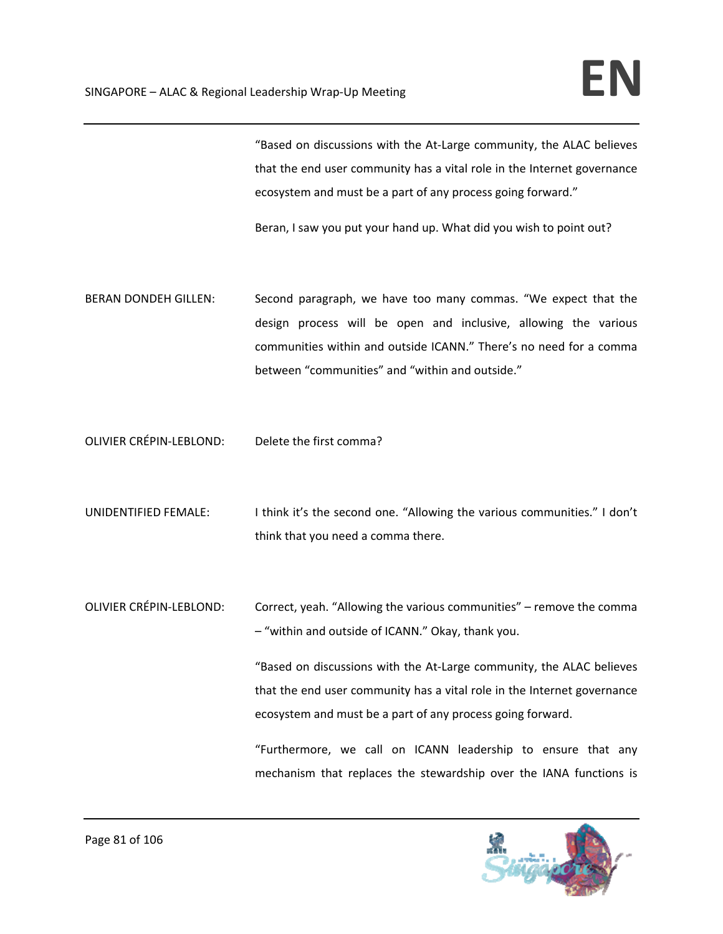"Based on discussions with the At‐Large community, the ALAC believes that the end user community has a vital role in the Internet governance ecosystem and must be a part of any process going forward."

Beran, I saw you put your hand up. What did you wish to point out?

- BERAN DONDEH GILLEN: Second paragraph, we have too many commas. "We expect that the design process will be open and inclusive, allowing the various communities within and outside ICANN." There's no need for a comma between "communities" and "within and outside."
- OLIVIER CRÉPIN‐LEBLOND: Delete the first comma?
- UNIDENTIFIED FEMALE: I think it's the second one. "Allowing the various communities." I don't think that you need a comma there.
- OLIVIER CRÉPIN‐LEBLOND: Correct, yeah. "Allowing the various communities" remove the comma – "within and outside of ICANN." Okay, thank you.

"Based on discussions with the At‐Large community, the ALAC believes that the end user community has a vital role in the Internet governance ecosystem and must be a part of any process going forward.

"Furthermore, we call on ICANN leadership to ensure that any mechanism that replaces the stewardship over the IANA functions is

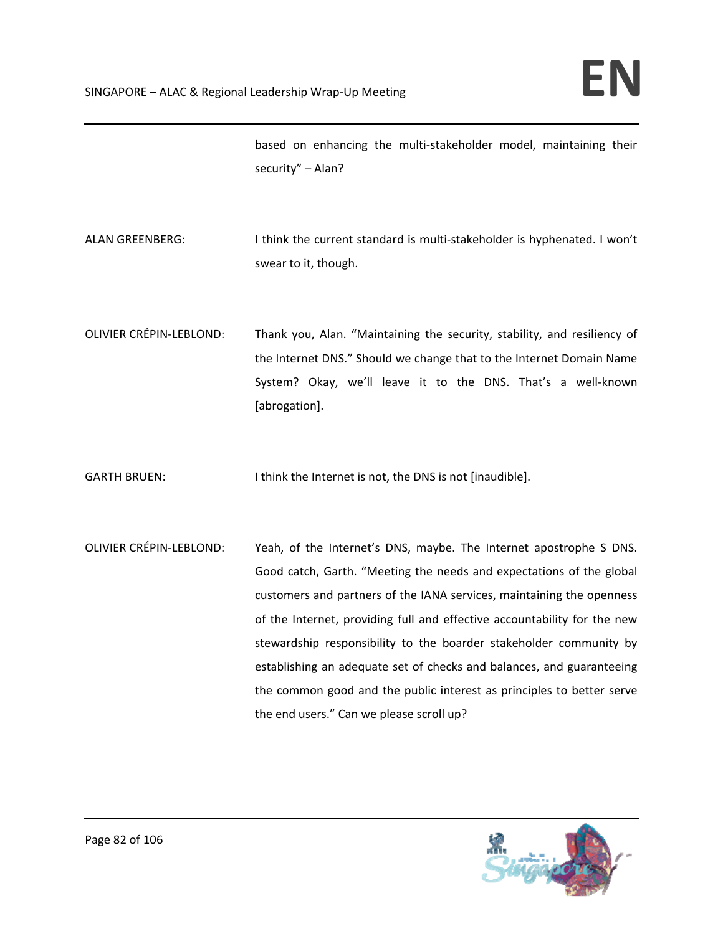based on enhancing the multi‐stakeholder model, maintaining their security" – Alan?

- ALAN GREENBERG: I think the current standard is multi-stakeholder is hyphenated. I won't swear to it, though.
- OLIVIER CRÉPIN‐LEBLOND: Thank you, Alan. "Maintaining the security, stability, and resiliency of the Internet DNS." Should we change that to the Internet Domain Name System? Okay, we'll leave it to the DNS. That's a well-known [abrogation].
- GARTH BRUEN: I think the Internet is not, the DNS is not [inaudible].
- OLIVIER CRÉPIN‐LEBLOND: Yeah, of the Internet's DNS, maybe. The Internet apostrophe S DNS. Good catch, Garth. "Meeting the needs and expectations of the global customers and partners of the IANA services, maintaining the openness of the Internet, providing full and effective accountability for the new stewardship responsibility to the boarder stakeholder community by establishing an adequate set of checks and balances, and guaranteeing the common good and the public interest as principles to better serve the end users." Can we please scroll up?

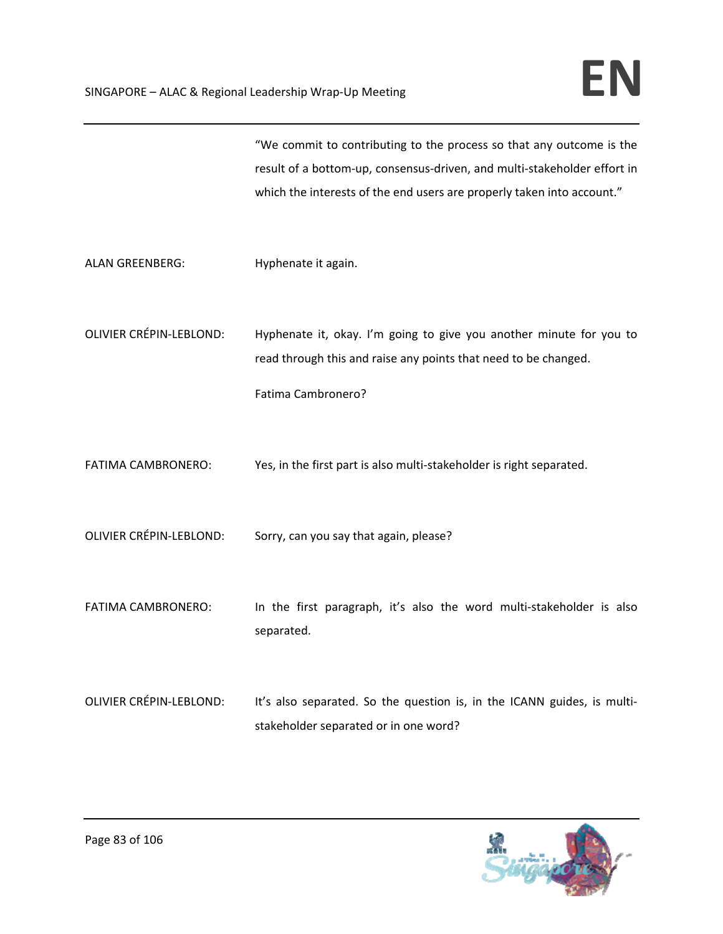"We commit to contributing to the process so that any outcome is the result of a bottom‐up, consensus‐driven, and multi‐stakeholder effort in which the interests of the end users are properly taken into account."

ALAN GREENBERG: Hyphenate it again.

OLIVIER CRÉPIN‐LEBLOND: Hyphenate it, okay. I'm going to give you another minute for you to read through this and raise any points that need to be changed.

```
Fatima Cambronero?
```
FATIMA CAMBRONERO: Yes, in the first part is also multi-stakeholder is right separated.

OLIVIER CRÉPIN‐LEBLOND: Sorry, can you say that again, please?

- FATIMA CAMBRONERO: In the first paragraph, it's also the word multi-stakeholder is also separated.
- OLIVIER CRÉPIN-LEBLOND: It's also separated. So the question is, in the ICANN guides, is multistakeholder separated or in one word?

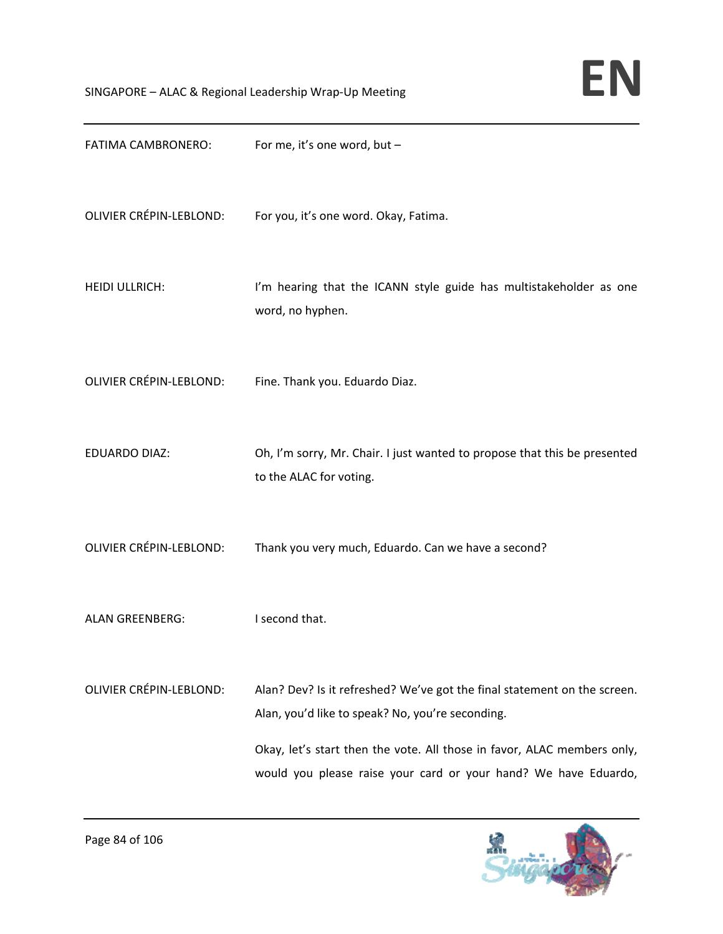

| FATIMA CAMBRONERO:             | For me, it's one word, but -                                                                                                                                                                                                                                               |
|--------------------------------|----------------------------------------------------------------------------------------------------------------------------------------------------------------------------------------------------------------------------------------------------------------------------|
| <b>OLIVIER CRÉPIN-LEBLOND:</b> | For you, it's one word. Okay, Fatima.                                                                                                                                                                                                                                      |
| <b>HEIDI ULLRICH:</b>          | I'm hearing that the ICANN style guide has multistakeholder as one<br>word, no hyphen.                                                                                                                                                                                     |
| <b>OLIVIER CRÉPIN-LEBLOND:</b> | Fine. Thank you. Eduardo Diaz.                                                                                                                                                                                                                                             |
| <b>EDUARDO DIAZ:</b>           | Oh, I'm sorry, Mr. Chair. I just wanted to propose that this be presented<br>to the ALAC for voting.                                                                                                                                                                       |
| <b>OLIVIER CRÉPIN-LEBLOND:</b> | Thank you very much, Eduardo. Can we have a second?                                                                                                                                                                                                                        |
| <b>ALAN GREENBERG:</b>         | I second that.                                                                                                                                                                                                                                                             |
| <b>OLIVIER CRÉPIN-LEBLOND:</b> | Alan? Dev? Is it refreshed? We've got the final statement on the screen.<br>Alan, you'd like to speak? No, you're seconding.<br>Okay, let's start then the vote. All those in favor, ALAC members only,<br>would you please raise your card or your hand? We have Eduardo, |

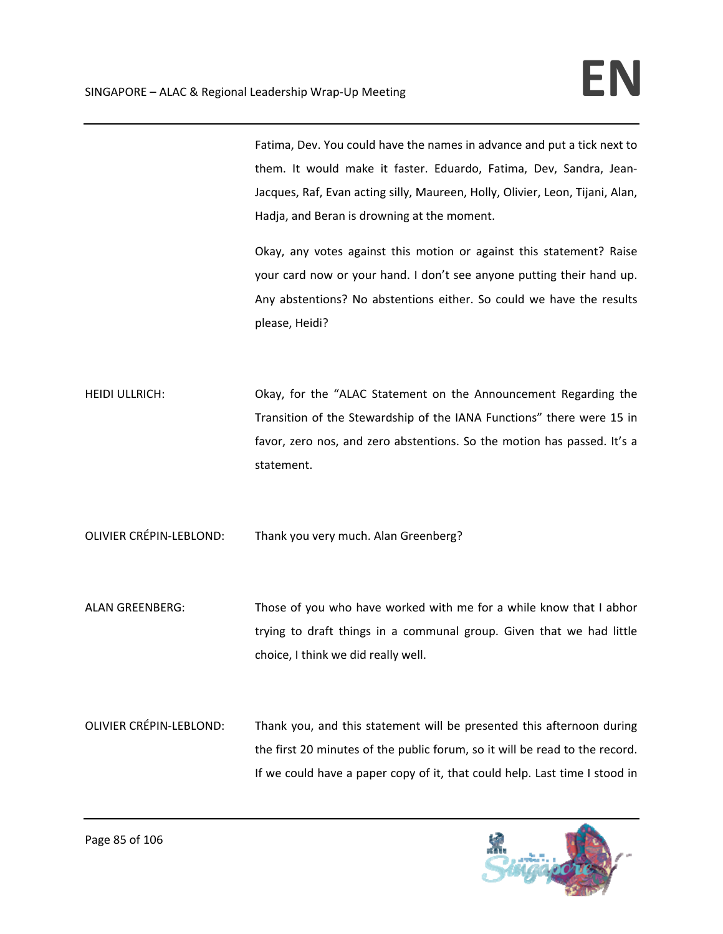Fatima, Dev. You could have the names in advance and put a tick next to them. It would make it faster. Eduardo, Fatima, Dev, Sandra, Jean‐ Jacques, Raf, Evan acting silly, Maureen, Holly, Olivier, Leon, Tijani, Alan, Hadja, and Beran is drowning at the moment.

Okay, any votes against this motion or against this statement? Raise your card now or your hand. I don't see anyone putting their hand up. Any abstentions? No abstentions either. So could we have the results please, Heidi?

HEIDI ULLRICH: Okay, for the "ALAC Statement on the Announcement Regarding the Transition of the Stewardship of the IANA Functions" there were 15 in favor, zero nos, and zero abstentions. So the motion has passed. It's a statement.

OLIVIER CRÉPIN‐LEBLOND: Thank you very much. Alan Greenberg?

- ALAN GREENBERG: Those of you who have worked with me for a while know that I abhor trying to draft things in a communal group. Given that we had little choice, I think we did really well.
- OLIVIER CRÉPIN‐LEBLOND: Thank you, and this statement will be presented this afternoon during the first 20 minutes of the public forum, so it will be read to the record. If we could have a paper copy of it, that could help. Last time I stood in

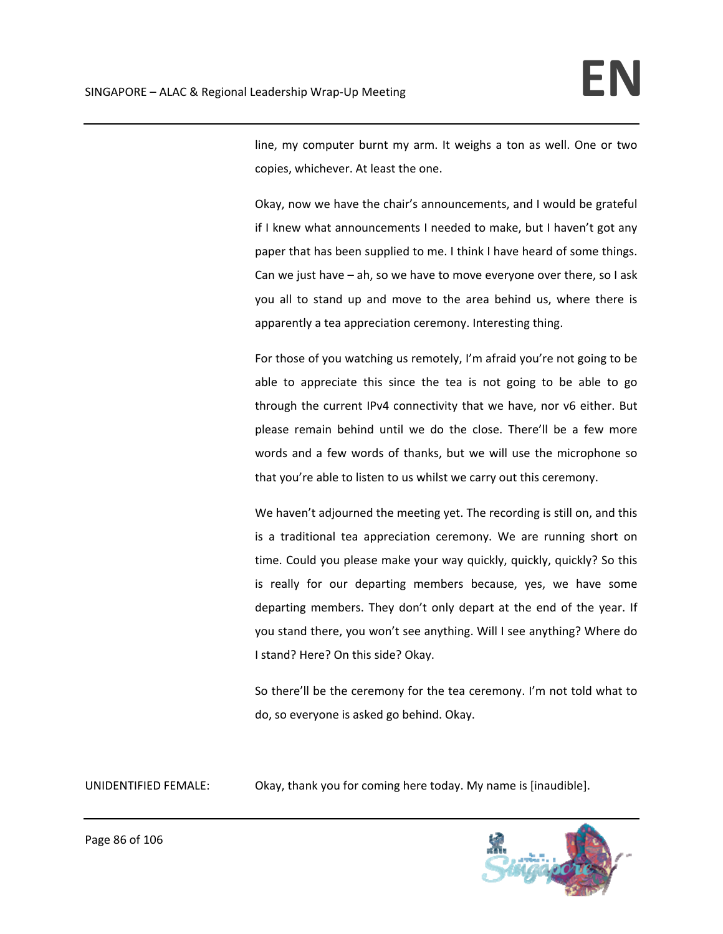line, my computer burnt my arm. It weighs a ton as well. One or two copies, whichever. At least the one.

Okay, now we have the chair's announcements, and I would be grateful if I knew what announcements I needed to make, but I haven't got any paper that has been supplied to me. I think I have heard of some things. Can we just have – ah, so we have to move everyone over there, so I ask you all to stand up and move to the area behind us, where there is apparently a tea appreciation ceremony. Interesting thing.

For those of you watching us remotely, I'm afraid you're not going to be able to appreciate this since the tea is not going to be able to go through the current IPv4 connectivity that we have, nor v6 either. But please remain behind until we do the close. There'll be a few more words and a few words of thanks, but we will use the microphone so that you're able to listen to us whilst we carry out this ceremony.

We haven't adjourned the meeting yet. The recording is still on, and this is a traditional tea appreciation ceremony. We are running short on time. Could you please make your way quickly, quickly, quickly? So this is really for our departing members because, yes, we have some departing members. They don't only depart at the end of the year. If you stand there, you won't see anything. Will I see anything? Where do I stand? Here? On this side? Okay.

So there'll be the ceremony for the tea ceremony. I'm not told what to do, so everyone is asked go behind. Okay.

UNIDENTIFIED FEMALE: Okay, thank you for coming here today. My name is [inaudible].

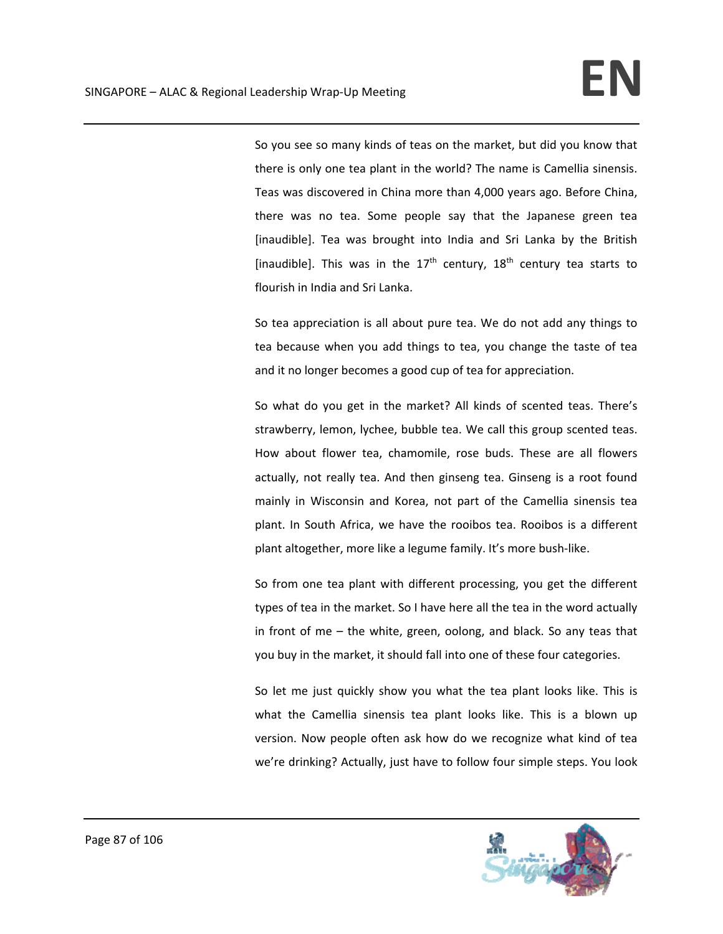So you see so many kinds of teas on the market, but did you know that there is only one tea plant in the world? The name is Camellia sinensis. Teas was discovered in China more than 4,000 years ago. Before China, there was no tea. Some people say that the Japanese green tea [inaudible]. Tea was brought into India and Sri Lanka by the British [inaudible]. This was in the  $17<sup>th</sup>$  century,  $18<sup>th</sup>$  century tea starts to flourish in India and Sri Lanka.

So tea appreciation is all about pure tea. We do not add any things to tea because when you add things to tea, you change the taste of tea and it no longer becomes a good cup of tea for appreciation.

So what do you get in the market? All kinds of scented teas. There's strawberry, lemon, lychee, bubble tea. We call this group scented teas. How about flower tea, chamomile, rose buds. These are all flowers actually, not really tea. And then ginseng tea. Ginseng is a root found mainly in Wisconsin and Korea, not part of the Camellia sinensis tea plant. In South Africa, we have the rooibos tea. Rooibos is a different plant altogether, more like a legume family. It's more bush‐like.

So from one tea plant with different processing, you get the different types of tea in the market. So I have here all the tea in the word actually in front of me – the white, green, oolong, and black. So any teas that you buy in the market, it should fall into one of these four categories.

So let me just quickly show you what the tea plant looks like. This is what the Camellia sinensis tea plant looks like. This is a blown up version. Now people often ask how do we recognize what kind of tea we're drinking? Actually, just have to follow four simple steps. You look

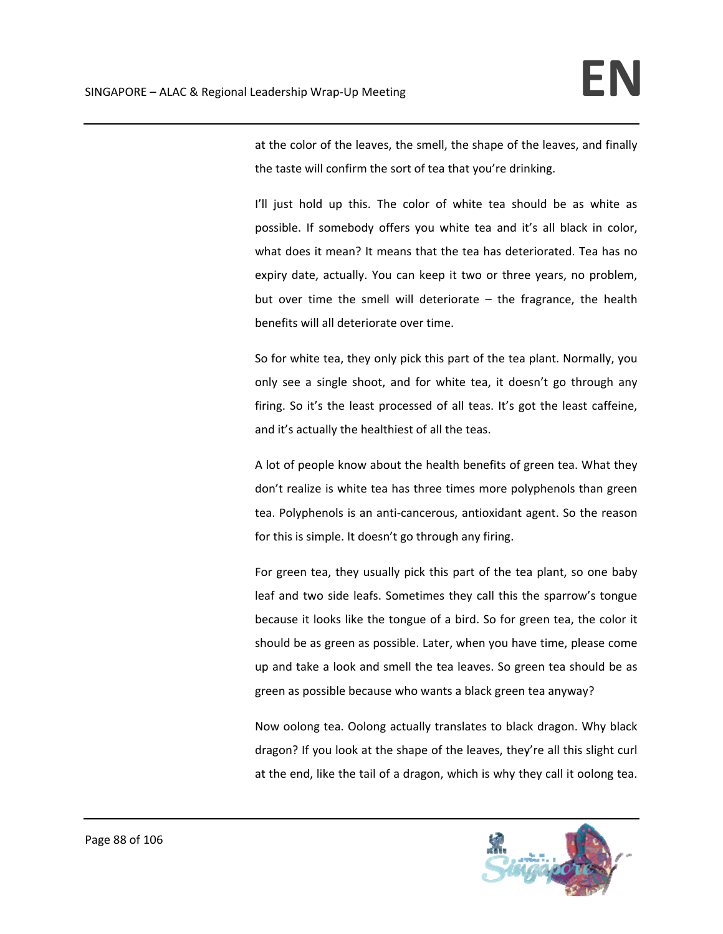at the color of the leaves, the smell, the shape of the leaves, and finally the taste will confirm the sort of tea that you're drinking.

I'll just hold up this. The color of white tea should be as white as possible. If somebody offers you white tea and it's all black in color, what does it mean? It means that the tea has deteriorated. Tea has no expiry date, actually. You can keep it two or three years, no problem, but over time the smell will deteriorate  $-$  the fragrance, the health benefits will all deteriorate over time.

So for white tea, they only pick this part of the tea plant. Normally, you only see a single shoot, and for white tea, it doesn't go through any firing. So it's the least processed of all teas. It's got the least caffeine, and it's actually the healthiest of all the teas.

A lot of people know about the health benefits of green tea. What they don't realize is white tea has three times more polyphenols than green tea. Polyphenols is an anti‐cancerous, antioxidant agent. So the reason for this is simple. It doesn't go through any firing.

For green tea, they usually pick this part of the tea plant, so one baby leaf and two side leafs. Sometimes they call this the sparrow's tongue because it looks like the tongue of a bird. So for green tea, the color it should be as green as possible. Later, when you have time, please come up and take a look and smell the tea leaves. So green tea should be as green as possible because who wants a black green tea anyway?

Now oolong tea. Oolong actually translates to black dragon. Why black dragon? If you look at the shape of the leaves, they're all this slight curl at the end, like the tail of a dragon, which is why they call it oolong tea.

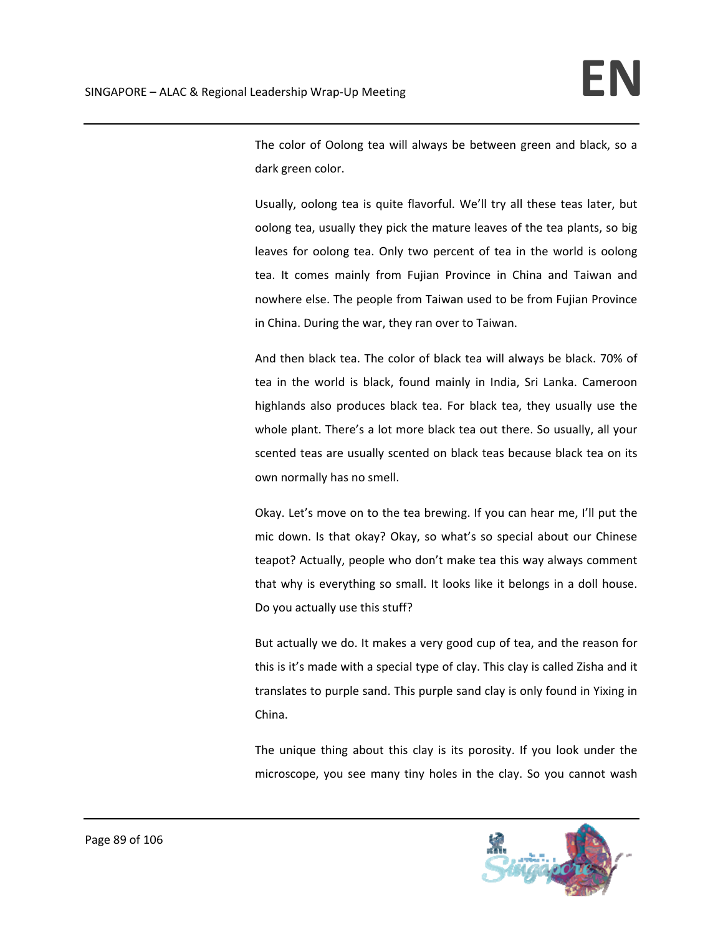The color of Oolong tea will always be between green and black, so a dark green color.

Usually, oolong tea is quite flavorful. We'll try all these teas later, but oolong tea, usually they pick the mature leaves of the tea plants, so big leaves for oolong tea. Only two percent of tea in the world is oolong tea. It comes mainly from Fujian Province in China and Taiwan and nowhere else. The people from Taiwan used to be from Fujian Province in China. During the war, they ran over to Taiwan.

And then black tea. The color of black tea will always be black. 70% of tea in the world is black, found mainly in India, Sri Lanka. Cameroon highlands also produces black tea. For black tea, they usually use the whole plant. There's a lot more black tea out there. So usually, all your scented teas are usually scented on black teas because black tea on its own normally has no smell.

Okay. Let's move on to the tea brewing. If you can hear me, I'll put the mic down. Is that okay? Okay, so what's so special about our Chinese teapot? Actually, people who don't make tea this way always comment that why is everything so small. It looks like it belongs in a doll house. Do you actually use this stuff?

But actually we do. It makes a very good cup of tea, and the reason for this is it's made with a special type of clay. This clay is called Zisha and it translates to purple sand. This purple sand clay is only found in Yixing in China.

The unique thing about this clay is its porosity. If you look under the microscope, you see many tiny holes in the clay. So you cannot wash

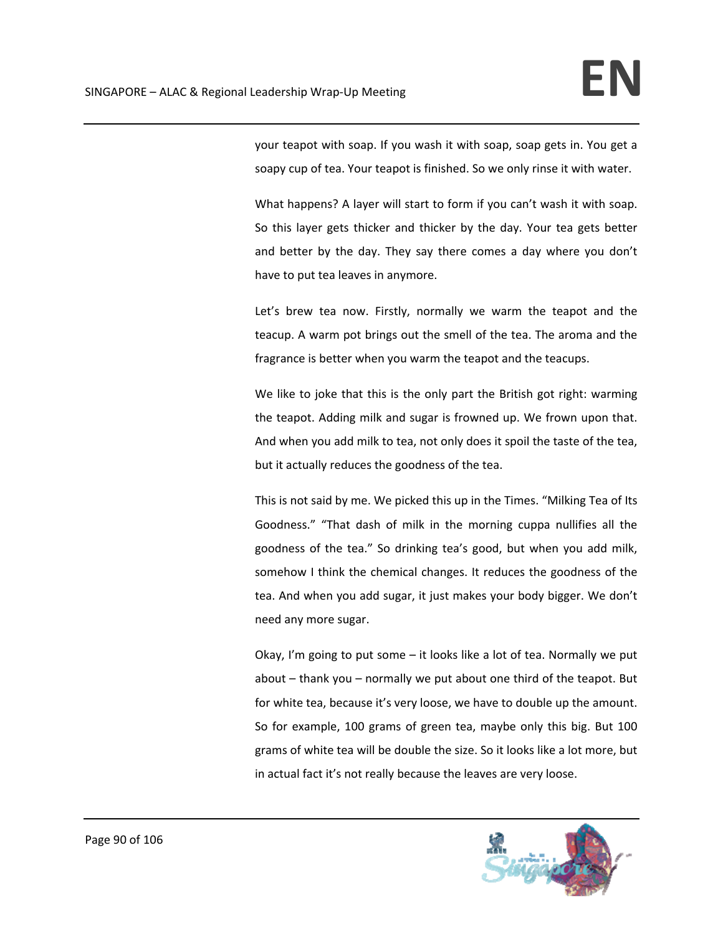your teapot with soap. If you wash it with soap, soap gets in. You get a soapy cup of tea. Your teapot is finished. So we only rinse it with water.

What happens? A layer will start to form if you can't wash it with soap. So this layer gets thicker and thicker by the day. Your tea gets better and better by the day. They say there comes a day where you don't have to put tea leaves in anymore.

Let's brew tea now. Firstly, normally we warm the teapot and the teacup. A warm pot brings out the smell of the tea. The aroma and the fragrance is better when you warm the teapot and the teacups.

We like to joke that this is the only part the British got right: warming the teapot. Adding milk and sugar is frowned up. We frown upon that. And when you add milk to tea, not only does it spoil the taste of the tea, but it actually reduces the goodness of the tea.

This is not said by me. We picked this up in the Times. "Milking Tea of Its Goodness." "That dash of milk in the morning cuppa nullifies all the goodness of the tea." So drinking tea's good, but when you add milk, somehow I think the chemical changes. It reduces the goodness of the tea. And when you add sugar, it just makes your body bigger. We don't need any more sugar.

Okay, I'm going to put some – it looks like a lot of tea. Normally we put about – thank you – normally we put about one third of the teapot. But for white tea, because it's very loose, we have to double up the amount. So for example, 100 grams of green tea, maybe only this big. But 100 grams of white tea will be double the size. So it looks like a lot more, but in actual fact it's not really because the leaves are very loose.

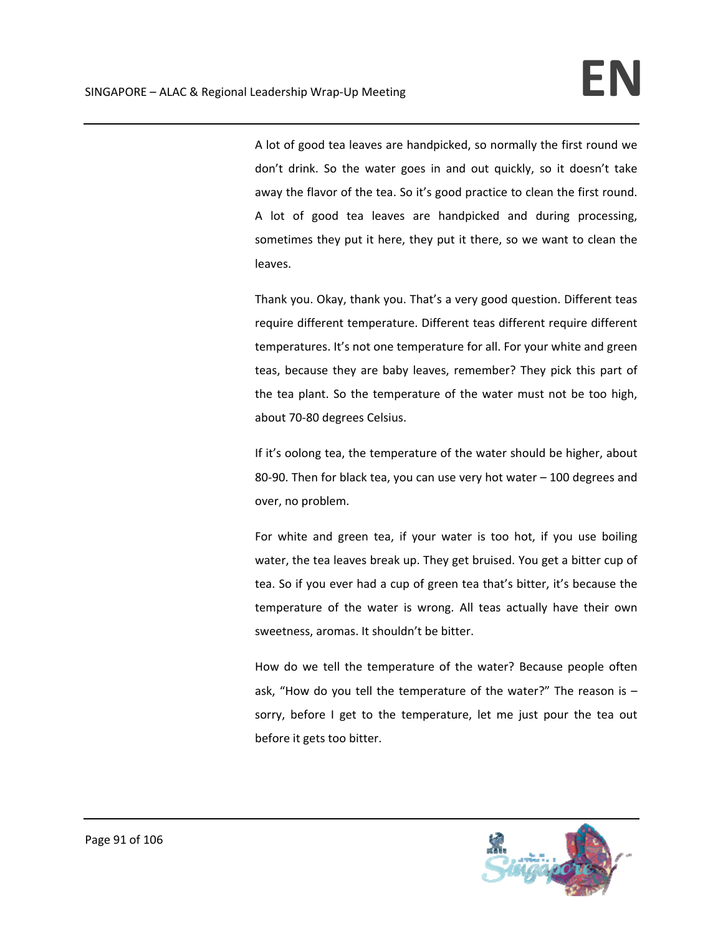A lot of good tea leaves are handpicked, so normally the first round we don't drink. So the water goes in and out quickly, so it doesn't take away the flavor of the tea. So it's good practice to clean the first round. A lot of good tea leaves are handpicked and during processing, sometimes they put it here, they put it there, so we want to clean the leaves.

Thank you. Okay, thank you. That's a very good question. Different teas require different temperature. Different teas different require different temperatures. It's not one temperature for all. For your white and green teas, because they are baby leaves, remember? They pick this part of the tea plant. So the temperature of the water must not be too high, about 70‐80 degrees Celsius.

If it's oolong tea, the temperature of the water should be higher, about 80‐90. Then for black tea, you can use very hot water – 100 degrees and over, no problem.

For white and green tea, if your water is too hot, if you use boiling water, the tea leaves break up. They get bruised. You get a bitter cup of tea. So if you ever had a cup of green tea that's bitter, it's because the temperature of the water is wrong. All teas actually have their own sweetness, aromas. It shouldn't be bitter.

How do we tell the temperature of the water? Because people often ask, "How do you tell the temperature of the water?" The reason is – sorry, before I get to the temperature, let me just pour the tea out before it gets too bitter.

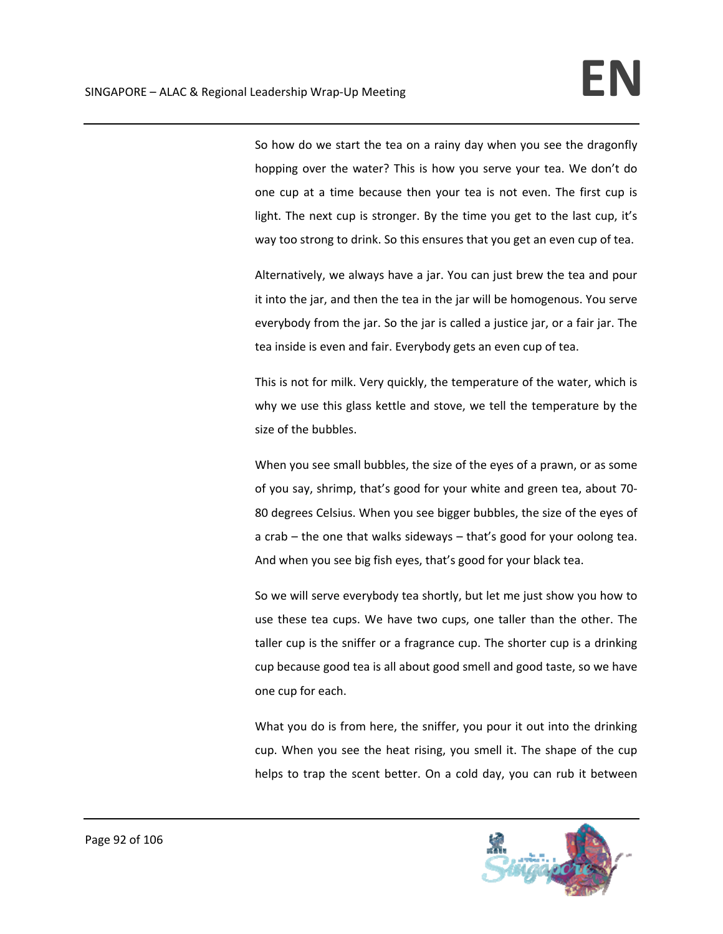So how do we start the tea on a rainy day when you see the dragonfly hopping over the water? This is how you serve your tea. We don't do one cup at a time because then your tea is not even. The first cup is light. The next cup is stronger. By the time you get to the last cup, it's way too strong to drink. So this ensures that you get an even cup of tea.

Alternatively, we always have a jar. You can just brew the tea and pour it into the jar, and then the tea in the jar will be homogenous. You serve everybody from the jar. So the jar is called a justice jar, or a fair jar. The tea inside is even and fair. Everybody gets an even cup of tea.

This is not for milk. Very quickly, the temperature of the water, which is why we use this glass kettle and stove, we tell the temperature by the size of the bubbles.

When you see small bubbles, the size of the eyes of a prawn, or as some of you say, shrimp, that's good for your white and green tea, about 70‐ 80 degrees Celsius. When you see bigger bubbles, the size of the eyes of a crab – the one that walks sideways – that's good for your oolong tea. And when you see big fish eyes, that's good for your black tea.

So we will serve everybody tea shortly, but let me just show you how to use these tea cups. We have two cups, one taller than the other. The taller cup is the sniffer or a fragrance cup. The shorter cup is a drinking cup because good tea is all about good smell and good taste, so we have one cup for each.

What you do is from here, the sniffer, you pour it out into the drinking cup. When you see the heat rising, you smell it. The shape of the cup helps to trap the scent better. On a cold day, you can rub it between

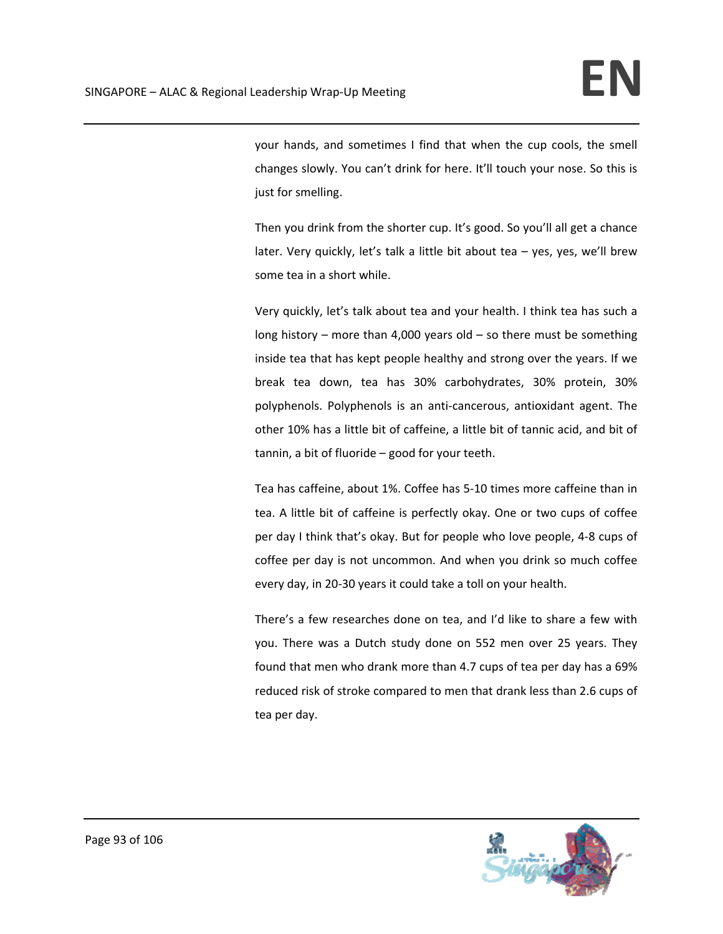your hands, and sometimes I find that when the cup cools, the smell changes slowly. You can't drink for here. It'll touch your nose. So this is just for smelling.

Then you drink from the shorter cup. It's good. So you'll all get a chance later. Very quickly, let's talk a little bit about tea – yes, yes, we'll brew some tea in a short while.

Very quickly, let's talk about tea and your health. I think tea has such a long history – more than 4,000 years old – so there must be something inside tea that has kept people healthy and strong over the years. If we break tea down, tea has 30% carbohydrates, 30% protein, 30% polyphenols. Polyphenols is an anti-cancerous, antioxidant agent. The other 10% has a little bit of caffeine, a little bit of tannic acid, and bit of tannin, a bit of fluoride – good for your teeth.

Tea has caffeine, about 1%. Coffee has 5‐10 times more caffeine than in tea. A little bit of caffeine is perfectly okay. One or two cups of coffee per day I think that's okay. But for people who love people, 4‐8 cups of coffee per day is not uncommon. And when you drink so much coffee every day, in 20‐30 years it could take a toll on your health.

There's a few researches done on tea, and I'd like to share a few with you. There was a Dutch study done on 552 men over 25 years. They found that men who drank more than 4.7 cups of tea per day has a 69% reduced risk of stroke compared to men that drank less than 2.6 cups of tea per day.

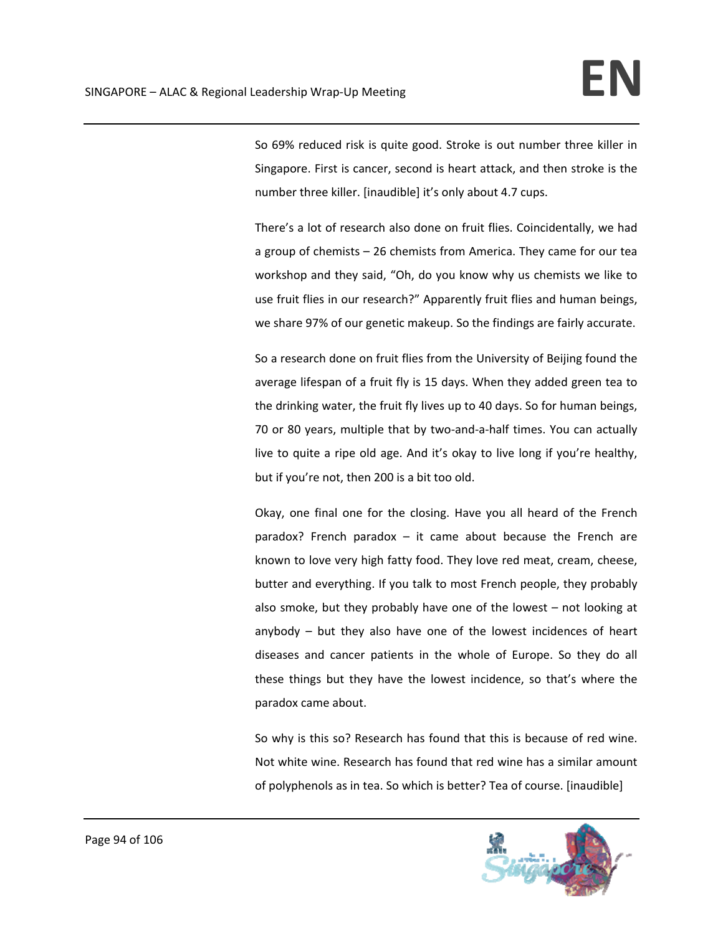So 69% reduced risk is quite good. Stroke is out number three killer in Singapore. First is cancer, second is heart attack, and then stroke is the number three killer. [inaudible] it's only about 4.7 cups.

There's a lot of research also done on fruit flies. Coincidentally, we had a group of chemists – 26 chemists from America. They came for our tea workshop and they said, "Oh, do you know why us chemists we like to use fruit flies in our research?" Apparently fruit flies and human beings, we share 97% of our genetic makeup. So the findings are fairly accurate.

So a research done on fruit flies from the University of Beijing found the average lifespan of a fruit fly is 15 days. When they added green tea to the drinking water, the fruit fly lives up to 40 days. So for human beings, 70 or 80 years, multiple that by two-and-a-half times. You can actually live to quite a ripe old age. And it's okay to live long if you're healthy, but if you're not, then 200 is a bit too old.

Okay, one final one for the closing. Have you all heard of the French paradox? French paradox  $-$  it came about because the French are known to love very high fatty food. They love red meat, cream, cheese, butter and everything. If you talk to most French people, they probably also smoke, but they probably have one of the lowest – not looking at anybody – but they also have one of the lowest incidences of heart diseases and cancer patients in the whole of Europe. So they do all these things but they have the lowest incidence, so that's where the paradox came about.

So why is this so? Research has found that this is because of red wine. Not white wine. Research has found that red wine has a similar amount of polyphenols as in tea. So which is better? Tea of course. [inaudible]

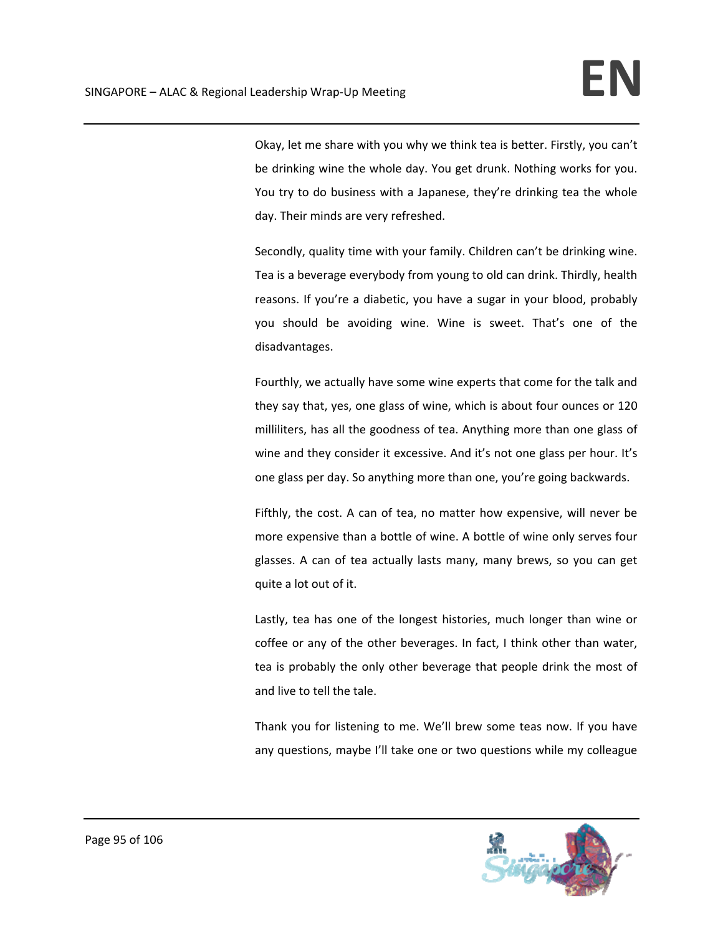Okay, let me share with you why we think tea is better. Firstly, you can't be drinking wine the whole day. You get drunk. Nothing works for you. You try to do business with a Japanese, they're drinking tea the whole day. Their minds are very refreshed.

Secondly, quality time with your family. Children can't be drinking wine. Tea is a beverage everybody from young to old can drink. Thirdly, health reasons. If you're a diabetic, you have a sugar in your blood, probably you should be avoiding wine. Wine is sweet. That's one of the disadvantages.

Fourthly, we actually have some wine experts that come for the talk and they say that, yes, one glass of wine, which is about four ounces or 120 milliliters, has all the goodness of tea. Anything more than one glass of wine and they consider it excessive. And it's not one glass per hour. It's one glass per day. So anything more than one, you're going backwards.

Fifthly, the cost. A can of tea, no matter how expensive, will never be more expensive than a bottle of wine. A bottle of wine only serves four glasses. A can of tea actually lasts many, many brews, so you can get quite a lot out of it.

Lastly, tea has one of the longest histories, much longer than wine or coffee or any of the other beverages. In fact, I think other than water, tea is probably the only other beverage that people drink the most of and live to tell the tale.

Thank you for listening to me. We'll brew some teas now. If you have any questions, maybe I'll take one or two questions while my colleague

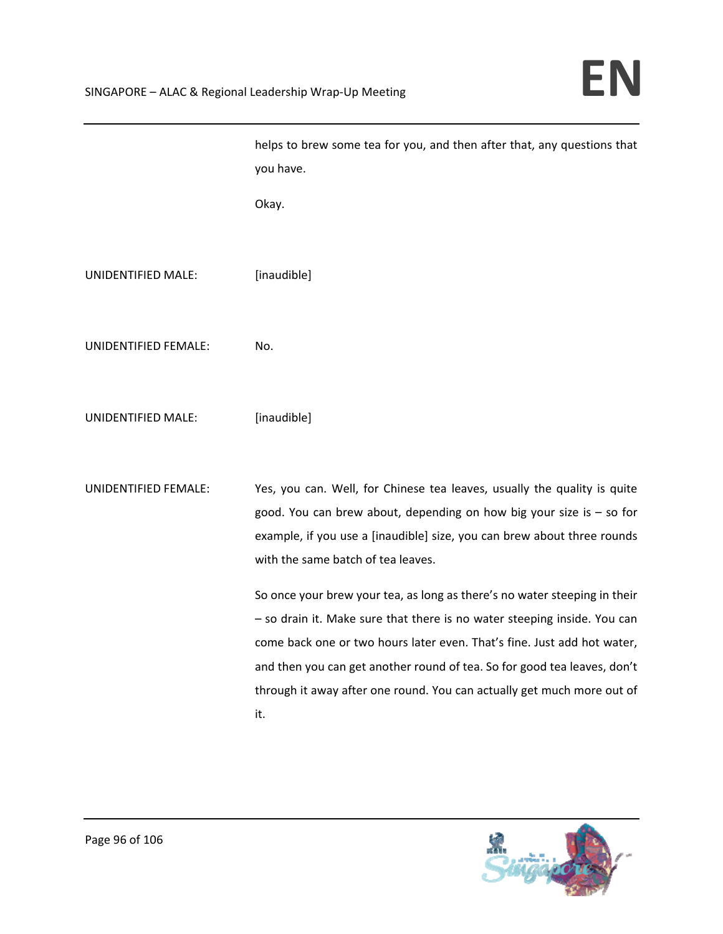|                      | helps to brew some tea for you, and then after that, any questions that<br>you have.                                                                                                                                                                                                                                                                                                          |
|----------------------|-----------------------------------------------------------------------------------------------------------------------------------------------------------------------------------------------------------------------------------------------------------------------------------------------------------------------------------------------------------------------------------------------|
|                      | Okay.                                                                                                                                                                                                                                                                                                                                                                                         |
| UNIDENTIFIED MALE:   | [inaudible]                                                                                                                                                                                                                                                                                                                                                                                   |
| UNIDENTIFIED FEMALE: | No.                                                                                                                                                                                                                                                                                                                                                                                           |
| UNIDENTIFIED MALE:   | [inaudible]                                                                                                                                                                                                                                                                                                                                                                                   |
| UNIDENTIFIED FEMALE: | Yes, you can. Well, for Chinese tea leaves, usually the quality is quite<br>good. You can brew about, depending on how big your size is $-$ so for<br>example, if you use a [inaudible] size, you can brew about three rounds<br>with the same batch of tea leaves.                                                                                                                           |
|                      | So once your brew your tea, as long as there's no water steeping in their<br>- so drain it. Make sure that there is no water steeping inside. You can<br>come back one or two hours later even. That's fine. Just add hot water,<br>and then you can get another round of tea. So for good tea leaves, don't<br>through it away after one round. You can actually get much more out of<br>it. |

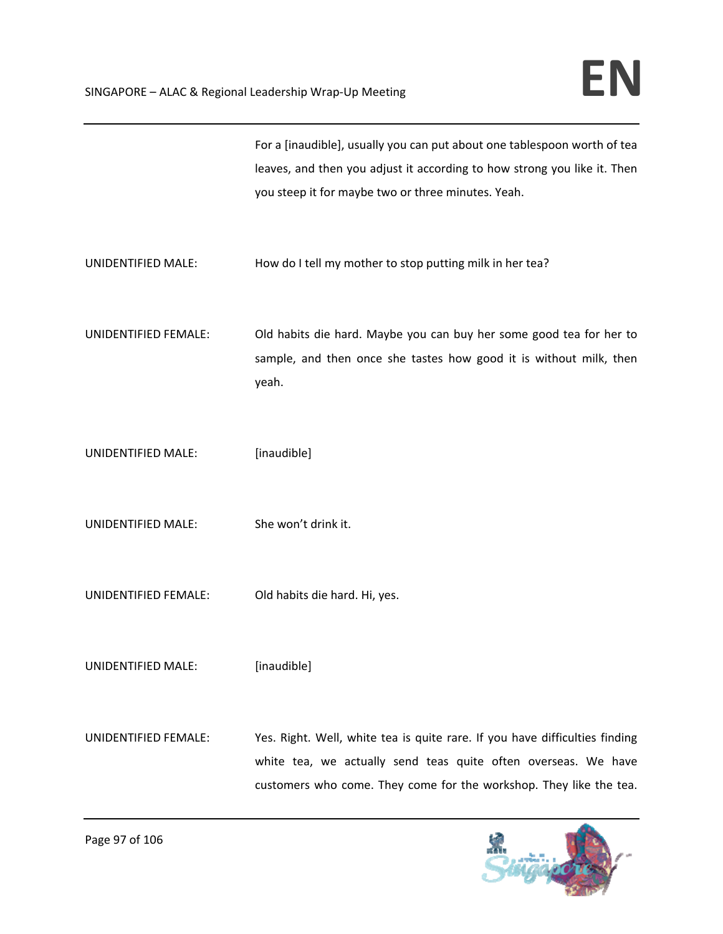|                           | For a [inaudible], usually you can put about one tablespoon worth of tea<br>leaves, and then you adjust it according to how strong you like it. Then<br>you steep it for maybe two or three minutes. Yeah.          |
|---------------------------|---------------------------------------------------------------------------------------------------------------------------------------------------------------------------------------------------------------------|
| UNIDENTIFIED MALE:        | How do I tell my mother to stop putting milk in her tea?                                                                                                                                                            |
| UNIDENTIFIED FEMALE:      | Old habits die hard. Maybe you can buy her some good tea for her to<br>sample, and then once she tastes how good it is without milk, then<br>yeah.                                                                  |
| <b>UNIDENTIFIED MALE:</b> | [inaudible]                                                                                                                                                                                                         |
| UNIDENTIFIED MALE:        | She won't drink it.                                                                                                                                                                                                 |
| UNIDENTIFIED FEMALE:      | Old habits die hard. Hi, yes.                                                                                                                                                                                       |
| UNIDENTIFIED MALE:        | [inaudible]                                                                                                                                                                                                         |
| UNIDENTIFIED FEMALE:      | Yes. Right. Well, white tea is quite rare. If you have difficulties finding<br>white tea, we actually send teas quite often overseas. We have<br>customers who come. They come for the workshop. They like the tea. |

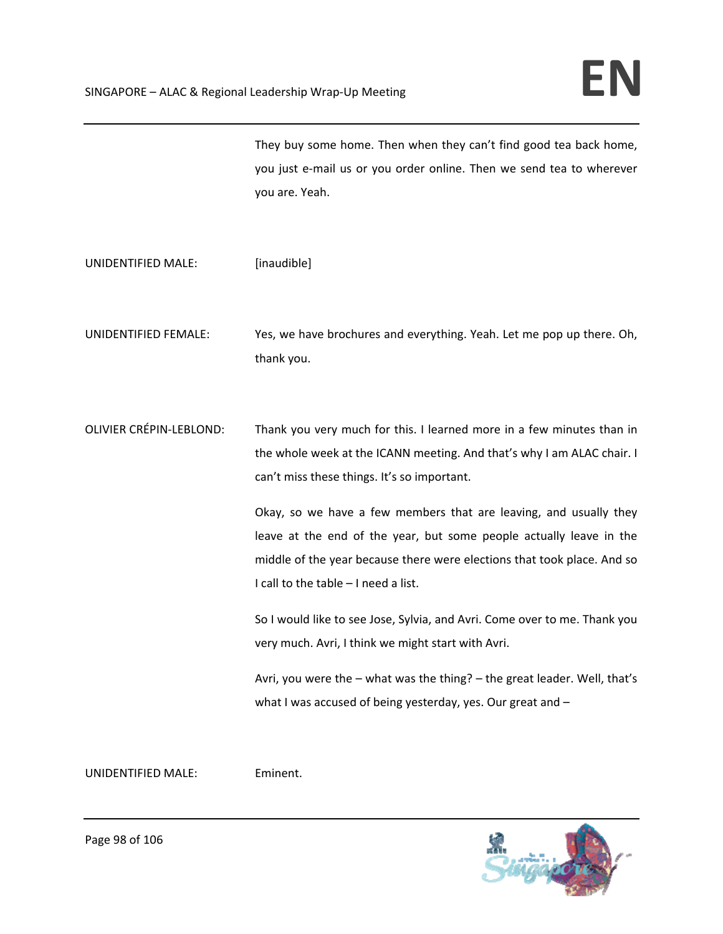They buy some home. Then when they can't find good tea back home, you just e‐mail us or you order online. Then we send tea to wherever you are. Yeah.

UNIDENTIFIED MALE: [inaudible]

UNIDENTIFIED FEMALE: Yes, we have brochures and everything. Yeah. Let me pop up there. Oh, thank you.

OLIVIER CRÉPIN‐LEBLOND: Thank you very much for this. I learned more in a few minutes than in the whole week at the ICANN meeting. And that's why I am ALAC chair. I can't miss these things. It's so important.

> Okay, so we have a few members that are leaving, and usually they leave at the end of the year, but some people actually leave in the middle of the year because there were elections that took place. And so I call to the table – I need a list.

> So I would like to see Jose, Sylvia, and Avri. Come over to me. Thank you very much. Avri, I think we might start with Avri.

> Avri, you were the – what was the thing? – the great leader. Well, that's what I was accused of being yesterday, yes. Our great and –

UNIDENTIFIED MALE: Eminent.

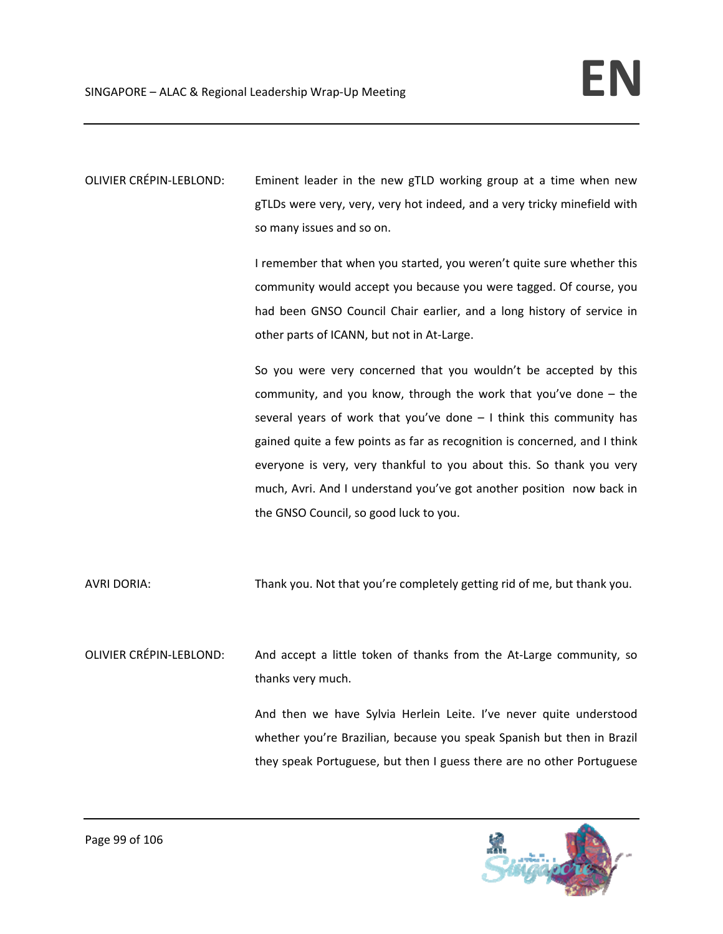OLIVIER CRÉPIN‐LEBLOND: Eminent leader in the new gTLD working group at a time when new gTLDs were very, very, very hot indeed, and a very tricky minefield with so many issues and so on.

> I remember that when you started, you weren't quite sure whether this community would accept you because you were tagged. Of course, you had been GNSO Council Chair earlier, and a long history of service in other parts of ICANN, but not in At‐Large.

> So you were very concerned that you wouldn't be accepted by this community, and you know, through the work that you've done – the several years of work that you've done – I think this community has gained quite a few points as far as recognition is concerned, and I think everyone is very, very thankful to you about this. So thank you very much, Avri. And I understand you've got another position now back in the GNSO Council, so good luck to you.

AVRI DORIA: Thank you. Not that you're completely getting rid of me, but thank you.

OLIVIER CRÉPIN‐LEBLOND: And accept a little token of thanks from the At‐Large community, so thanks very much.

> And then we have Sylvia Herlein Leite. I've never quite understood whether you're Brazilian, because you speak Spanish but then in Brazil they speak Portuguese, but then I guess there are no other Portuguese

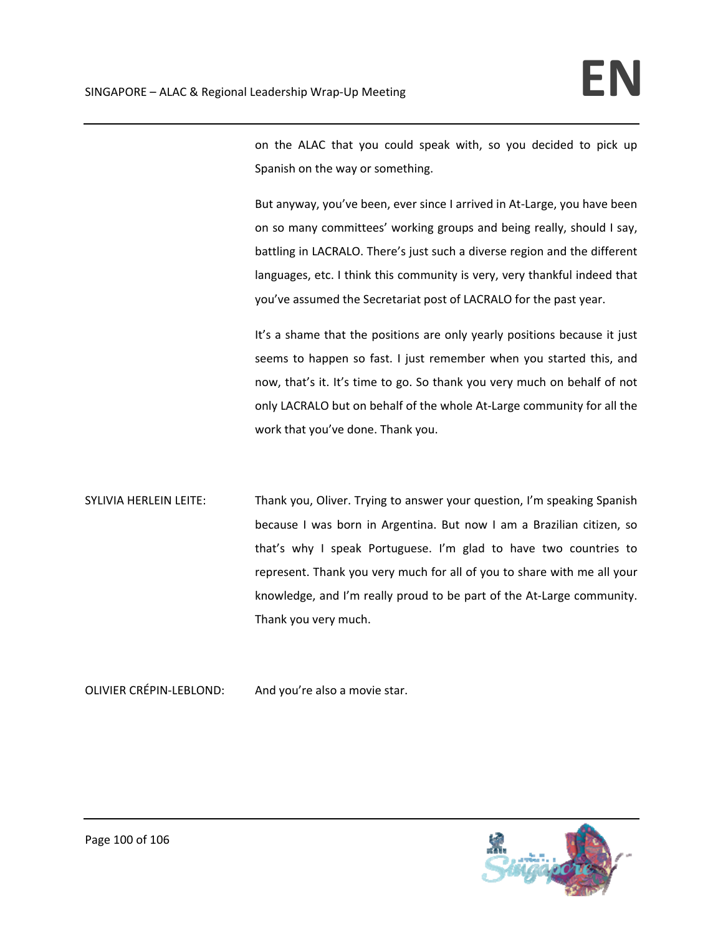on the ALAC that you could speak with, so you decided to pick up Spanish on the way or something.

But anyway, you've been, ever since I arrived in At‐Large, you have been on so many committees' working groups and being really, should I say, battling in LACRALO. There's just such a diverse region and the different languages, etc. I think this community is very, very thankful indeed that you've assumed the Secretariat post of LACRALO for the past year.

It's a shame that the positions are only yearly positions because it just seems to happen so fast. I just remember when you started this, and now, that's it. It's time to go. So thank you very much on behalf of not only LACRALO but on behalf of the whole At‐Large community for all the work that you've done. Thank you.

SYLIVIA HERLEIN LEITE: Thank you, Oliver. Trying to answer your question, I'm speaking Spanish because I was born in Argentina. But now I am a Brazilian citizen, so that's why I speak Portuguese. I'm glad to have two countries to represent. Thank you very much for all of you to share with me all your knowledge, and I'm really proud to be part of the At-Large community. Thank you very much.

OLIVIER CRÉPIN‐LEBLOND: And you're also a movie star.

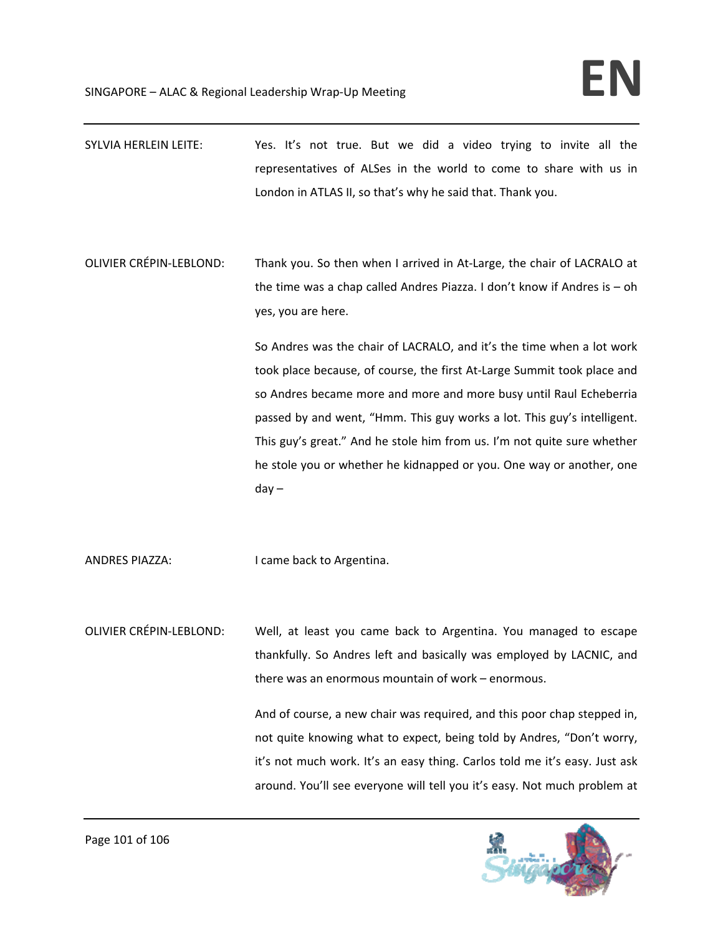- SYLVIA HERLEIN LEITE: Yes. It's not true. But we did a video trying to invite all the representatives of ALSes in the world to come to share with us in London in ATLAS II, so that's why he said that. Thank you.
- OLIVIER CRÉPIN‐LEBLOND: Thank you. So then when I arrived in At‐Large, the chair of LACRALO at the time was a chap called Andres Piazza. I don't know if Andres is – oh yes, you are here.

So Andres was the chair of LACRALO, and it's the time when a lot work took place because, of course, the first At‐Large Summit took place and so Andres became more and more and more busy until Raul Echeberria passed by and went, "Hmm. This guy works a lot. This guy's intelligent. This guy's great." And he stole him from us. I'm not quite sure whether he stole you or whether he kidnapped or you. One way or another, one day –

ANDRES PIAZZA: I came back to Argentina.

OLIVIER CRÉPIN‐LEBLOND: Well, at least you came back to Argentina. You managed to escape thankfully. So Andres left and basically was employed by LACNIC, and there was an enormous mountain of work – enormous.

> And of course, a new chair was required, and this poor chap stepped in, not quite knowing what to expect, being told by Andres, "Don't worry, it's not much work. It's an easy thing. Carlos told me it's easy. Just ask around. You'll see everyone will tell you it's easy. Not much problem at

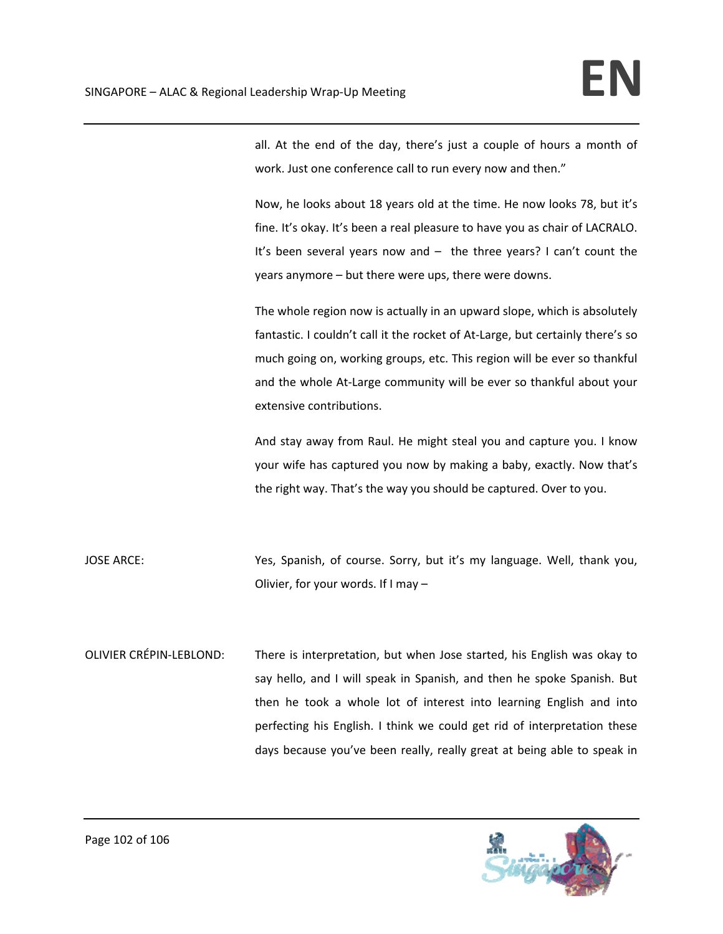all. At the end of the day, there's just a couple of hours a month of work. Just one conference call to run every now and then."

Now, he looks about 18 years old at the time. He now looks 78, but it's fine. It's okay. It's been a real pleasure to have you as chair of LACRALO. It's been several years now and – the three years? I can't count the years anymore – but there were ups, there were downs.

The whole region now is actually in an upward slope, which is absolutely fantastic. I couldn't call it the rocket of At-Large, but certainly there's so much going on, working groups, etc. This region will be ever so thankful and the whole At-Large community will be ever so thankful about your extensive contributions.

And stay away from Raul. He might steal you and capture you. I know your wife has captured you now by making a baby, exactly. Now that's the right way. That's the way you should be captured. Over to you.

JOSE ARCE: Yes, Spanish, of course. Sorry, but it's my language. Well, thank you, Olivier, for your words. If I may –

OLIVIER CRÉPIN‐LEBLOND: There is interpretation, but when Jose started, his English was okay to say hello, and I will speak in Spanish, and then he spoke Spanish. But then he took a whole lot of interest into learning English and into perfecting his English. I think we could get rid of interpretation these days because you've been really, really great at being able to speak in

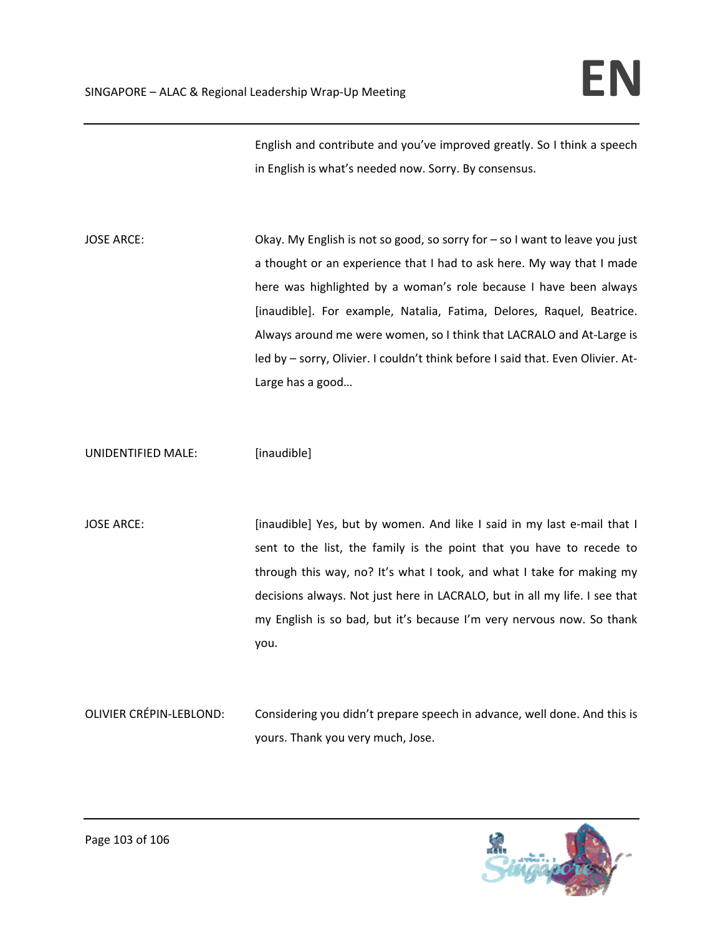English and contribute and you've improved greatly. So I think a speech in English is what's needed now. Sorry. By consensus.

JOSE ARCE: **Okay.** My English is not so good, so sorry for – so I want to leave you just a thought or an experience that I had to ask here. My way that I made here was highlighted by a woman's role because I have been always [inaudible]. For example, Natalia, Fatima, Delores, Raquel, Beatrice. Always around me were women, so I think that LACRALO and At‐Large is led by – sorry, Olivier. I couldn't think before I said that. Even Olivier. At‐ Large has a good…

UNIDENTIFIED MALE: [inaudible]

JOSE ARCE: [inaudible] Yes, but by women. And like I said in my last e-mail that I sent to the list, the family is the point that you have to recede to through this way, no? It's what I took, and what I take for making my decisions always. Not just here in LACRALO, but in all my life. I see that my English is so bad, but it's because I'm very nervous now. So thank you.

OLIVIER CRÉPIN‐LEBLOND: Considering you didn't prepare speech in advance, well done. And this is yours. Thank you very much, Jose.

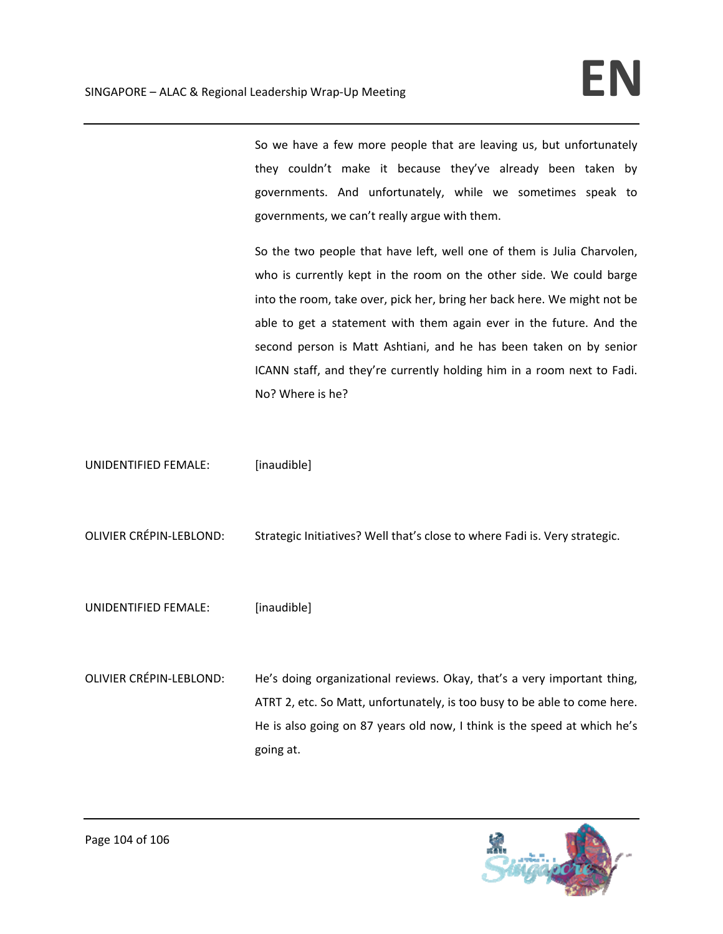So we have a few more people that are leaving us, but unfortunately they couldn't make it because they've already been taken by governments. And unfortunately, while we sometimes speak to governments, we can't really argue with them.

So the two people that have left, well one of them is Julia Charvolen, who is currently kept in the room on the other side. We could barge into the room, take over, pick her, bring her back here. We might not be able to get a statement with them again ever in the future. And the second person is Matt Ashtiani, and he has been taken on by senior ICANN staff, and they're currently holding him in a room next to Fadi. No? Where is he?

UNIDENTIFIED FEMALE: [inaudible]

OLIVIER CRÉPIN‐LEBLOND: Strategic Initiatives? Well that's close to where Fadi is. Very strategic.

- UNIDENTIFIED FEMALE: [inaudible]
- OLIVIER CRÉPIN‐LEBLOND: He's doing organizational reviews. Okay, that's a very important thing, ATRT 2, etc. So Matt, unfortunately, is too busy to be able to come here. He is also going on 87 years old now, I think is the speed at which he's going at.

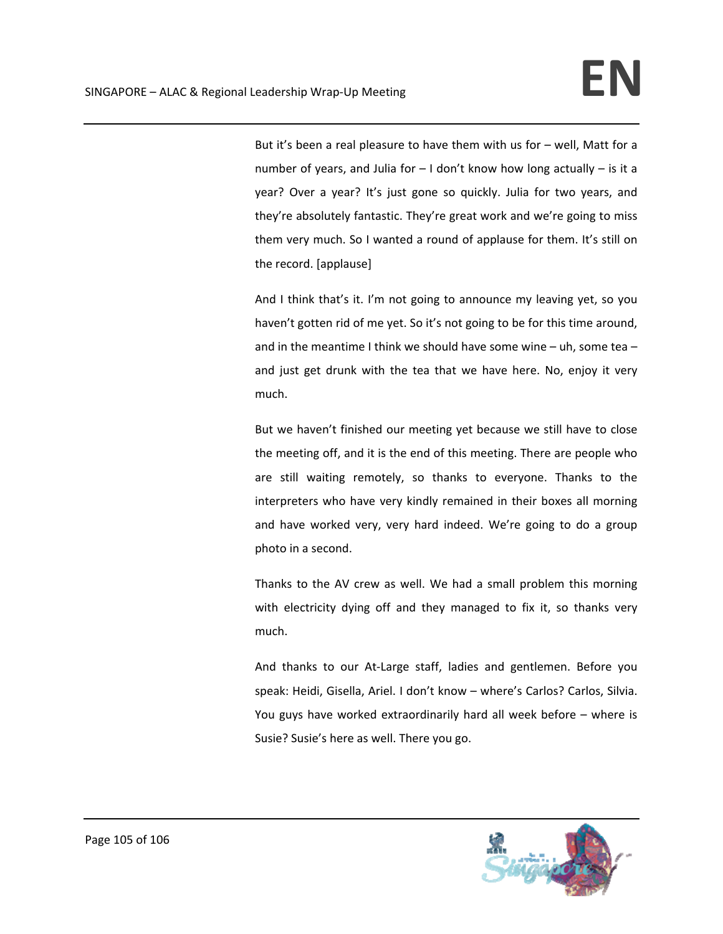But it's been a real pleasure to have them with us for – well, Matt for a number of years, and Julia for  $-1$  don't know how long actually  $-$  is it a year? Over a year? It's just gone so quickly. Julia for two years, and they're absolutely fantastic. They're great work and we're going to miss them very much. So I wanted a round of applause for them. It's still on the record. [applause]

And I think that's it. I'm not going to announce my leaving yet, so you haven't gotten rid of me yet. So it's not going to be for this time around, and in the meantime I think we should have some wine – uh, some tea – and just get drunk with the tea that we have here. No, enjoy it very much.

But we haven't finished our meeting yet because we still have to close the meeting off, and it is the end of this meeting. There are people who are still waiting remotely, so thanks to everyone. Thanks to the interpreters who have very kindly remained in their boxes all morning and have worked very, very hard indeed. We're going to do a group photo in a second.

Thanks to the AV crew as well. We had a small problem this morning with electricity dying off and they managed to fix it, so thanks very much.

And thanks to our At‐Large staff, ladies and gentlemen. Before you speak: Heidi, Gisella, Ariel. I don't know – where's Carlos? Carlos, Silvia. You guys have worked extraordinarily hard all week before – where is Susie? Susie's here as well. There you go.